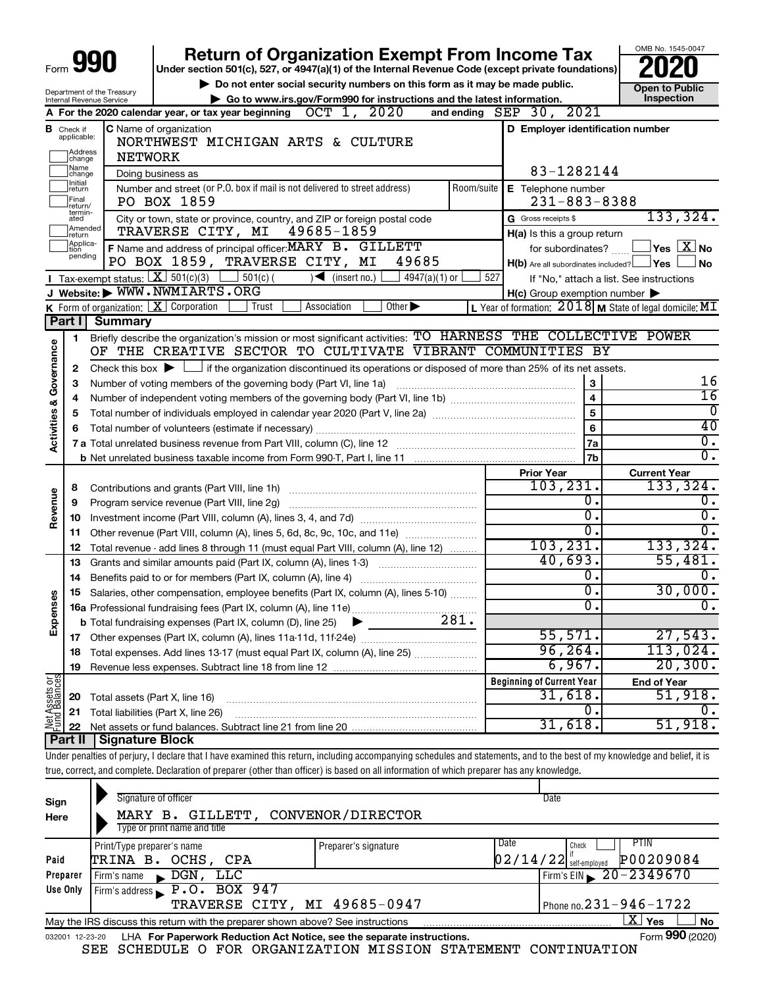|                         |                                  | <b><i>yg0</i></b>                        | <b>Return of Organization Exempt From Income Tax</b>                                                                                                                       |                                                           | OMB No. 1545-0047                        |
|-------------------------|----------------------------------|------------------------------------------|----------------------------------------------------------------------------------------------------------------------------------------------------------------------------|-----------------------------------------------------------|------------------------------------------|
|                         |                                  |                                          | Under section 501(c), 527, or 4947(a)(1) of the Internal Revenue Code (except private foundations)                                                                         |                                                           |                                          |
|                         |                                  | Department of the Treasury               | Do not enter social security numbers on this form as it may be made public.                                                                                                | <b>Open to Public</b>                                     |                                          |
|                         |                                  | Internal Revenue Service                 | Go to www.irs.gov/Form990 for instructions and the latest information.                                                                                                     | Inspection                                                |                                          |
|                         |                                  |                                          | A For the 2020 calendar year, or tax year beginning $OCT$ 1, $2020$                                                                                                        | and ending $SEP$ 30, $2021$                               |                                          |
|                         | <b>B</b> Check if<br>applicable: |                                          | <b>C</b> Name of organization<br>NORTHWEST MICHIGAN ARTS & CULTURE                                                                                                         | D Employer identification number                          |                                          |
|                         | Address<br> change               | <b>NETWORK</b>                           |                                                                                                                                                                            |                                                           |                                          |
|                         | Name<br> change                  |                                          | Doing business as                                                                                                                                                          | 83-1282144                                                |                                          |
|                         | ]Initial<br>]return              |                                          | Number and street (or P.O. box if mail is not delivered to street address)<br>Room/suite                                                                                   | E Telephone number                                        |                                          |
|                         | Final<br> return/                |                                          | PO BOX 1859                                                                                                                                                                | $231 - 883 - 8388$                                        |                                          |
|                         | termin-<br>ated                  |                                          | City or town, state or province, country, and ZIP or foreign postal code                                                                                                   | G Gross receipts \$                                       | 133, 324.                                |
|                         | Amended<br>Ireturn               |                                          | TRAVERSE CITY, MI 49685-1859                                                                                                                                               | H(a) Is this a group return                               |                                          |
|                         | Applica-<br>Ition<br>pending     |                                          | F Name and address of principal officer: MARY B. GILLETT                                                                                                                   | for subordinates?                                         | $\Box$ Yes $~[~\mathrm{X}$ No            |
|                         |                                  |                                          | PO BOX 1859, TRAVERSE CITY, MI<br>49685                                                                                                                                    | $H(b)$ Are all subordinates included? $\Box$ Yes          | ⊿ No                                     |
|                         |                                  | Tax-exempt status: $X \over 3$ 501(c)(3) | $501(c)$ (<br>$\sqrt{\frac{1}{1}}$ (insert no.)<br>4947(a)(1) or                                                                                                           | 527                                                       | If "No," attach a list. See instructions |
|                         |                                  |                                          | J Website: WWW.NWMIARTS.ORG                                                                                                                                                | H(c) Group exemption number                               |                                          |
|                         |                                  |                                          | K Form of organization: $X$ Corporation<br>Other $\blacktriangleright$<br>Association<br>Trust                                                                             | L Year of formation: $2018$ M State of legal domicile: MT |                                          |
|                         | Part I                           | <b>Summary</b>                           |                                                                                                                                                                            |                                                           |                                          |
|                         | 1                                |                                          | Briefly describe the organization's mission or most significant activities: TO HARNESS THE COLLECTIVE POWER<br>OF THE CREATIVE SECTOR TO CULTIVATE VIBRANT COMMUNITIES BY  |                                                           |                                          |
| Governance              |                                  |                                          |                                                                                                                                                                            |                                                           |                                          |
|                         | 2                                |                                          | Check this box $\blacktriangleright$ $\Box$ if the organization discontinued its operations or disposed of more than 25% of its net assets.                                |                                                           | 16                                       |
|                         | 3                                |                                          | Number of voting members of the governing body (Part VI, line 1a)                                                                                                          | $\mathbf{3}$<br>$\overline{\mathbf{4}}$                   | $\overline{16}$                          |
|                         | 4                                |                                          |                                                                                                                                                                            | $\overline{5}$                                            | 0                                        |
|                         | 5                                |                                          | 40                                                                                                                                                                         |                                                           |                                          |
| <b>Activities &amp;</b> | 6                                |                                          |                                                                                                                                                                            | $6\phantom{a}$<br>7a                                      | $\overline{0}$ .                         |
|                         |                                  |                                          |                                                                                                                                                                            | 7 <sub>b</sub>                                            | $\overline{0}$ .                         |
|                         |                                  |                                          |                                                                                                                                                                            |                                                           | <b>Current Year</b>                      |
|                         | 8                                |                                          |                                                                                                                                                                            | <b>Prior Year</b><br>103, 231.                            | 133, 324.                                |
|                         | 9                                |                                          | Program service revenue (Part VIII, line 2g)                                                                                                                               | Ο.                                                        | ο.                                       |
| Revenue                 | 10                               |                                          |                                                                                                                                                                            | σ.                                                        | $\overline{0}$ .                         |
|                         | 11                               |                                          | Other revenue (Part VIII, column (A), lines 5, 6d, 8c, 9c, 10c, and 11e)                                                                                                   | σ.                                                        | σ.                                       |
|                         | 12                               |                                          | Total revenue - add lines 8 through 11 (must equal Part VIII, column (A), line 12)                                                                                         | 103, 231.                                                 | 133, 324.                                |
|                         | 13                               |                                          | Grants and similar amounts paid (Part IX, column (A), lines 1-3)                                                                                                           | 40,693.                                                   | 55,481.                                  |
|                         | 14                               |                                          | Benefits paid to or for members (Part IX, column (A), line 4)                                                                                                              | Ο.                                                        | ο.                                       |
|                         | 15                               |                                          | Salaries, other compensation, employee benefits (Part IX, column (A), lines 5-10)                                                                                          | σ.                                                        | 30,000.                                  |
|                         |                                  |                                          |                                                                                                                                                                            | Ο.                                                        | $0$ .                                    |
| Expense                 |                                  |                                          | 281.<br><b>b</b> Total fundraising expenses (Part IX, column (D), line 25)                                                                                                 |                                                           |                                          |
|                         | 17                               |                                          |                                                                                                                                                                            | 55,571.                                                   | 27,543.                                  |
|                         | 18                               |                                          | Total expenses. Add lines 13-17 (must equal Part IX, column (A), line 25)                                                                                                  | 96, 264.                                                  | $113,024$ .                              |
|                         | 19                               |                                          |                                                                                                                                                                            | 6,967.                                                    | 20, 300.                                 |
|                         |                                  |                                          |                                                                                                                                                                            | <b>Beginning of Current Year</b>                          | <b>End of Year</b>                       |
|                         | 20                               | Total assets (Part X, line 16)           |                                                                                                                                                                            | 31,618.                                                   | 51,918.                                  |
| Net Assets or           | 21                               |                                          | Total liabilities (Part X, line 26)                                                                                                                                        | О.                                                        | υ.                                       |
|                         | 22                               |                                          | 31,618                                                                                                                                                                     | 51,918.                                                   |                                          |
|                         | Part II                          | Signature Block                          |                                                                                                                                                                            |                                                           |                                          |
|                         |                                  |                                          | Under penalties of perjury, I declare that I have examined this return, including accompanying schedules and statements, and to the best of my knowledge and belief, it is |                                                           |                                          |
|                         |                                  |                                          | true, correct, and complete. Declaration of preparer (other than officer) is based on all information of which preparer has any knowledge.                                 |                                                           |                                          |
|                         |                                  |                                          |                                                                                                                                                                            |                                                           |                                          |
| Sign                    |                                  |                                          | Signature of officer                                                                                                                                                       | Date                                                      |                                          |
| Here                    |                                  |                                          | MARY B. GILLETT, CONVENOR/DIRECTOR<br>Tyne or print name and title                                                                                                         |                                                           |                                          |

| Here     | MARI B. GILLEIT, CONVENOR/DIRECTOR                                                                           |                      |                                       |  |  |  |  |  |  |  |
|----------|--------------------------------------------------------------------------------------------------------------|----------------------|---------------------------------------|--|--|--|--|--|--|--|
|          | Type or print name and title                                                                                 |                      |                                       |  |  |  |  |  |  |  |
|          | Print/Type preparer's name                                                                                   | Preparer's signature | PTIN<br>Date<br>Check                 |  |  |  |  |  |  |  |
| Paid     | TRINA B. OCHS, CPA                                                                                           |                      | P00209084<br>$02/14/22$ self-employed |  |  |  |  |  |  |  |
| Preparer | DGN, LLC<br>Firm's name<br>$\blacksquare$                                                                    |                      | Firm's EIN $\geq 20 - 2349670$        |  |  |  |  |  |  |  |
| Use Only | Firm's address $\blacktriangleright$ P.O. BOX 947                                                            |                      |                                       |  |  |  |  |  |  |  |
|          | TRAVERSE CITY, MI 49685-0947                                                                                 |                      | Phone no. $231 - 946 - 1722$          |  |  |  |  |  |  |  |
|          | ΧI<br><b>No</b><br>Yes<br>May the IRS discuss this return with the preparer shown above? See instructions    |                      |                                       |  |  |  |  |  |  |  |
|          | Form 990 (2020)<br>LHA For Paperwork Reduction Act Notice, see the separate instructions.<br>032001 12-23-20 |                      |                                       |  |  |  |  |  |  |  |

|  |  | SEE SCHEDULE O FOR ORGANIZATION MISSION STATEMENT CONTINUATION |  |  |
|--|--|----------------------------------------------------------------|--|--|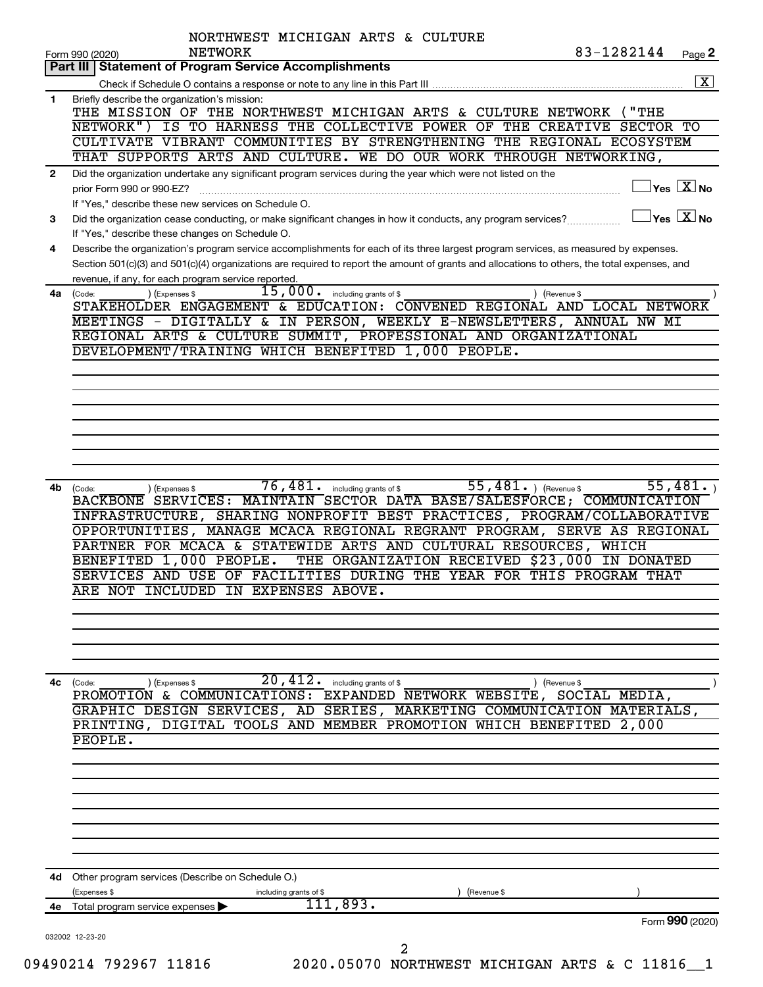|              | 83-1282144<br>NETWORK<br>Form 990 (2020)                                                                                                                                                                                                                                                                                                                                                                                             | Page 2               |
|--------------|--------------------------------------------------------------------------------------------------------------------------------------------------------------------------------------------------------------------------------------------------------------------------------------------------------------------------------------------------------------------------------------------------------------------------------------|----------------------|
|              | <b>Statement of Program Service Accomplishments</b><br>Part III                                                                                                                                                                                                                                                                                                                                                                      | $\boxed{\textbf{X}}$ |
|              |                                                                                                                                                                                                                                                                                                                                                                                                                                      |                      |
| 1.           | Briefly describe the organization's mission:<br>THE MISSION OF THE NORTHWEST MICHIGAN ARTS & CULTURE NETWORK<br>$($ "THE<br>IS TO HARNESS THE COLLECTIVE POWER OF THE CREATIVE SECTOR TO<br>NETWORK")<br>CULTIVATE VIBRANT COMMUNITIES BY STRENGTHENING THE REGIONAL ECOSYSTEM                                                                                                                                                       |                      |
|              | THAT SUPPORTS ARTS AND CULTURE. WE DO OUR WORK THROUGH NETWORKING,                                                                                                                                                                                                                                                                                                                                                                   |                      |
| $\mathbf{2}$ | Did the organization undertake any significant program services during the year which were not listed on the<br>$\,$ Yes $\,$ $\rm \overline{X}$ No $\,$<br>prior Form 990 or 990-EZ?<br>If "Yes," describe these new services on Schedule O.                                                                                                                                                                                        |                      |
| 3            | $\overline{\ }$ Yes $\overline{\ \ \ }$ No<br>Did the organization cease conducting, or make significant changes in how it conducts, any program services?<br>If "Yes," describe these changes on Schedule O.                                                                                                                                                                                                                        |                      |
| 4            | Describe the organization's program service accomplishments for each of its three largest program services, as measured by expenses.<br>Section 501(c)(3) and 501(c)(4) organizations are required to report the amount of grants and allocations to others, the total expenses, and<br>revenue, if any, for each program service reported.                                                                                          |                      |
| 4a           | $\overline{15}$ , 000. including grants of \$<br>) (Expenses \$<br>(Code:<br>) (Revenue \$<br>STAKEHOLDER ENGAGEMENT & EDUCATION: CONVENED REGIONAL AND LOCAL NETWORK<br>MEETINGS - DIGITALLY & IN PERSON, WEEKLY E-NEWSLETTERS, ANNUAL NW MI                                                                                                                                                                                        |                      |
|              | REGIONAL ARTS & CULTURE SUMMIT, PROFESSIONAL AND ORGANIZATIONAL<br>DEVELOPMENT/TRAINING WHICH BENEFITED 1,000 PEOPLE.                                                                                                                                                                                                                                                                                                                |                      |
|              |                                                                                                                                                                                                                                                                                                                                                                                                                                      |                      |
|              |                                                                                                                                                                                                                                                                                                                                                                                                                                      |                      |
|              |                                                                                                                                                                                                                                                                                                                                                                                                                                      |                      |
|              |                                                                                                                                                                                                                                                                                                                                                                                                                                      |                      |
| 4b           | 55, $481.$ (Revenue \$<br>55,481.<br>76,481.<br>including grants of \$<br>(Code:<br>) (Expenses \$<br>BACKBONE SERVICES: MAINTAIN SECTOR DATA BASE/SALESFORCE; COMMUNICATION                                                                                                                                                                                                                                                         |                      |
|              | SHARING NONPROFIT BEST PRACTICES, PROGRAM/COLLABORATIVE<br><b>INFRASTRUCTURE,</b><br>OPPORTUNITIES, MANAGE MCACA REGIONAL REGRANT PROGRAM, SERVE AS REGIONAL<br>PARTNER FOR MCACA & STATEWIDE ARTS AND CULTURAL RESOURCES,<br>WHICH<br>BENEFITED 1,000 PEOPLE.<br>THE ORGANIZATION RECEIVED \$23,000<br>IN DONATED<br>SERVICES AND USE OF FACILITIES DURING THE YEAR FOR THIS PROGRAM THAT<br>ARE NOT INCLUDED<br>IN EXPENSES ABOVE. |                      |
|              |                                                                                                                                                                                                                                                                                                                                                                                                                                      |                      |
|              | 20,412.<br>(Code:<br>including grants of \$<br>(Expenses \$<br>) (Revenue \$<br>PROMOTION & COMMUNICATIONS: EXPANDED NETWORK WEBSITE, SOCIAL MEDIA,<br>GRAPHIC DESIGN SERVICES, AD SERIES,<br>MARKETING COMMUNICATION MATERIALS,<br>DIGITAL TOOLS AND MEMBER PROMOTION WHICH BENEFITED<br>PRINTING,<br>2,000<br>PEOPLE.                                                                                                              |                      |
|              |                                                                                                                                                                                                                                                                                                                                                                                                                                      |                      |
| 4c           |                                                                                                                                                                                                                                                                                                                                                                                                                                      |                      |
|              | 4d Other program services (Describe on Schedule O.)<br>(Expenses \$<br>(Revenue \$<br>including grants of \$                                                                                                                                                                                                                                                                                                                         |                      |
|              | ,893.<br>4e Total program service expenses<br>Form 990 (2020)                                                                                                                                                                                                                                                                                                                                                                        |                      |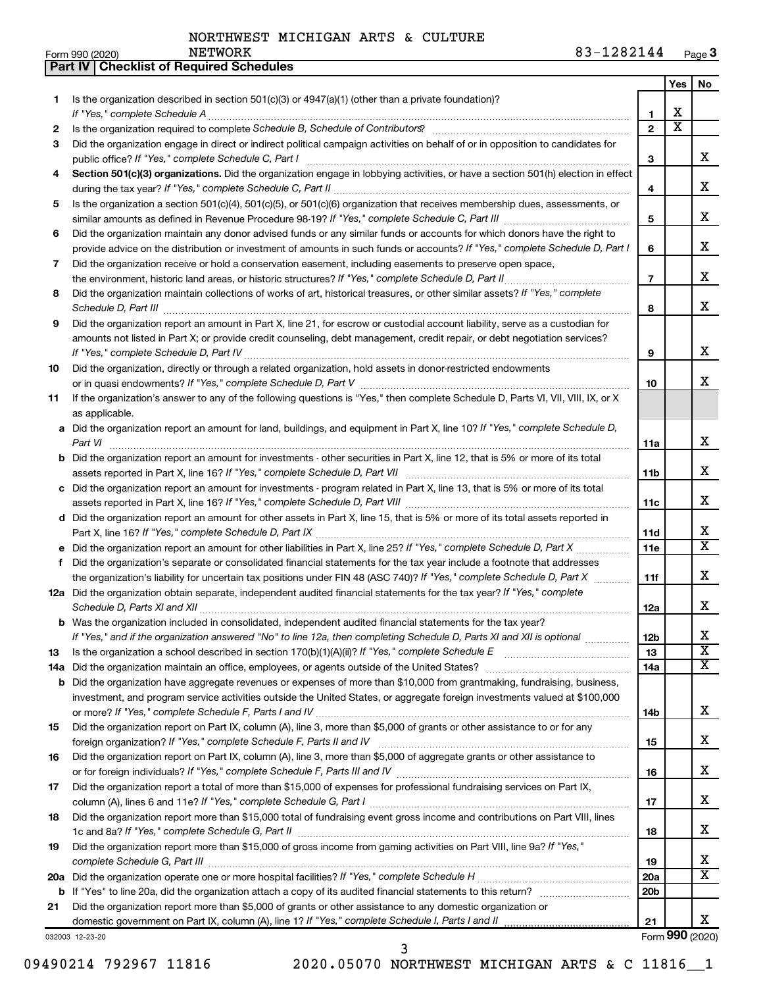**Part IV Checklist of Required Schedules**

|     |                                                                                                                                                                                                                                                            |                 | Yes                     | No                      |
|-----|------------------------------------------------------------------------------------------------------------------------------------------------------------------------------------------------------------------------------------------------------------|-----------------|-------------------------|-------------------------|
| 1   | Is the organization described in section $501(c)(3)$ or $4947(a)(1)$ (other than a private foundation)?                                                                                                                                                    |                 |                         |                         |
|     | If "Yes," complete Schedule A                                                                                                                                                                                                                              | 1               | x                       |                         |
| 2   |                                                                                                                                                                                                                                                            | $\overline{2}$  | $\overline{\textbf{x}}$ |                         |
| З   | Did the organization engage in direct or indirect political campaign activities on behalf of or in opposition to candidates for                                                                                                                            |                 |                         |                         |
|     | public office? If "Yes," complete Schedule C, Part I                                                                                                                                                                                                       | 3               |                         | x                       |
| 4   | Section 501(c)(3) organizations. Did the organization engage in lobbying activities, or have a section 501(h) election in effect                                                                                                                           |                 |                         |                         |
|     |                                                                                                                                                                                                                                                            | 4               |                         | x                       |
| 5   | Is the organization a section 501(c)(4), 501(c)(5), or 501(c)(6) organization that receives membership dues, assessments, or                                                                                                                               |                 |                         |                         |
|     |                                                                                                                                                                                                                                                            | 5               |                         | x                       |
| 6   | Did the organization maintain any donor advised funds or any similar funds or accounts for which donors have the right to                                                                                                                                  |                 |                         |                         |
|     | provide advice on the distribution or investment of amounts in such funds or accounts? If "Yes," complete Schedule D, Part I                                                                                                                               | 6               |                         | x                       |
| 7   | Did the organization receive or hold a conservation easement, including easements to preserve open space,                                                                                                                                                  |                 |                         | x                       |
|     | the environment, historic land areas, or historic structures? If "Yes," complete Schedule D, Part II                                                                                                                                                       | $\overline{7}$  |                         |                         |
| 8   | Did the organization maintain collections of works of art, historical treasures, or other similar assets? If "Yes," complete                                                                                                                               |                 |                         | x                       |
|     |                                                                                                                                                                                                                                                            | 8               |                         |                         |
| 9   | Did the organization report an amount in Part X, line 21, for escrow or custodial account liability, serve as a custodian for<br>amounts not listed in Part X; or provide credit counseling, debt management, credit repair, or debt negotiation services? |                 |                         |                         |
|     |                                                                                                                                                                                                                                                            | 9               |                         | x                       |
| 10  | Did the organization, directly or through a related organization, hold assets in donor-restricted endowments                                                                                                                                               |                 |                         |                         |
|     |                                                                                                                                                                                                                                                            | 10              |                         | x                       |
| 11  | If the organization's answer to any of the following questions is "Yes," then complete Schedule D, Parts VI, VII, VIII, IX, or X                                                                                                                           |                 |                         |                         |
|     | as applicable.                                                                                                                                                                                                                                             |                 |                         |                         |
|     | a Did the organization report an amount for land, buildings, and equipment in Part X, line 10? If "Yes," complete Schedule D,                                                                                                                              |                 |                         |                         |
|     |                                                                                                                                                                                                                                                            | 11a             |                         | x                       |
|     | <b>b</b> Did the organization report an amount for investments - other securities in Part X, line 12, that is 5% or more of its total                                                                                                                      |                 |                         |                         |
|     |                                                                                                                                                                                                                                                            | 11 <sub>b</sub> |                         | x                       |
|     | c Did the organization report an amount for investments - program related in Part X, line 13, that is 5% or more of its total                                                                                                                              |                 |                         |                         |
|     |                                                                                                                                                                                                                                                            | 11c             |                         | x                       |
|     | d Did the organization report an amount for other assets in Part X, line 15, that is 5% or more of its total assets reported in                                                                                                                            |                 |                         |                         |
|     |                                                                                                                                                                                                                                                            | 11d             |                         | x                       |
|     |                                                                                                                                                                                                                                                            | 11e             |                         | $\overline{\mathtt{x}}$ |
| f.  | Did the organization's separate or consolidated financial statements for the tax year include a footnote that addresses                                                                                                                                    |                 |                         |                         |
|     | the organization's liability for uncertain tax positions under FIN 48 (ASC 740)? If "Yes," complete Schedule D, Part X                                                                                                                                     | 11f             |                         | х                       |
|     | 12a Did the organization obtain separate, independent audited financial statements for the tax year? If "Yes," complete                                                                                                                                    |                 |                         |                         |
|     | Schedule D, Parts XI and XII                                                                                                                                                                                                                               | 12a             |                         | х                       |
|     | <b>b</b> Was the organization included in consolidated, independent audited financial statements for the tax year?                                                                                                                                         |                 |                         |                         |
|     | If "Yes," and if the organization answered "No" to line 12a, then completing Schedule D, Parts XI and XII is optional                                                                                                                                      | 12 <sub>b</sub> |                         | х                       |
| 13  | Is the organization a school described in section $170(b)(1)(A)(ii)?$ If "Yes," complete Schedule E                                                                                                                                                        | 13              |                         | $\overline{\text{x}}$   |
| 14a |                                                                                                                                                                                                                                                            | 14a             |                         | x                       |
| b   | Did the organization have aggregate revenues or expenses of more than \$10,000 from grantmaking, fundraising, business,                                                                                                                                    |                 |                         |                         |
|     | investment, and program service activities outside the United States, or aggregate foreign investments valued at \$100,000                                                                                                                                 |                 |                         |                         |
|     |                                                                                                                                                                                                                                                            | 14b             |                         | x                       |
| 15  | Did the organization report on Part IX, column (A), line 3, more than \$5,000 of grants or other assistance to or for any                                                                                                                                  |                 |                         | x                       |
|     | Did the organization report on Part IX, column (A), line 3, more than \$5,000 of aggregate grants or other assistance to                                                                                                                                   | 15              |                         |                         |
| 16  |                                                                                                                                                                                                                                                            | 16              |                         | x                       |
|     | Did the organization report a total of more than \$15,000 of expenses for professional fundraising services on Part IX,                                                                                                                                    |                 |                         |                         |
| 17  |                                                                                                                                                                                                                                                            | 17              |                         | x                       |
| 18  | Did the organization report more than \$15,000 total of fundraising event gross income and contributions on Part VIII, lines                                                                                                                               |                 |                         |                         |
|     |                                                                                                                                                                                                                                                            | 18              |                         | x                       |
| 19  | Did the organization report more than \$15,000 of gross income from gaming activities on Part VIII, line 9a? If "Yes,"                                                                                                                                     |                 |                         |                         |
|     |                                                                                                                                                                                                                                                            | 19              |                         | x                       |
| 20a |                                                                                                                                                                                                                                                            | 20a             |                         | $\overline{\texttt{X}}$ |
| b   |                                                                                                                                                                                                                                                            | 20 <sub>b</sub> |                         |                         |
| 21  | Did the organization report more than \$5,000 of grants or other assistance to any domestic organization or                                                                                                                                                |                 |                         |                         |
|     | domestic government on Part IX, column (A), line 1? If "Yes," complete Schedule I, Parts I and II                                                                                                                                                          | 21              |                         | x                       |
|     | 032003 12-23-20                                                                                                                                                                                                                                            |                 |                         | Form 990 (2020)         |

09490214 792967 11816 2020.05070 NORTHWEST MICHIGAN ARTS & C 11816 1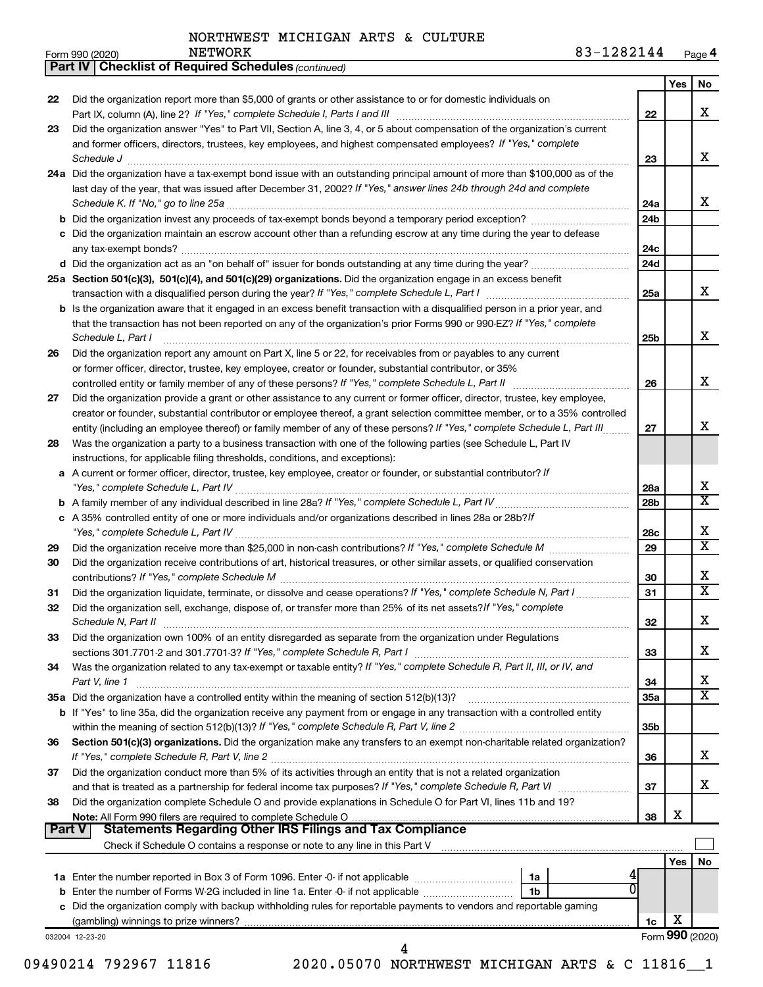*(continued)*

**Part IV Checklist of Required Schedules**

| Form 990 (2020) |  | <b>NETWORK</b> | 0001<br>44<br>4041 | Page 4 |
|-----------------|--|----------------|--------------------|--------|
|-----------------|--|----------------|--------------------|--------|

|          |                                                                                                                                                                                                                                                            |     | Yes      | No                           |
|----------|------------------------------------------------------------------------------------------------------------------------------------------------------------------------------------------------------------------------------------------------------------|-----|----------|------------------------------|
| 22       | Did the organization report more than \$5,000 of grants or other assistance to or for domestic individuals on                                                                                                                                              |     |          |                              |
|          |                                                                                                                                                                                                                                                            | 22  |          | x                            |
| 23       | Did the organization answer "Yes" to Part VII, Section A, line 3, 4, or 5 about compensation of the organization's current                                                                                                                                 |     |          |                              |
|          | and former officers, directors, trustees, key employees, and highest compensated employees? If "Yes," complete                                                                                                                                             |     |          |                              |
|          | Schedule J                                                                                                                                                                                                                                                 | 23  |          | x                            |
|          | 24a Did the organization have a tax-exempt bond issue with an outstanding principal amount of more than \$100,000 as of the                                                                                                                                |     |          |                              |
|          | last day of the year, that was issued after December 31, 2002? If "Yes," answer lines 24b through 24d and complete                                                                                                                                         | 24a |          | x                            |
|          | <b>b</b> Did the organization invest any proceeds of tax-exempt bonds beyond a temporary period exception?                                                                                                                                                 | 24b |          |                              |
|          | c Did the organization maintain an escrow account other than a refunding escrow at any time during the year to defease                                                                                                                                     |     |          |                              |
|          |                                                                                                                                                                                                                                                            | 24c |          |                              |
|          | d Did the organization act as an "on behalf of" issuer for bonds outstanding at any time during the year?                                                                                                                                                  | 24d |          |                              |
|          | 25a Section 501(c)(3), 501(c)(4), and 501(c)(29) organizations. Did the organization engage in an excess benefit                                                                                                                                           |     |          |                              |
|          |                                                                                                                                                                                                                                                            | 25a |          | x                            |
|          | <b>b</b> Is the organization aware that it engaged in an excess benefit transaction with a disqualified person in a prior year, and                                                                                                                        |     |          |                              |
|          | that the transaction has not been reported on any of the organization's prior Forms 990 or 990-EZ? If "Yes," complete                                                                                                                                      |     |          |                              |
|          | Schedule L, Part I                                                                                                                                                                                                                                         | 25b |          | x                            |
| 26       | Did the organization report any amount on Part X, line 5 or 22, for receivables from or payables to any current                                                                                                                                            |     |          |                              |
|          | or former officer, director, trustee, key employee, creator or founder, substantial contributor, or 35%                                                                                                                                                    |     |          | x                            |
|          | controlled entity or family member of any of these persons? If "Yes," complete Schedule L, Part II                                                                                                                                                         | 26  |          |                              |
| 27       | Did the organization provide a grant or other assistance to any current or former officer, director, trustee, key employee,<br>creator or founder, substantial contributor or employee thereof, a grant selection committee member, or to a 35% controlled |     |          |                              |
|          | entity (including an employee thereof) or family member of any of these persons? If "Yes," complete Schedule L, Part III                                                                                                                                   | 27  |          | x                            |
| 28       | Was the organization a party to a business transaction with one of the following parties (see Schedule L, Part IV                                                                                                                                          |     |          |                              |
|          | instructions, for applicable filing thresholds, conditions, and exceptions):                                                                                                                                                                               |     |          |                              |
|          | a A current or former officer, director, trustee, key employee, creator or founder, or substantial contributor? If                                                                                                                                         |     |          |                              |
|          |                                                                                                                                                                                                                                                            | 28a |          | х                            |
|          |                                                                                                                                                                                                                                                            | 28b |          | $\overline{\mathtt{x}}$      |
|          | c A 35% controlled entity of one or more individuals and/or organizations described in lines 28a or 28b?If                                                                                                                                                 |     |          |                              |
|          |                                                                                                                                                                                                                                                            | 28c |          | X                            |
| 29       |                                                                                                                                                                                                                                                            | 29  |          | $\overline{\mathtt{x}}$      |
| 30       | Did the organization receive contributions of art, historical treasures, or other similar assets, or qualified conservation                                                                                                                                |     |          |                              |
|          |                                                                                                                                                                                                                                                            | 30  |          | х<br>$\overline{\mathtt{x}}$ |
| 31       | Did the organization liquidate, terminate, or dissolve and cease operations? If "Yes," complete Schedule N, Part I                                                                                                                                         | 31  |          |                              |
| 32       | Did the organization sell, exchange, dispose of, or transfer more than 25% of its net assets? If "Yes," complete                                                                                                                                           | 32  |          | x                            |
| 33       | Did the organization own 100% of an entity disregarded as separate from the organization under Regulations                                                                                                                                                 |     |          |                              |
|          | sections 301.7701-2 and 301.7701-3? If "Yes," complete Schedule R, Part I                                                                                                                                                                                  | 33  |          | х                            |
| 34       | Was the organization related to any tax-exempt or taxable entity? If "Yes," complete Schedule R, Part II, III, or IV, and                                                                                                                                  |     |          |                              |
|          | Part V, line 1                                                                                                                                                                                                                                             | 34  |          | x                            |
|          | 35a Did the organization have a controlled entity within the meaning of section 512(b)(13)?                                                                                                                                                                | 35a |          | $\overline{\texttt{x}}$      |
|          | b If "Yes" to line 35a, did the organization receive any payment from or engage in any transaction with a controlled entity                                                                                                                                |     |          |                              |
|          |                                                                                                                                                                                                                                                            | 35b |          |                              |
| 36       | Section 501(c)(3) organizations. Did the organization make any transfers to an exempt non-charitable related organization?                                                                                                                                 |     |          |                              |
|          | If "Yes," complete Schedule R, Part V, line 2                                                                                                                                                                                                              | 36  |          | X.                           |
| 37       | Did the organization conduct more than 5% of its activities through an entity that is not a related organization                                                                                                                                           |     |          |                              |
|          |                                                                                                                                                                                                                                                            | 37  |          | x                            |
| 38       | Did the organization complete Schedule O and provide explanations in Schedule O for Part VI, lines 11b and 19?                                                                                                                                             |     | х        |                              |
| ∣ Part V | <b>Statements Regarding Other IRS Filings and Tax Compliance</b>                                                                                                                                                                                           | 38  |          |                              |
|          |                                                                                                                                                                                                                                                            |     |          |                              |
|          |                                                                                                                                                                                                                                                            |     | Yes   No |                              |
|          | 1a                                                                                                                                                                                                                                                         |     |          |                              |
|          | 0<br>1b                                                                                                                                                                                                                                                    |     |          |                              |
|          | c Did the organization comply with backup withholding rules for reportable payments to vendors and reportable gaming                                                                                                                                       |     |          |                              |
|          |                                                                                                                                                                                                                                                            | 1c  | х        |                              |
|          | 032004 12-23-20                                                                                                                                                                                                                                            |     |          | Form 990 (2020)              |
|          | 10021 <i>1</i> 702067 1191 <i>6</i><br>2020 05070 NODTUWEST NICUTOAN ADTS 6 C 11816                                                                                                                                                                        |     |          |                              |

09490214 792967 11816 2020.05070 NORTHWEST MICHIGAN ARTS & C 11816 1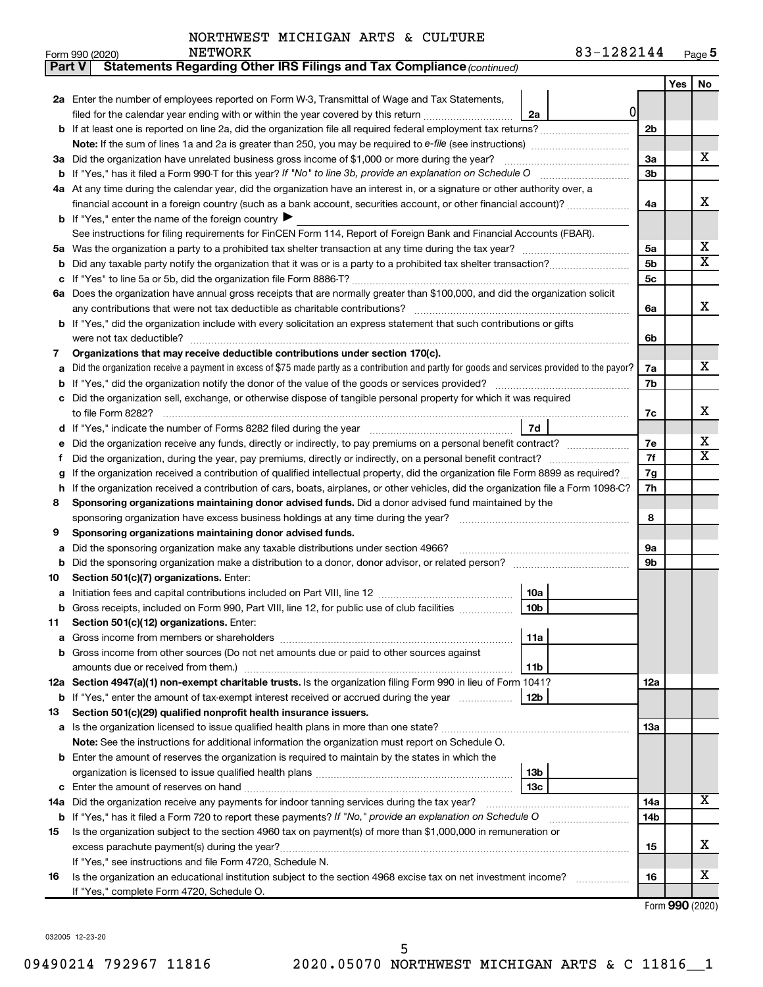| Part V | Statements Regarding Other IRS Filings and Tax Compliance (continued)                                                                                        |     |     |                         |  |  |  |  |
|--------|--------------------------------------------------------------------------------------------------------------------------------------------------------------|-----|-----|-------------------------|--|--|--|--|
|        |                                                                                                                                                              |     | Yes | No                      |  |  |  |  |
|        | 2a Enter the number of employees reported on Form W-3, Transmittal of Wage and Tax Statements,                                                               |     |     |                         |  |  |  |  |
|        | 0 <br>filed for the calendar year ending with or within the year covered by this return<br>2a                                                                |     |     |                         |  |  |  |  |
|        | <b>b</b> If at least one is reported on line 2a, did the organization file all required federal employment tax returns?                                      | 2b  |     |                         |  |  |  |  |
|        | Note: If the sum of lines 1a and 2a is greater than 250, you may be required to e-file (see instructions) <i>marroummann</i>                                 |     |     |                         |  |  |  |  |
|        | 3a Did the organization have unrelated business gross income of \$1,000 or more during the year?                                                             |     |     |                         |  |  |  |  |
| b      | If "Yes," has it filed a Form 990-T for this year? If "No" to line 3b, provide an explanation on Schedule O manumum                                          | 3b  |     |                         |  |  |  |  |
|        | 4a At any time during the calendar year, did the organization have an interest in, or a signature or other authority over, a                                 |     |     |                         |  |  |  |  |
|        | financial account in a foreign country (such as a bank account, securities account, or other financial account)?                                             | 4a  |     | x                       |  |  |  |  |
|        | <b>b</b> If "Yes," enter the name of the foreign country ▶                                                                                                   |     |     |                         |  |  |  |  |
|        | See instructions for filing requirements for FinCEN Form 114, Report of Foreign Bank and Financial Accounts (FBAR).                                          |     |     |                         |  |  |  |  |
| 5a     |                                                                                                                                                              | 5a  |     | x                       |  |  |  |  |
| b      |                                                                                                                                                              | 5b  |     | $\overline{\textbf{X}}$ |  |  |  |  |
| с      |                                                                                                                                                              | 5c  |     |                         |  |  |  |  |
|        | 6a Does the organization have annual gross receipts that are normally greater than \$100,000, and did the organization solicit                               |     |     |                         |  |  |  |  |
|        |                                                                                                                                                              | 6a  |     | x                       |  |  |  |  |
|        | <b>b</b> If "Yes," did the organization include with every solicitation an express statement that such contributions or gifts                                |     |     |                         |  |  |  |  |
|        |                                                                                                                                                              | 6b  |     |                         |  |  |  |  |
| 7      | Organizations that may receive deductible contributions under section 170(c).                                                                                |     |     |                         |  |  |  |  |
| а      | Did the organization receive a payment in excess of \$75 made partly as a contribution and partly for goods and services provided to the payor?              | 7a  |     | х                       |  |  |  |  |
| b      |                                                                                                                                                              | 7b  |     |                         |  |  |  |  |
|        | c Did the organization sell, exchange, or otherwise dispose of tangible personal property for which it was required                                          |     |     |                         |  |  |  |  |
|        |                                                                                                                                                              | 7c  |     | х                       |  |  |  |  |
|        | 7d                                                                                                                                                           |     |     |                         |  |  |  |  |
| е      |                                                                                                                                                              |     |     |                         |  |  |  |  |
| f.     |                                                                                                                                                              | 7f  |     | $\overline{\textbf{X}}$ |  |  |  |  |
| g      | If the organization received a contribution of qualified intellectual property, did the organization file Form 8899 as required?                             |     |     |                         |  |  |  |  |
| h      | If the organization received a contribution of cars, boats, airplanes, or other vehicles, did the organization file a Form 1098-C?                           |     |     |                         |  |  |  |  |
| 8      | Sponsoring organizations maintaining donor advised funds. Did a donor advised fund maintained by the                                                         |     |     |                         |  |  |  |  |
|        |                                                                                                                                                              | 8   |     |                         |  |  |  |  |
| 9      | Sponsoring organizations maintaining donor advised funds.                                                                                                    |     |     |                         |  |  |  |  |
| а      | Did the sponsoring organization make any taxable distributions under section 4966?                                                                           | 9а  |     |                         |  |  |  |  |
| b      |                                                                                                                                                              | 9b  |     |                         |  |  |  |  |
| 10     | Section 501(c)(7) organizations. Enter:                                                                                                                      |     |     |                         |  |  |  |  |
| а      | 10a                                                                                                                                                          |     |     |                         |  |  |  |  |
|        | 10 <sub>b</sub><br>b Gross receipts, included on Form 990, Part VIII, line 12, for public use of club facilities                                             |     |     |                         |  |  |  |  |
| 11     | Section 501(c)(12) organizations. Enter:                                                                                                                     |     |     |                         |  |  |  |  |
| а      | 11a                                                                                                                                                          |     |     |                         |  |  |  |  |
|        | b Gross income from other sources (Do not net amounts due or paid to other sources against                                                                   |     |     |                         |  |  |  |  |
|        | 11b                                                                                                                                                          |     |     |                         |  |  |  |  |
|        | 12a Section 4947(a)(1) non-exempt charitable trusts. Is the organization filing Form 990 in lieu of Form 1041?                                               | 12a |     |                         |  |  |  |  |
|        | b If "Yes," enter the amount of tax-exempt interest received or accrued during the year<br>12 <sub>b</sub>                                                   |     |     |                         |  |  |  |  |
| 13     | Section 501(c)(29) qualified nonprofit health insurance issuers.                                                                                             |     |     |                         |  |  |  |  |
|        | a Is the organization licensed to issue qualified health plans in more than one state?                                                                       | 1За |     |                         |  |  |  |  |
|        | Note: See the instructions for additional information the organization must report on Schedule O.                                                            |     |     |                         |  |  |  |  |
|        | <b>b</b> Enter the amount of reserves the organization is required to maintain by the states in which the                                                    |     |     |                         |  |  |  |  |
|        | 13 <sub>b</sub>                                                                                                                                              |     |     |                         |  |  |  |  |
|        | 13с<br>с                                                                                                                                                     |     |     |                         |  |  |  |  |
|        | 14a Did the organization receive any payments for indoor tanning services during the tax year?                                                               | 14a |     | x                       |  |  |  |  |
| b      | If "Yes," has it filed a Form 720 to report these payments? If "No," provide an explanation on Schedule O                                                    | 14b |     |                         |  |  |  |  |
| 15     | Is the organization subject to the section 4960 tax on payment(s) of more than \$1,000,000 in remuneration or                                                |     |     | х                       |  |  |  |  |
|        |                                                                                                                                                              | 15  |     |                         |  |  |  |  |
|        | If "Yes," see instructions and file Form 4720, Schedule N.                                                                                                   |     |     | х                       |  |  |  |  |
| 16     | Is the organization an educational institution subject to the section 4968 excise tax on net investment income?<br>If "Yes," complete Form 4720, Schedule O. | 16  |     |                         |  |  |  |  |
|        |                                                                                                                                                              |     |     |                         |  |  |  |  |

Form (2020) **990**

032005 12-23-20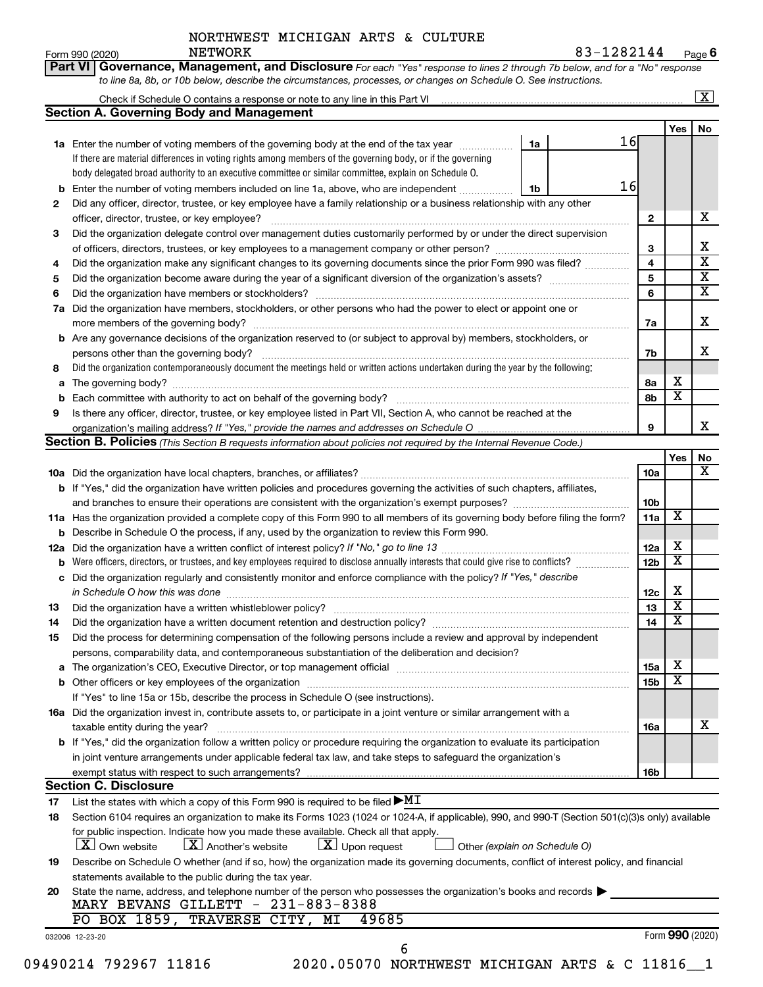| NORTHWEST MICHIGAN ARTS & CULTURE |  |
|-----------------------------------|--|
|-----------------------------------|--|

**Part VI Governance, Management, and Disclosure** 

Form 990 (2020) Page **6**  $\texttt{NETWORK} \quad \texttt{83-1282144}$ 

*For each "Yes" response to lines 2 through 7b below, and for a "No" response*

|          | <b>Section A. Governing Body and Management</b>                                                                                                                                                                                         |                 |                              |                              |  |  |  |  |  |
|----------|-----------------------------------------------------------------------------------------------------------------------------------------------------------------------------------------------------------------------------------------|-----------------|------------------------------|------------------------------|--|--|--|--|--|
|          |                                                                                                                                                                                                                                         |                 | Yes                          | No                           |  |  |  |  |  |
|          | 16<br>1a Enter the number of voting members of the governing body at the end of the tax year<br>1a                                                                                                                                      |                 |                              |                              |  |  |  |  |  |
|          | If there are material differences in voting rights among members of the governing body, or if the governing                                                                                                                             |                 |                              |                              |  |  |  |  |  |
|          | body delegated broad authority to an executive committee or similar committee, explain on Schedule O.                                                                                                                                   |                 |                              |                              |  |  |  |  |  |
|          | 16<br>Enter the number of voting members included on line 1a, above, who are independent<br>1b                                                                                                                                          |                 |                              |                              |  |  |  |  |  |
| 2        | Did any officer, director, trustee, or key employee have a family relationship or a business relationship with any other                                                                                                                |                 |                              |                              |  |  |  |  |  |
|          | officer, director, trustee, or key employee?                                                                                                                                                                                            | $\mathbf{2}$    |                              | х                            |  |  |  |  |  |
| 3        | Did the organization delegate control over management duties customarily performed by or under the direct supervision                                                                                                                   |                 |                              |                              |  |  |  |  |  |
|          |                                                                                                                                                                                                                                         | 3               |                              | х<br>$\overline{\mathbf{x}}$ |  |  |  |  |  |
| 4        | Did the organization make any significant changes to its governing documents since the prior Form 990 was filed?                                                                                                                        | 4               |                              | $\overline{\mathbf{X}}$      |  |  |  |  |  |
| 5        |                                                                                                                                                                                                                                         | 5<br>6          |                              | $\overline{\mathbf{x}}$      |  |  |  |  |  |
| 6        |                                                                                                                                                                                                                                         |                 |                              |                              |  |  |  |  |  |
| 7a       | Did the organization have members, stockholders, or other persons who had the power to elect or appoint one or                                                                                                                          |                 |                              | Х                            |  |  |  |  |  |
|          |                                                                                                                                                                                                                                         | 7a              |                              |                              |  |  |  |  |  |
|          | <b>b</b> Are any governance decisions of the organization reserved to (or subject to approval by) members, stockholders, or                                                                                                             |                 |                              |                              |  |  |  |  |  |
|          |                                                                                                                                                                                                                                         | 7b              |                              | x                            |  |  |  |  |  |
| 8        | Did the organization contemporaneously document the meetings held or written actions undertaken during the year by the following:                                                                                                       |                 |                              |                              |  |  |  |  |  |
| a        |                                                                                                                                                                                                                                         | 8а              | х<br>$\overline{\mathbf{x}}$ |                              |  |  |  |  |  |
|          |                                                                                                                                                                                                                                         | 8b              |                              |                              |  |  |  |  |  |
| 9        | Is there any officer, director, trustee, or key employee listed in Part VII, Section A, who cannot be reached at the                                                                                                                    |                 |                              | x                            |  |  |  |  |  |
|          |                                                                                                                                                                                                                                         | 9               |                              |                              |  |  |  |  |  |
|          | Section B. Policies (This Section B requests information about policies not required by the Internal Revenue Code.)                                                                                                                     |                 |                              |                              |  |  |  |  |  |
|          |                                                                                                                                                                                                                                         |                 | Yes                          | No<br>х                      |  |  |  |  |  |
|          |                                                                                                                                                                                                                                         | <b>10a</b>      |                              |                              |  |  |  |  |  |
|          | b If "Yes," did the organization have written policies and procedures governing the activities of such chapters, affiliates,                                                                                                            |                 |                              |                              |  |  |  |  |  |
|          |                                                                                                                                                                                                                                         | 10b             | X                            |                              |  |  |  |  |  |
|          | 11a Has the organization provided a complete copy of this Form 990 to all members of its governing body before filing the form?                                                                                                         | 11a             |                              |                              |  |  |  |  |  |
|          | <b>b</b> Describe in Schedule O the process, if any, used by the organization to review this Form 990.                                                                                                                                  |                 | х                            |                              |  |  |  |  |  |
| 12a      | Were officers, directors, or trustees, and key employees required to disclose annually interests that could give rise to conflicts?                                                                                                     | 12a             | $\overline{\textbf{x}}$      |                              |  |  |  |  |  |
|          |                                                                                                                                                                                                                                         | 12 <sub>b</sub> |                              |                              |  |  |  |  |  |
| с        | Did the organization regularly and consistently monitor and enforce compliance with the policy? If "Yes," describe                                                                                                                      |                 | х                            |                              |  |  |  |  |  |
|          | in Schedule O how this was done manufactured and continuum and contact the was done manufactured and contact t                                                                                                                          | 12c             | $\overline{\mathbf{x}}$      |                              |  |  |  |  |  |
| 13       |                                                                                                                                                                                                                                         | 13<br>14        | $\overline{\textbf{x}}$      |                              |  |  |  |  |  |
| 14       |                                                                                                                                                                                                                                         |                 |                              |                              |  |  |  |  |  |
| 15       | Did the process for determining compensation of the following persons include a review and approval by independent                                                                                                                      |                 |                              |                              |  |  |  |  |  |
|          | persons, comparability data, and contemporaneous substantiation of the deliberation and decision?                                                                                                                                       |                 | X                            |                              |  |  |  |  |  |
|          | The organization's CEO, Executive Director, or top management official [111] [11] manument manument in the organization's CEO, Executive Director, or top management official [11] manument in the organization of the organiz          | 15a             | $\overline{\textbf{x}}$      |                              |  |  |  |  |  |
|          |                                                                                                                                                                                                                                         | 15b             |                              |                              |  |  |  |  |  |
|          | If "Yes" to line 15a or 15b, describe the process in Schedule O (see instructions).                                                                                                                                                     |                 |                              |                              |  |  |  |  |  |
|          | 16a Did the organization invest in, contribute assets to, or participate in a joint venture or similar arrangement with a                                                                                                               |                 |                              | x                            |  |  |  |  |  |
|          |                                                                                                                                                                                                                                         | 16a             |                              |                              |  |  |  |  |  |
|          | taxable entity during the year?                                                                                                                                                                                                         |                 |                              |                              |  |  |  |  |  |
|          | b If "Yes," did the organization follow a written policy or procedure requiring the organization to evaluate its participation                                                                                                          |                 |                              |                              |  |  |  |  |  |
|          | in joint venture arrangements under applicable federal tax law, and take steps to safeguard the organization's                                                                                                                          |                 |                              |                              |  |  |  |  |  |
|          | exempt status with respect to such arrangements?                                                                                                                                                                                        | 16b             |                              |                              |  |  |  |  |  |
|          | <b>Section C. Disclosure</b>                                                                                                                                                                                                            |                 |                              |                              |  |  |  |  |  |
|          | List the states with which a copy of this Form 990 is required to be filed $\blacktriangleright\text{MT}$                                                                                                                               |                 |                              |                              |  |  |  |  |  |
| 17<br>18 | Section 6104 requires an organization to make its Forms 1023 (1024 or 1024-A, if applicable), 990, and 990-T (Section 501(c)(3)s only) available<br>for public inspection. Indicate how you made these available. Check all that apply. |                 |                              |                              |  |  |  |  |  |
|          | $\lfloor x \rfloor$ Another's website<br>$\lfloor x \rfloor$ Upon request<br>$ \mathbf{X} $ Own website<br>Other (explain on Schedule O)                                                                                                |                 |                              |                              |  |  |  |  |  |
|          | Describe on Schedule O whether (and if so, how) the organization made its governing documents, conflict of interest policy, and financial                                                                                               |                 |                              |                              |  |  |  |  |  |
| 19       | statements available to the public during the tax year.                                                                                                                                                                                 |                 |                              |                              |  |  |  |  |  |
| 20       | State the name, address, and telephone number of the person who possesses the organization's books and records $\blacktriangleright$                                                                                                    |                 |                              |                              |  |  |  |  |  |
|          | MARY BEVANS GILLETT - 231-883-8388                                                                                                                                                                                                      |                 |                              |                              |  |  |  |  |  |
|          | PO BOX 1859, TRAVERSE CITY, MI<br>49685                                                                                                                                                                                                 |                 | Form 990 (2020)              |                              |  |  |  |  |  |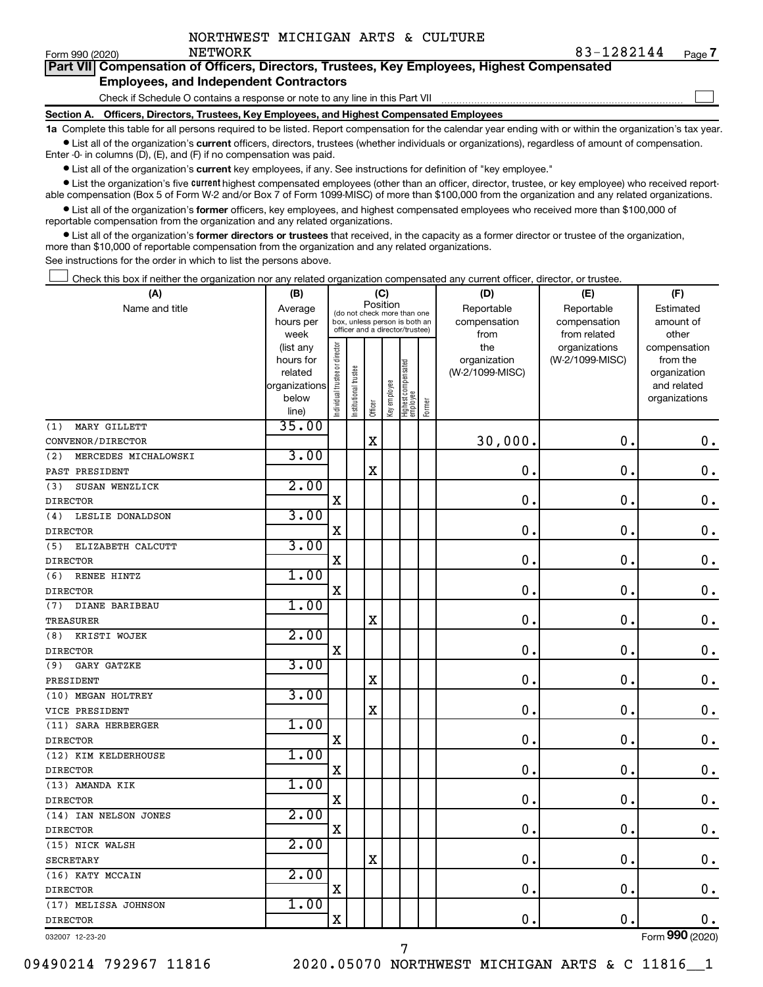Form 990 (2020) **NETWORK** 

 $\Box$ 

| Part VII Compensation of Officers, Directors, Trustees, Key Employees, Highest Compensated |  |
|--------------------------------------------------------------------------------------------|--|
| <b>Employees, and Independent Contractors</b>                                              |  |

Check if Schedule O contains a response or note to any line in this Part VII

**Section A. Officers, Directors, Trustees, Key Employees, and Highest Compensated Employees**

**1a**  Complete this table for all persons required to be listed. Report compensation for the calendar year ending with or within the organization's tax year.  $\bullet$  List all of the organization's current officers, directors, trustees (whether individuals or organizations), regardless of amount of compensation.

Enter -0- in columns (D), (E), and (F) if no compensation was paid.

**•** List all of the organization's current key employees, if any. See instructions for definition of "key employee."

• List the organization's five *current* highest compensated employees (other than an officer, director, trustee, or key employee) who received reportable compensation (Box 5 of Form W-2 and/or Box 7 of Form 1099-MISC) of more than \$100,000 from the organization and any related organizations.

 $\bullet$  List all of the organization's former officers, key employees, and highest compensated employees who received more than \$100,000 of reportable compensation from the organization and any related organizations.

**•** List all of the organization's former directors or trustees that received, in the capacity as a former director or trustee of the organization, more than \$10,000 of reportable compensation from the organization and any related organizations.

See instructions for the order in which to list the persons above.

Check this box if neither the organization nor any related organization compensated any current officer, director, or trustee.  $\Box$ 

| (A)                         | (B)                  |                                |                                                                  | (C)         |              |                                   |        | (D)                             | (E)             | (F)                      |
|-----------------------------|----------------------|--------------------------------|------------------------------------------------------------------|-------------|--------------|-----------------------------------|--------|---------------------------------|-----------------|--------------------------|
| Name and title              | Average              |                                | (do not check more than one                                      | Position    |              |                                   |        | Reportable                      | Reportable      | Estimated                |
|                             | hours per            |                                | box, unless person is both an<br>officer and a director/trustee) |             |              |                                   |        | compensation                    | compensation    | amount of                |
|                             | week                 |                                |                                                                  |             |              |                                   |        | from                            | from related    | other                    |
|                             | (list any            |                                |                                                                  |             |              |                                   |        | the                             | organizations   | compensation             |
|                             | hours for<br>related |                                |                                                                  |             |              |                                   |        | organization<br>(W-2/1099-MISC) | (W-2/1099-MISC) | from the<br>organization |
|                             | organizations        |                                |                                                                  |             |              |                                   |        |                                 |                 | and related              |
|                             | below                |                                |                                                                  |             |              |                                   |        |                                 |                 | organizations            |
|                             | line)                | Individual trustee or director | Institutional trustee                                            | Officer     | Key employee | Highest compensated<br>  employee | Former |                                 |                 |                          |
| MARY GILLETT<br>(1)         | 35.00                |                                |                                                                  |             |              |                                   |        |                                 |                 |                          |
| CONVENOR/DIRECTOR           |                      |                                |                                                                  | $\mathbf X$ |              |                                   |        | 30,000.                         | $\mathbf 0$ .   | $\mathbf 0$ .            |
| MERCEDES MICHALOWSKI<br>(2) | 3.00                 |                                |                                                                  |             |              |                                   |        |                                 |                 |                          |
| PAST PRESIDENT              |                      |                                |                                                                  | $\mathbf X$ |              |                                   |        | $\mathbf 0$ .                   | $\mathbf 0$ .   | $\mathbf 0$ .            |
| (3)<br>SUSAN WENZLICK       | 2.00                 |                                |                                                                  |             |              |                                   |        |                                 |                 |                          |
| <b>DIRECTOR</b>             |                      | X                              |                                                                  |             |              |                                   |        | $\mathbf 0$ .                   | 0.              | 0.                       |
| LESLIE DONALDSON<br>(4)     | 3.00                 |                                |                                                                  |             |              |                                   |        |                                 |                 |                          |
| <b>DIRECTOR</b>             |                      | $\mathbf X$                    |                                                                  |             |              |                                   |        | $\mathbf 0$ .                   | $\mathbf 0$ .   | $\mathbf 0$ .            |
| (5)<br>ELIZABETH CALCUTT    | 3.00                 |                                |                                                                  |             |              |                                   |        |                                 |                 |                          |
| <b>DIRECTOR</b>             |                      | $\mathbf X$                    |                                                                  |             |              |                                   |        | $\mathbf 0$ .                   | $\mathbf 0$ .   | $\mathbf 0$ .            |
| RENEE HINTZ<br>(6)          | 1.00                 |                                |                                                                  |             |              |                                   |        |                                 |                 |                          |
| <b>DIRECTOR</b>             |                      | $\mathbf X$                    |                                                                  |             |              |                                   |        | $\mathbf 0$ .                   | $\mathbf 0$ .   | 0.                       |
| DIANE BARIBEAU<br>(7)       | 1.00                 |                                |                                                                  |             |              |                                   |        |                                 |                 |                          |
| <b>TREASURER</b>            |                      |                                |                                                                  | $\mathbf X$ |              |                                   |        | $\mathbf 0$ .                   | $\mathbf 0$ .   | $\mathbf 0$ .            |
| KRISTI WOJEK<br>(8)         | 2.00                 |                                |                                                                  |             |              |                                   |        |                                 |                 |                          |
| <b>DIRECTOR</b>             |                      | $\mathbf X$                    |                                                                  |             |              |                                   |        | $\mathbf 0$ .                   | $\mathbf 0$ .   | $\mathbf 0$ .            |
| (9)<br>GARY GATZKE          | 3.00                 |                                |                                                                  |             |              |                                   |        |                                 |                 |                          |
| PRESIDENT                   |                      |                                |                                                                  | $\mathbf X$ |              |                                   |        | 0.                              | $\mathbf 0$ .   | $0$ .                    |
| (10) MEGAN HOLTREY          | 3.00                 |                                |                                                                  |             |              |                                   |        |                                 |                 |                          |
| VICE PRESIDENT              |                      |                                |                                                                  | X           |              |                                   |        | 0.                              | $\mathbf 0$ .   | $\mathbf 0$ .            |
| (11) SARA HERBERGER         | 1.00                 |                                |                                                                  |             |              |                                   |        |                                 |                 |                          |
| <b>DIRECTOR</b>             |                      | $\mathbf X$                    |                                                                  |             |              |                                   |        | $\mathbf 0$ .                   | $\mathbf 0$     | $\mathbf 0$ .            |
| (12) KIM KELDERHOUSE        | 1.00                 |                                |                                                                  |             |              |                                   |        |                                 |                 |                          |
| <b>DIRECTOR</b>             |                      | $\mathbf X$                    |                                                                  |             |              |                                   |        | $\mathbf 0$ .                   | $\mathbf 0$ .   | 0.                       |
| (13) AMANDA KIK             | 1.00                 |                                |                                                                  |             |              |                                   |        |                                 |                 |                          |
| <b>DIRECTOR</b>             |                      | $\mathbf X$                    |                                                                  |             |              |                                   |        | 0.                              | $\mathbf 0$ .   | $\mathbf 0$ .            |
| (14) IAN NELSON JONES       | 2.00                 |                                |                                                                  |             |              |                                   |        |                                 |                 |                          |
| <b>DIRECTOR</b>             |                      | $\mathbf X$                    |                                                                  |             |              |                                   |        | 0.                              | $\mathbf 0$ .   | $\mathbf 0$ .            |
| (15) NICK WALSH             | 2.00                 |                                |                                                                  |             |              |                                   |        |                                 |                 |                          |
| <b>SECRETARY</b>            |                      |                                |                                                                  | X           |              |                                   |        | $\mathbf 0$ .                   | 0.              | $\mathbf 0$ .            |
| (16) KATY MCCAIN            | 2.00                 |                                |                                                                  |             |              |                                   |        |                                 |                 |                          |
| <b>DIRECTOR</b>             |                      | $\mathbf X$                    |                                                                  |             |              |                                   |        | 0.                              | $\mathbf 0$ .   | $\mathbf 0$ .            |
| (17) MELISSA JOHNSON        | 1.00                 |                                |                                                                  |             |              |                                   |        |                                 |                 |                          |
| <b>DIRECTOR</b>             |                      | $\mathbf X$                    |                                                                  |             |              |                                   |        | 0.                              | $\mathbf 0$ .   | $0$ .                    |
| 032007 12-23-20             |                      |                                |                                                                  |             |              |                                   |        |                                 |                 | Form 990 (2020)          |

7

09490214 792967 11816 2020.05070 NORTHWEST MICHIGAN ARTS & C 11816 1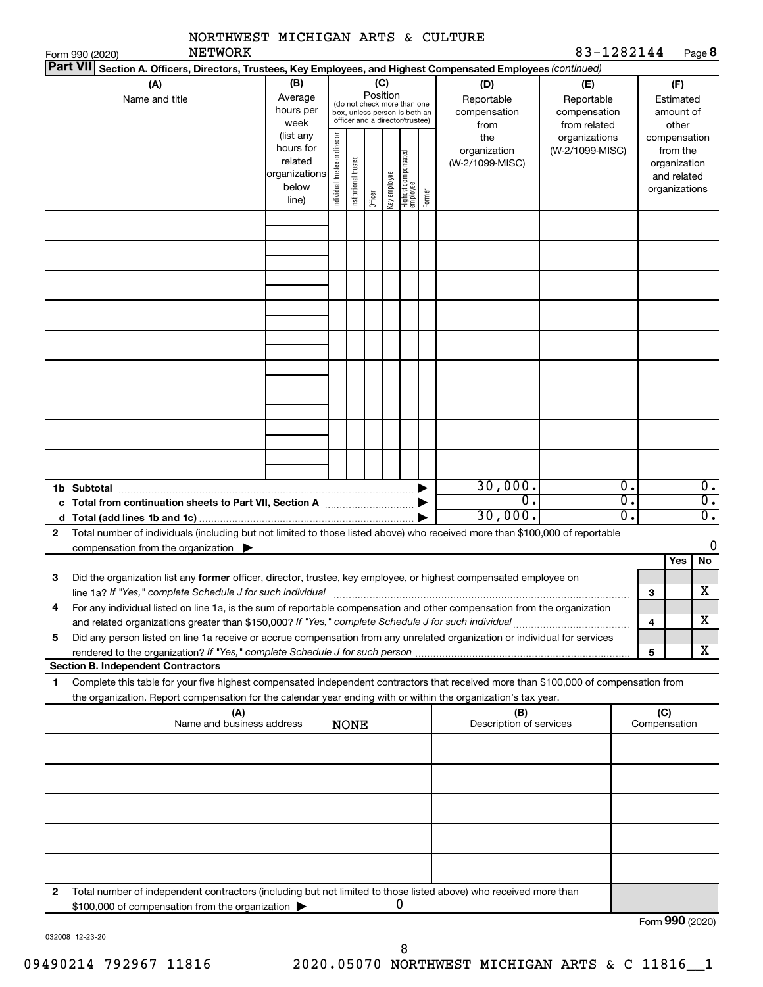|                                    | NORTHWEST MICHIGAN ARTS & CULTURE<br><b>NETWORK</b>                                                                                                                                                                                                    |                                                         |                                |                       |                 |              |                                                                                                 |        |                                                  | 83-1282144                                                         |                                                 |                                                          |                                      |
|------------------------------------|--------------------------------------------------------------------------------------------------------------------------------------------------------------------------------------------------------------------------------------------------------|---------------------------------------------------------|--------------------------------|-----------------------|-----------------|--------------|-------------------------------------------------------------------------------------------------|--------|--------------------------------------------------|--------------------------------------------------------------------|-------------------------------------------------|----------------------------------------------------------|--------------------------------------|
| Form 990 (2020)<br><b>Part VII</b> | Section A. Officers, Directors, Trustees, Key Employees, and Highest Compensated Employees (continued)                                                                                                                                                 |                                                         |                                |                       |                 |              |                                                                                                 |        |                                                  |                                                                    |                                                 |                                                          | Page 8                               |
|                                    | (A)<br>Name and title                                                                                                                                                                                                                                  | (B)<br>Average<br>hours per<br>week<br>(list any        |                                |                       | (C)<br>Position |              | (do not check more than one<br>box, unless person is both an<br>officer and a director/trustee) |        | (D)<br>Reportable<br>compensation<br>from<br>the | (E)<br>Reportable<br>compensation<br>from related<br>organizations |                                                 | (F)<br>Estimated<br>amount of<br>other<br>compensation   |                                      |
|                                    |                                                                                                                                                                                                                                                        | hours for<br>related<br>organizations<br>below<br>line) | Individual trustee or director | Institutional trustee | Officer         | Key employee | Highest compensated<br>  employee                                                               | Former | organization<br>(W-2/1099-MISC)                  | (W-2/1099-MISC)                                                    |                                                 | from the<br>organization<br>and related<br>organizations |                                      |
|                                    |                                                                                                                                                                                                                                                        |                                                         |                                |                       |                 |              |                                                                                                 |        |                                                  |                                                                    |                                                 |                                                          |                                      |
|                                    |                                                                                                                                                                                                                                                        |                                                         |                                |                       |                 |              |                                                                                                 |        |                                                  |                                                                    |                                                 |                                                          |                                      |
|                                    |                                                                                                                                                                                                                                                        |                                                         |                                |                       |                 |              |                                                                                                 |        |                                                  |                                                                    |                                                 |                                                          |                                      |
|                                    |                                                                                                                                                                                                                                                        |                                                         |                                |                       |                 |              |                                                                                                 |        |                                                  |                                                                    |                                                 |                                                          |                                      |
|                                    | c Total from continuation sheets to Part VII, Section A manuscreen continuum                                                                                                                                                                           |                                                         |                                |                       |                 |              |                                                                                                 |        | 30,000.<br>σ.                                    |                                                                    | $\overline{0}$ .<br>$\overline{\mathfrak{o}}$ . |                                                          | $\overline{0}$ .<br>$\overline{0}$ . |
| 2                                  | Total number of individuals (including but not limited to those listed above) who received more than \$100,000 of reportable                                                                                                                           |                                                         |                                |                       |                 |              |                                                                                                 |        | 30,000.                                          |                                                                    | σ.                                              |                                                          | $\overline{0}$ .                     |
|                                    | compensation from the organization $\blacktriangleright$                                                                                                                                                                                               |                                                         |                                |                       |                 |              |                                                                                                 |        |                                                  |                                                                    |                                                 | Yes                                                      | 0<br>No                              |
| 3                                  | Did the organization list any former officer, director, trustee, key employee, or highest compensated employee on<br>line 1a? If "Yes," complete Schedule J for such individual                                                                        |                                                         |                                |                       |                 |              |                                                                                                 |        |                                                  |                                                                    |                                                 | 3                                                        | X                                    |
| 4                                  | For any individual listed on line 1a, is the sum of reportable compensation and other compensation from the organization<br>and related organizations greater than \$150,000? If "Yes," complete Schedule J for such individual                        |                                                         |                                |                       |                 |              |                                                                                                 |        |                                                  |                                                                    |                                                 | 4                                                        | x                                    |
| 5                                  | Did any person listed on line 1a receive or accrue compensation from any unrelated organization or individual for services                                                                                                                             |                                                         |                                |                       |                 |              |                                                                                                 |        |                                                  |                                                                    |                                                 | 5                                                        | x                                    |
|                                    | <b>Section B. Independent Contractors</b>                                                                                                                                                                                                              |                                                         |                                |                       |                 |              |                                                                                                 |        |                                                  |                                                                    |                                                 |                                                          |                                      |
| 1.                                 | Complete this table for your five highest compensated independent contractors that received more than \$100,000 of compensation from<br>the organization. Report compensation for the calendar year ending with or within the organization's tax year. |                                                         |                                |                       |                 |              |                                                                                                 |        |                                                  |                                                                    |                                                 |                                                          |                                      |
|                                    | (A)<br>Name and business address                                                                                                                                                                                                                       |                                                         |                                | <b>NONE</b>           |                 |              |                                                                                                 |        | (B)<br>Description of services                   |                                                                    |                                                 | (C)<br>Compensation                                      |                                      |
|                                    |                                                                                                                                                                                                                                                        |                                                         |                                |                       |                 |              |                                                                                                 |        |                                                  |                                                                    |                                                 |                                                          |                                      |
|                                    |                                                                                                                                                                                                                                                        |                                                         |                                |                       |                 |              |                                                                                                 |        |                                                  |                                                                    |                                                 |                                                          |                                      |
| 2                                  | Total number of independent contractors (including but not limited to those listed above) who received more than                                                                                                                                       |                                                         |                                |                       |                 |              |                                                                                                 |        |                                                  |                                                                    |                                                 |                                                          |                                      |
|                                    | \$100,000 of compensation from the organization                                                                                                                                                                                                        |                                                         |                                |                       |                 |              | 0                                                                                               |        |                                                  |                                                                    |                                                 |                                                          | Form 990 (2020)                      |

032008 12-23-20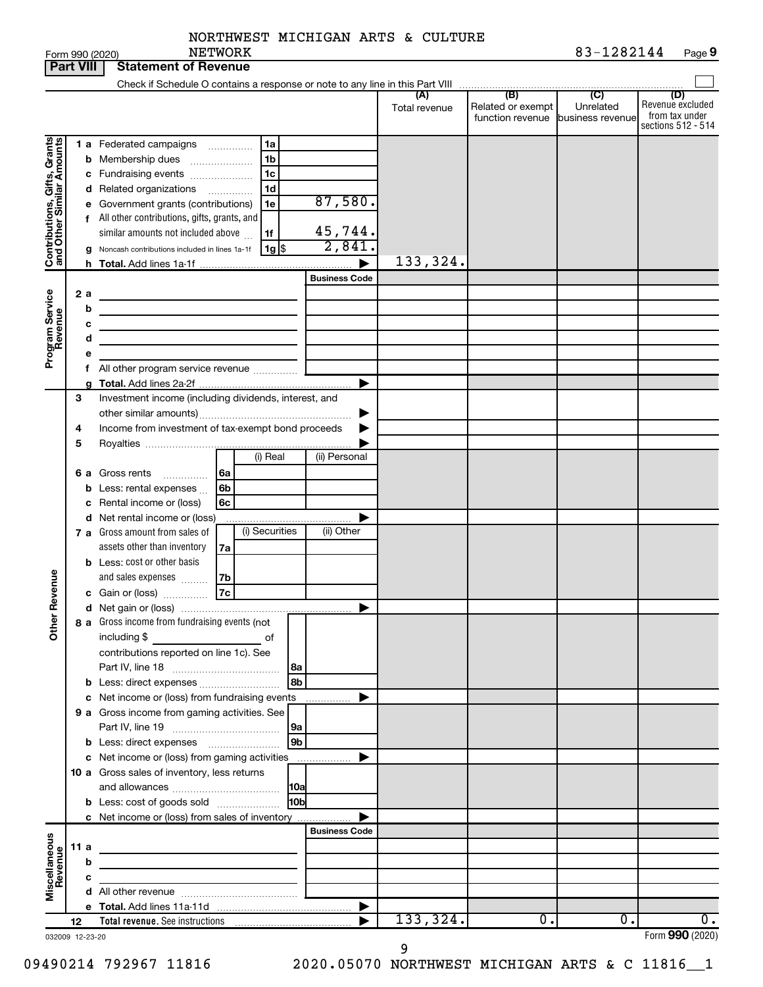| NORTHWEST MICHIGAN ARTS & CULTURE |  |  |  |
|-----------------------------------|--|--|--|
|-----------------------------------|--|--|--|

|                              | <b>Part VIII</b> | <b>Statement of Revenue</b>                                                                                                 |                                                                                                                                                                                 |
|------------------------------|------------------|-----------------------------------------------------------------------------------------------------------------------------|---------------------------------------------------------------------------------------------------------------------------------------------------------------------------------|
|                              |                  | Check if Schedule O contains a response or note to any line in this Part VIII                                               |                                                                                                                                                                                 |
|                              |                  |                                                                                                                             | (B)<br>(C)<br>(D)<br>(A)<br>Revenue excluded<br>Related or exempt<br>Unrelated<br>Total revenue<br>from tax under<br>function revenue<br>business revenue<br>sections 512 - 514 |
|                              |                  | 1 a Federated campaigns<br>1a<br>.<br>Membership dues<br>1b<br>b                                                            |                                                                                                                                                                                 |
|                              |                  | 1c<br>c Fundraising events<br>1d<br>d Related organizations<br>.<br>87,580.<br>Government grants (contributions)<br>1e<br>е |                                                                                                                                                                                 |
| Contributions, Gifts, Grants |                  | f All other contributions, gifts, grants, and<br>45,744.<br>similar amounts not included above<br>1f<br>2,841.              |                                                                                                                                                                                 |
|                              |                  | $1g$ $\frac{1}{3}$<br>Noncash contributions included in lines 1a-1f<br>g                                                    | 133,324.                                                                                                                                                                        |
|                              |                  | <b>Business Code</b>                                                                                                        |                                                                                                                                                                                 |
|                              | 2 a              |                                                                                                                             |                                                                                                                                                                                 |
| Program Service<br>Revenue   |                  | b                                                                                                                           |                                                                                                                                                                                 |
|                              |                  | с                                                                                                                           |                                                                                                                                                                                 |
|                              |                  | d                                                                                                                           |                                                                                                                                                                                 |
|                              |                  |                                                                                                                             |                                                                                                                                                                                 |
|                              |                  | f All other program service revenue                                                                                         |                                                                                                                                                                                 |
|                              |                  |                                                                                                                             |                                                                                                                                                                                 |
|                              | 3                | Investment income (including dividends, interest, and                                                                       |                                                                                                                                                                                 |
|                              |                  |                                                                                                                             |                                                                                                                                                                                 |
|                              | 4                | Income from investment of tax-exempt bond proceeds                                                                          |                                                                                                                                                                                 |
|                              | 5                | (i) Real<br>(ii) Personal                                                                                                   |                                                                                                                                                                                 |
|                              | 6а               | Gross rents<br>6a                                                                                                           |                                                                                                                                                                                 |
|                              |                  | .<br>6b<br>Less: rental expenses<br>b                                                                                       |                                                                                                                                                                                 |
|                              |                  | c Rental income or (loss)<br>6c                                                                                             |                                                                                                                                                                                 |
|                              |                  | d Net rental income or (loss)                                                                                               |                                                                                                                                                                                 |
|                              |                  | (i) Securities<br>(ii) Other<br>7 a Gross amount from sales of                                                              |                                                                                                                                                                                 |
|                              |                  | assets other than inventory<br>7a                                                                                           |                                                                                                                                                                                 |
|                              |                  | <b>b</b> Less: cost or other basis                                                                                          |                                                                                                                                                                                 |
|                              |                  | and sales expenses<br>7b                                                                                                    |                                                                                                                                                                                 |
| Revenue                      |                  | 7c<br>c Gain or (loss)                                                                                                      |                                                                                                                                                                                 |
|                              |                  |                                                                                                                             |                                                                                                                                                                                 |
| $\check{\epsilon}$           |                  | 8 a Gross income from fundraising events (not<br>including \$<br>of                                                         |                                                                                                                                                                                 |
|                              |                  | contributions reported on line 1c). See                                                                                     |                                                                                                                                                                                 |
|                              |                  | 8a<br>8b                                                                                                                    |                                                                                                                                                                                 |
|                              |                  | <b>b</b> Less: direct expenses<br>c Net income or (loss) from fundraising events                                            |                                                                                                                                                                                 |
|                              |                  | .<br>9 a Gross income from gaming activities. See                                                                           |                                                                                                                                                                                 |
|                              |                  | 9a                                                                                                                          |                                                                                                                                                                                 |
|                              |                  | 9 <sub>b</sub><br><b>b</b> Less: direct expenses <b>manually</b>                                                            |                                                                                                                                                                                 |
|                              |                  | c Net income or (loss) from gaming activities<br>.                                                                          |                                                                                                                                                                                 |
|                              |                  | 10 a Gross sales of inventory, less returns                                                                                 |                                                                                                                                                                                 |
|                              |                  | 10a                                                                                                                         |                                                                                                                                                                                 |
|                              |                  | 10 <sub>b</sub><br><b>b</b> Less: cost of goods sold                                                                        |                                                                                                                                                                                 |
|                              |                  | c Net income or (loss) from sales of inventory                                                                              |                                                                                                                                                                                 |
|                              |                  | <b>Business Code</b>                                                                                                        |                                                                                                                                                                                 |
|                              | 11 a             | the control of the control of the control of the control of the control of                                                  |                                                                                                                                                                                 |
|                              |                  | b<br>the control of the control of the control of the control of the control of                                             |                                                                                                                                                                                 |
| Miscellaneous<br>Revenue     |                  | с<br><u> 1989 - Johann Barbara, martxa al III-lea (h. 1974).</u>                                                            |                                                                                                                                                                                 |
|                              |                  |                                                                                                                             | $\blacktriangleright$                                                                                                                                                           |
|                              | 12               |                                                                                                                             | 133, 324.<br>$\overline{0}$ .<br>0.<br>о.                                                                                                                                       |
|                              | 032009 12-23-20  |                                                                                                                             | Form 990 (2020)                                                                                                                                                                 |

09490214 792967 11816 2020.05070 NORTHWEST MICHIGAN ARTS & C 11816\_\_1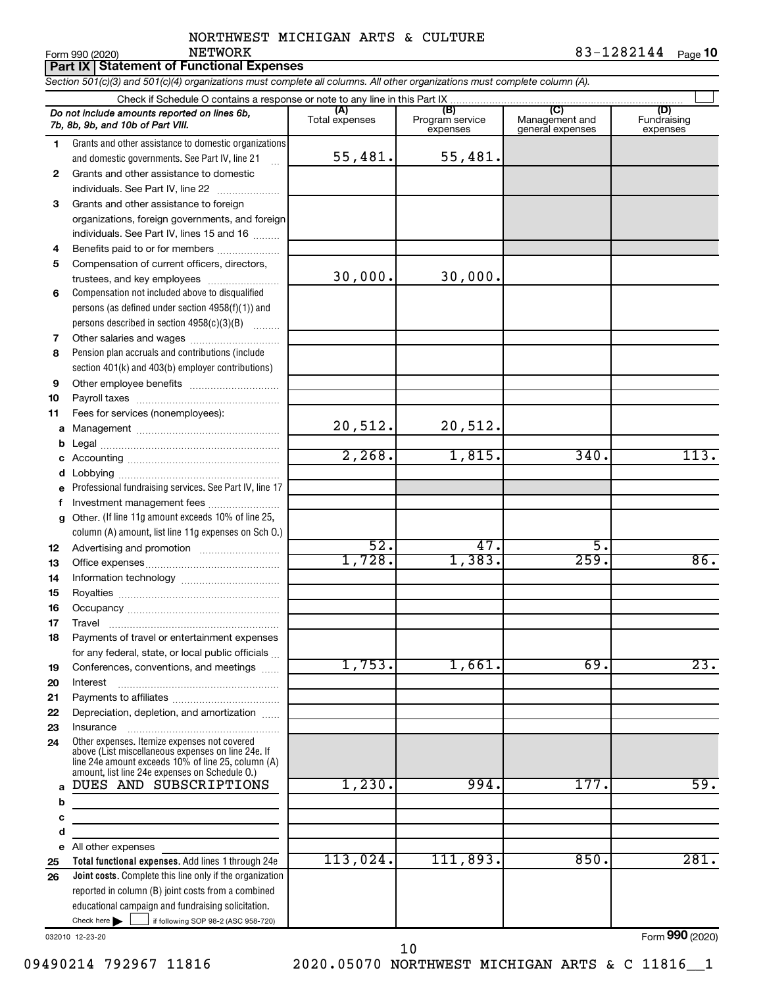Form 990 (2020) NETWORK 8 3-1 2 8 2 1 4 4 <sub>Page</sub> 10

**Part IX Statement of Functional Expenses**

*Section 501(c)(3) and 501(c)(4) organizations must complete all columns. All other organizations must complete column (A).*

|    | Do not include amounts reported on lines 6b,<br>7b, 8b, 9b, and 10b of Part VIII.                                                                                                                          | (A)<br>Total expenses | (B)<br>Program service<br>expenses | (C)<br>Management and<br>general expenses | (D)<br>Fundraising<br>expenses |
|----|------------------------------------------------------------------------------------------------------------------------------------------------------------------------------------------------------------|-----------------------|------------------------------------|-------------------------------------------|--------------------------------|
| 1. | Grants and other assistance to domestic organizations                                                                                                                                                      |                       |                                    |                                           |                                |
|    | and domestic governments. See Part IV, line 21                                                                                                                                                             | 55,481.               | 55,481.                            |                                           |                                |
| 2  | Grants and other assistance to domestic                                                                                                                                                                    |                       |                                    |                                           |                                |
|    | individuals. See Part IV, line 22                                                                                                                                                                          |                       |                                    |                                           |                                |
| 3  | Grants and other assistance to foreign                                                                                                                                                                     |                       |                                    |                                           |                                |
|    | organizations, foreign governments, and foreign                                                                                                                                                            |                       |                                    |                                           |                                |
|    | individuals. See Part IV, lines 15 and 16                                                                                                                                                                  |                       |                                    |                                           |                                |
| 4  | Benefits paid to or for members                                                                                                                                                                            |                       |                                    |                                           |                                |
| 5  | Compensation of current officers, directors,                                                                                                                                                               |                       |                                    |                                           |                                |
|    | trustees, and key employees                                                                                                                                                                                | 30,000.               | 30,000.                            |                                           |                                |
| 6  | Compensation not included above to disqualified                                                                                                                                                            |                       |                                    |                                           |                                |
|    | persons (as defined under section $4958(f)(1)$ ) and                                                                                                                                                       |                       |                                    |                                           |                                |
|    | persons described in section 4958(c)(3)(B)                                                                                                                                                                 |                       |                                    |                                           |                                |
| 7  |                                                                                                                                                                                                            |                       |                                    |                                           |                                |
| 8  | Pension plan accruals and contributions (include                                                                                                                                                           |                       |                                    |                                           |                                |
|    | section 401(k) and 403(b) employer contributions)                                                                                                                                                          |                       |                                    |                                           |                                |
| 9  |                                                                                                                                                                                                            |                       |                                    |                                           |                                |
| 10 |                                                                                                                                                                                                            |                       |                                    |                                           |                                |
| 11 | Fees for services (nonemployees):                                                                                                                                                                          |                       |                                    |                                           |                                |
|    |                                                                                                                                                                                                            | 20,512.               | 20,512.                            |                                           |                                |
|    |                                                                                                                                                                                                            |                       |                                    |                                           |                                |
|    |                                                                                                                                                                                                            | 2,268.                | 1,815.                             | 340.                                      | 113.                           |
| d  |                                                                                                                                                                                                            |                       |                                    |                                           |                                |
| e  | Professional fundraising services. See Part IV, line 17                                                                                                                                                    |                       |                                    |                                           |                                |
| f  | Investment management fees                                                                                                                                                                                 |                       |                                    |                                           |                                |
| g  | Other. (If line 11g amount exceeds 10% of line 25,                                                                                                                                                         |                       |                                    |                                           |                                |
|    | column (A) amount, list line 11g expenses on Sch O.)                                                                                                                                                       |                       |                                    |                                           |                                |
| 12 |                                                                                                                                                                                                            | 52.                   | 47.                                | 5.                                        |                                |
| 13 |                                                                                                                                                                                                            | 1,728.                | 1,383.                             | 259.                                      | 86.                            |
| 14 |                                                                                                                                                                                                            |                       |                                    |                                           |                                |
| 15 |                                                                                                                                                                                                            |                       |                                    |                                           |                                |
| 16 |                                                                                                                                                                                                            |                       |                                    |                                           |                                |
| 17 |                                                                                                                                                                                                            |                       |                                    |                                           |                                |
| 18 | Payments of travel or entertainment expenses                                                                                                                                                               |                       |                                    |                                           |                                |
|    | for any federal, state, or local public officials                                                                                                                                                          |                       |                                    |                                           |                                |
| 19 | Conferences, conventions, and meetings                                                                                                                                                                     | 1,753.                | 1,661.                             | 69.                                       | $\overline{23}$ .              |
| 20 | Interest                                                                                                                                                                                                   |                       |                                    |                                           |                                |
| 21 |                                                                                                                                                                                                            |                       |                                    |                                           |                                |
| 22 | Depreciation, depletion, and amortization                                                                                                                                                                  |                       |                                    |                                           |                                |
| 23 | Insurance                                                                                                                                                                                                  |                       |                                    |                                           |                                |
| 24 | Other expenses. Itemize expenses not covered<br>above (List miscellaneous expenses on line 24e. If<br>line 24e amount exceeds 10% of line 25, column (A)<br>amount, list line 24e expenses on Schedule O.) |                       |                                    |                                           |                                |
| a  | DUES AND SUBSCRIPTIONS                                                                                                                                                                                     | 1,230.                | 994.                               | 177.                                      | 59.                            |
| b  | the control of the control of the control of the control of the control of                                                                                                                                 |                       |                                    |                                           |                                |
| с  |                                                                                                                                                                                                            |                       |                                    |                                           |                                |
| d  |                                                                                                                                                                                                            |                       |                                    |                                           |                                |
|    | e All other expenses                                                                                                                                                                                       |                       |                                    |                                           |                                |
| 25 | Total functional expenses. Add lines 1 through 24e                                                                                                                                                         | 113,024.              | 111,893.                           | 850.                                      | 281.                           |
| 26 | <b>Joint costs.</b> Complete this line only if the organization                                                                                                                                            |                       |                                    |                                           |                                |
|    | reported in column (B) joint costs from a combined                                                                                                                                                         |                       |                                    |                                           |                                |
|    | educational campaign and fundraising solicitation.                                                                                                                                                         |                       |                                    |                                           |                                |
|    | Check here $\blacktriangleright$<br>if following SOP 98-2 (ASC 958-720)                                                                                                                                    |                       |                                    |                                           |                                |
|    | 032010 12-23-20                                                                                                                                                                                            |                       |                                    |                                           | Form 990 (2020)                |

09490214 792967 11816 2020.05070 NORTHWEST MICHIGAN ARTS & C 11816 1 10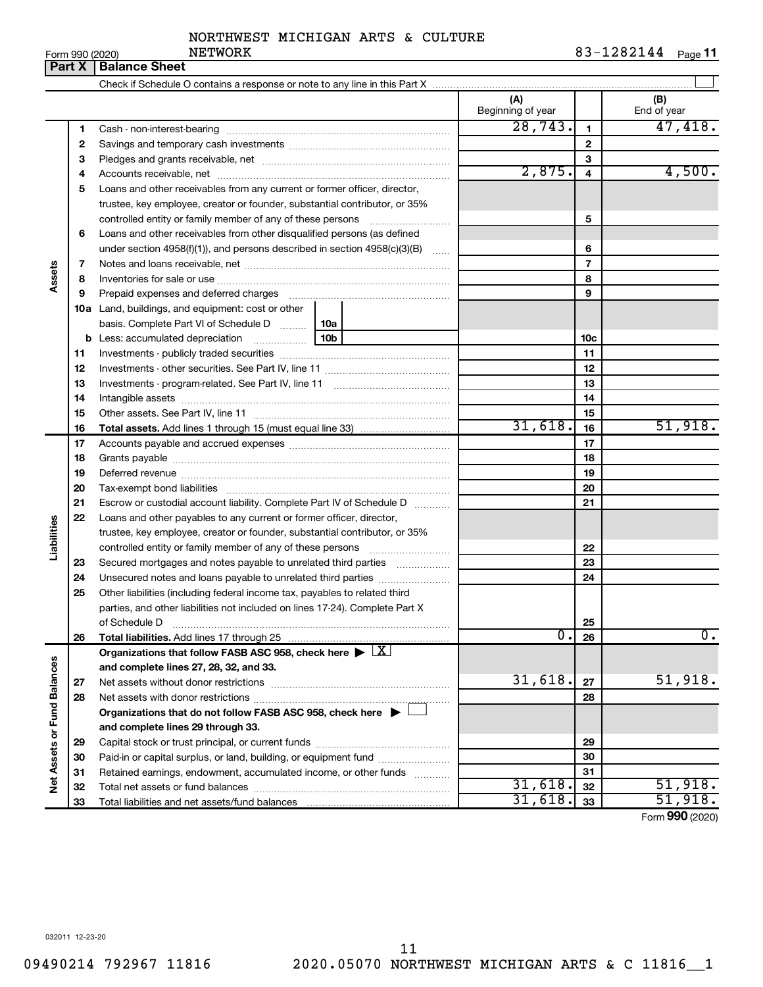| Form 990 (2020) | <b>Dart Y   Ralance Shee</b> |  |
|-----------------|------------------------------|--|
|                 |                              |  |

|                             | Part V | <b>Dalafice Street</b>                                                                     |                          |                |                    |
|-----------------------------|--------|--------------------------------------------------------------------------------------------|--------------------------|----------------|--------------------|
|                             |        |                                                                                            |                          |                |                    |
|                             |        |                                                                                            | (A)<br>Beginning of year |                | (B)<br>End of year |
|                             | 1      |                                                                                            | 28, 743.                 | 1              | 47,418.            |
|                             | 2      |                                                                                            |                          | $\mathbf{2}$   |                    |
|                             | з      |                                                                                            |                          | 3              |                    |
|                             | 4      |                                                                                            | 2,875.                   | 4              | 4,500.             |
|                             | 5      | Loans and other receivables from any current or former officer, director,                  |                          |                |                    |
|                             |        | trustee, key employee, creator or founder, substantial contributor, or 35%                 |                          |                |                    |
|                             |        | controlled entity or family member of any of these persons [                               |                          | 5              |                    |
|                             | 6      | Loans and other receivables from other disqualified persons (as defined                    |                          |                |                    |
|                             |        | under section 4958(f)(1)), and persons described in section 4958(c)(3)(B)                  |                          | 6              |                    |
|                             | 7      |                                                                                            |                          | $\overline{7}$ |                    |
| Assets                      | 8      |                                                                                            |                          | 8              |                    |
|                             | 9      |                                                                                            |                          | 9              |                    |
|                             |        | 10a Land, buildings, and equipment: cost or other                                          |                          |                |                    |
|                             |        |                                                                                            |                          |                |                    |
|                             |        |                                                                                            |                          | 10c            |                    |
|                             | 11     |                                                                                            |                          | 11             |                    |
|                             | 12     |                                                                                            |                          | 12             |                    |
|                             | 13     |                                                                                            |                          | 13             |                    |
|                             |        |                                                                                            |                          |                |                    |
|                             | 14     |                                                                                            |                          | 14             |                    |
|                             | 15     |                                                                                            | 31,618.                  | 15             | 51,918.            |
|                             | 16     |                                                                                            |                          | 16             |                    |
|                             | 17     |                                                                                            |                          | 17             |                    |
|                             | 18     |                                                                                            |                          | 18             |                    |
|                             | 19     |                                                                                            |                          | 19             |                    |
|                             | 20     |                                                                                            |                          | 20             |                    |
|                             | 21     | Escrow or custodial account liability. Complete Part IV of Schedule D                      |                          | 21             |                    |
| Liabilities                 | 22     | Loans and other payables to any current or former officer, director,                       |                          |                |                    |
|                             |        | trustee, key employee, creator or founder, substantial contributor, or 35%                 |                          |                |                    |
|                             |        |                                                                                            |                          | 22             |                    |
|                             | 23     | Secured mortgages and notes payable to unrelated third parties <i>manumum</i>              |                          | 23             |                    |
|                             | 24     |                                                                                            |                          | 24             |                    |
|                             | 25     | Other liabilities (including federal income tax, payables to related third                 |                          |                |                    |
|                             |        | parties, and other liabilities not included on lines 17-24). Complete Part X               |                          |                |                    |
|                             |        | of Schedule D                                                                              |                          | 25             |                    |
|                             | 26     |                                                                                            | $\overline{0}$ .         | 26             | $\overline{0}$ .   |
|                             |        | Organizations that follow FASB ASC 958, check here $\blacktriangleright \lfloor X \rfloor$ |                          |                |                    |
|                             |        | and complete lines 27, 28, 32, and 33.                                                     |                          |                |                    |
|                             | 27     | Net assets without donor restrictions                                                      | 31,618.                  | 27             | 51,918.            |
|                             | 28     |                                                                                            |                          | 28             |                    |
|                             |        | Organizations that do not follow FASB ASC 958, check here ▶ □                              |                          |                |                    |
| Net Assets or Fund Balances |        | and complete lines 29 through 33.                                                          |                          |                |                    |
|                             | 29     |                                                                                            |                          | 29             |                    |
|                             | 30     | Paid-in or capital surplus, or land, building, or equipment fund                           |                          | 30             |                    |
|                             | 31     | Retained earnings, endowment, accumulated income, or other funds                           |                          | 31             |                    |
|                             | 32     |                                                                                            | 31,618.                  | 32             | 51,918.            |
|                             | 33     |                                                                                            | 31,618.                  | 33             | 51,918.            |

Form (2020) **990**

032011 12-23-20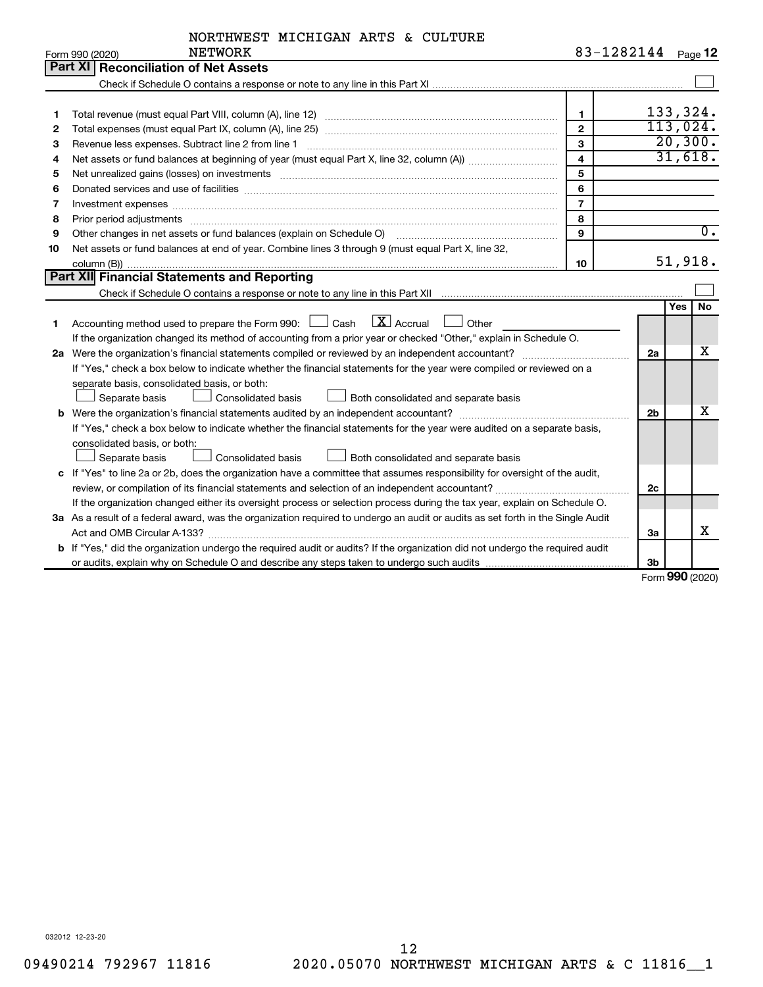| NORTHWEST MICHIGAN ARTS & CULTURE |  |  |  |
|-----------------------------------|--|--|--|
|-----------------------------------|--|--|--|

|    | <b>NETWORK</b><br>Form 990 (2020)                                                                                                                                                                                              | 83-1282144 $_{Page 12}$ |                |                  |
|----|--------------------------------------------------------------------------------------------------------------------------------------------------------------------------------------------------------------------------------|-------------------------|----------------|------------------|
|    | Part XI Reconciliation of Net Assets                                                                                                                                                                                           |                         |                |                  |
|    |                                                                                                                                                                                                                                |                         |                |                  |
|    |                                                                                                                                                                                                                                |                         |                |                  |
| 1  |                                                                                                                                                                                                                                | $\mathbf{1}$            |                | 133,324.         |
| 2  |                                                                                                                                                                                                                                | $\overline{2}$          |                | 113,024.         |
| З  | Revenue less expenses. Subtract line 2 from line 1                                                                                                                                                                             | 3                       |                | 20,300.          |
| 4  |                                                                                                                                                                                                                                | $\overline{\mathbf{4}}$ |                | 31,618.          |
| 5  | Net unrealized gains (losses) on investments [11] matter contracts and the state of the state of the state of the state of the state of the state of the state of the state of the state of the state of the state of the stat | 5                       |                |                  |
| 6  | Donated services and use of facilities [[111] matter contracts and use of facilities [[11] matter contracts and use of facilities [[11] matter contracts and use of facilities [[11] matter contracts and a service contract o | 6                       |                |                  |
| 7  | Investment expenses www.communication.com/www.communication.com/www.communication.com/www.com                                                                                                                                  | $\overline{7}$          |                |                  |
| 8  | Prior period adjustments www.communication.communication.com/news/communication.com/news/communication.com/news/                                                                                                               | 8                       |                |                  |
| 9  | Other changes in net assets or fund balances (explain on Schedule O)                                                                                                                                                           | 9                       |                | $\overline{0}$ . |
| 10 | Net assets or fund balances at end of year. Combine lines 3 through 9 (must equal Part X, line 32,                                                                                                                             |                         |                |                  |
|    |                                                                                                                                                                                                                                | 10                      |                | 51,918.          |
|    | <b>Part XII</b> Financial Statements and Reporting                                                                                                                                                                             |                         |                |                  |
|    |                                                                                                                                                                                                                                |                         |                |                  |
|    |                                                                                                                                                                                                                                |                         |                | <b>No</b><br>Yes |
| 1. | Accounting method used to prepare the Form 990: $\Box$ Cash $\Box$ Accrual $\Box$<br>Other                                                                                                                                     |                         |                |                  |
|    | If the organization changed its method of accounting from a prior year or checked "Other," explain in Schedule O.                                                                                                              |                         |                |                  |
|    |                                                                                                                                                                                                                                |                         | 2a             | х                |
|    | If "Yes," check a box below to indicate whether the financial statements for the year were compiled or reviewed on a                                                                                                           |                         |                |                  |
|    | separate basis, consolidated basis, or both:                                                                                                                                                                                   |                         |                |                  |
|    | Separate basis<br>Consolidated basis<br>Both consolidated and separate basis                                                                                                                                                   |                         |                |                  |
|    |                                                                                                                                                                                                                                |                         | 2 <sub>b</sub> | x                |
|    | If "Yes," check a box below to indicate whether the financial statements for the year were audited on a separate basis,                                                                                                        |                         |                |                  |
|    | consolidated basis, or both:                                                                                                                                                                                                   |                         |                |                  |
|    | Consolidated basis<br>Both consolidated and separate basis<br>Separate basis                                                                                                                                                   |                         |                |                  |
|    | c If "Yes" to line 2a or 2b, does the organization have a committee that assumes responsibility for oversight of the audit,                                                                                                    |                         |                |                  |
|    |                                                                                                                                                                                                                                |                         | 2c             |                  |
|    | If the organization changed either its oversight process or selection process during the tax year, explain on Schedule O.                                                                                                      |                         |                |                  |
|    | 3a As a result of a federal award, was the organization required to undergo an audit or audits as set forth in the Single Audit                                                                                                |                         |                |                  |
|    |                                                                                                                                                                                                                                |                         | За             | x                |
|    | b If "Yes," did the organization undergo the required audit or audits? If the organization did not undergo the required audit                                                                                                  |                         |                |                  |
|    |                                                                                                                                                                                                                                |                         | 3 <sub>b</sub> |                  |

Form (2020) **990**

032012 12-23-20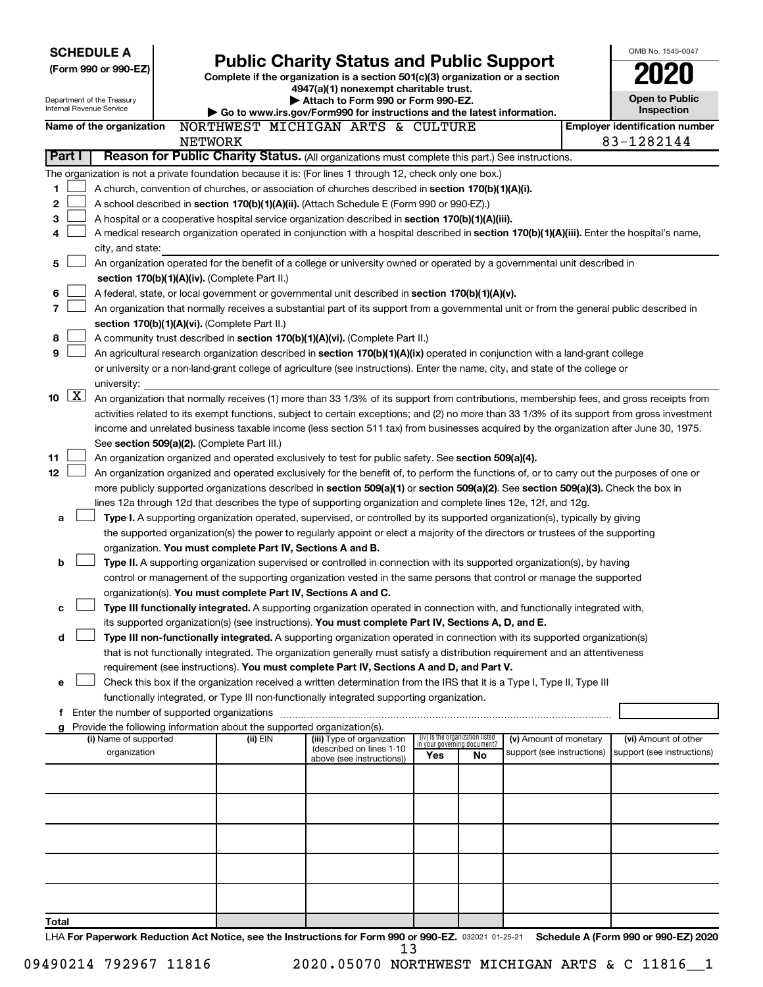| <b>SCHEDULE A</b>                                                                                                                         |                |                                                               |                                                                                                                                                                                                                                  |     |                                 |                                                      | OMB No. 1545-0047                                  |
|-------------------------------------------------------------------------------------------------------------------------------------------|----------------|---------------------------------------------------------------|----------------------------------------------------------------------------------------------------------------------------------------------------------------------------------------------------------------------------------|-----|---------------------------------|------------------------------------------------------|----------------------------------------------------|
| (Form 990 or 990-EZ)                                                                                                                      |                |                                                               | <b>Public Charity Status and Public Support</b>                                                                                                                                                                                  |     |                                 |                                                      |                                                    |
|                                                                                                                                           |                |                                                               | Complete if the organization is a section 501(c)(3) organization or a section<br>4947(a)(1) nonexempt charitable trust.                                                                                                          |     |                                 |                                                      |                                                    |
| Department of the Treasury                                                                                                                |                |                                                               | Attach to Form 990 or Form 990-EZ.                                                                                                                                                                                               |     |                                 |                                                      | <b>Open to Public</b>                              |
| <b>Internal Revenue Service</b>                                                                                                           |                |                                                               | Go to www.irs.gov/Form990 for instructions and the latest information.                                                                                                                                                           |     |                                 |                                                      | Inspection                                         |
| Name of the organization                                                                                                                  |                |                                                               | NORTHWEST MICHIGAN ARTS & CULTURE                                                                                                                                                                                                |     |                                 |                                                      | <b>Employer identification number</b>              |
|                                                                                                                                           | <b>NETWORK</b> |                                                               |                                                                                                                                                                                                                                  |     |                                 |                                                      | 83-1282144                                         |
| Part I                                                                                                                                    |                |                                                               | Reason for Public Charity Status. (All organizations must complete this part.) See instructions.                                                                                                                                 |     |                                 |                                                      |                                                    |
| The organization is not a private foundation because it is: (For lines 1 through 12, check only one box.)                                 |                |                                                               |                                                                                                                                                                                                                                  |     |                                 |                                                      |                                                    |
| 1                                                                                                                                         |                |                                                               | A church, convention of churches, or association of churches described in section 170(b)(1)(A)(i).                                                                                                                               |     |                                 |                                                      |                                                    |
| 2                                                                                                                                         |                |                                                               | A school described in section 170(b)(1)(A)(ii). (Attach Schedule E (Form 990 or 990-EZ).)                                                                                                                                        |     |                                 |                                                      |                                                    |
| з                                                                                                                                         |                |                                                               | A hospital or a cooperative hospital service organization described in section 170(b)(1)(A)(iii).                                                                                                                                |     |                                 |                                                      |                                                    |
| 4<br>city, and state:                                                                                                                     |                |                                                               | A medical research organization operated in conjunction with a hospital described in section 170(b)(1)(A)(iii). Enter the hospital's name,                                                                                       |     |                                 |                                                      |                                                    |
| 5                                                                                                                                         |                |                                                               | An organization operated for the benefit of a college or university owned or operated by a governmental unit described in                                                                                                        |     |                                 |                                                      |                                                    |
|                                                                                                                                           |                | section 170(b)(1)(A)(iv). (Complete Part II.)                 |                                                                                                                                                                                                                                  |     |                                 |                                                      |                                                    |
| 6                                                                                                                                         |                |                                                               | A federal, state, or local government or governmental unit described in section 170(b)(1)(A)(v).                                                                                                                                 |     |                                 |                                                      |                                                    |
| 7                                                                                                                                         |                |                                                               | An organization that normally receives a substantial part of its support from a governmental unit or from the general public described in                                                                                        |     |                                 |                                                      |                                                    |
|                                                                                                                                           |                | section 170(b)(1)(A)(vi). (Complete Part II.)                 |                                                                                                                                                                                                                                  |     |                                 |                                                      |                                                    |
| 8                                                                                                                                         |                |                                                               | A community trust described in section 170(b)(1)(A)(vi). (Complete Part II.)                                                                                                                                                     |     |                                 |                                                      |                                                    |
| 9                                                                                                                                         |                |                                                               | An agricultural research organization described in section 170(b)(1)(A)(ix) operated in conjunction with a land-grant college                                                                                                    |     |                                 |                                                      |                                                    |
|                                                                                                                                           |                |                                                               | or university or a non-land-grant college of agriculture (see instructions). Enter the name, city, and state of the college or                                                                                                   |     |                                 |                                                      |                                                    |
| university:                                                                                                                               |                |                                                               |                                                                                                                                                                                                                                  |     |                                 |                                                      |                                                    |
| $\lfloor x \rfloor$<br>10                                                                                                                 |                |                                                               | An organization that normally receives (1) more than 33 1/3% of its support from contributions, membership fees, and gross receipts from                                                                                         |     |                                 |                                                      |                                                    |
|                                                                                                                                           |                |                                                               | activities related to its exempt functions, subject to certain exceptions; and (2) no more than 33 1/3% of its support from gross investment                                                                                     |     |                                 |                                                      |                                                    |
|                                                                                                                                           |                |                                                               | income and unrelated business taxable income (less section 511 tax) from businesses acquired by the organization after June 30, 1975.                                                                                            |     |                                 |                                                      |                                                    |
| 11                                                                                                                                        |                | See section 509(a)(2). (Complete Part III.)                   | An organization organized and operated exclusively to test for public safety. See section 509(a)(4).                                                                                                                             |     |                                 |                                                      |                                                    |
| 12                                                                                                                                        |                |                                                               | An organization organized and operated exclusively for the benefit of, to perform the functions of, or to carry out the purposes of one or                                                                                       |     |                                 |                                                      |                                                    |
|                                                                                                                                           |                |                                                               | more publicly supported organizations described in section 509(a)(1) or section 509(a)(2). See section 509(a)(3). Check the box in                                                                                               |     |                                 |                                                      |                                                    |
|                                                                                                                                           |                |                                                               | lines 12a through 12d that describes the type of supporting organization and complete lines 12e, 12f, and 12g.                                                                                                                   |     |                                 |                                                      |                                                    |
| a                                                                                                                                         |                |                                                               | Type I. A supporting organization operated, supervised, or controlled by its supported organization(s), typically by giving                                                                                                      |     |                                 |                                                      |                                                    |
|                                                                                                                                           |                |                                                               | the supported organization(s) the power to regularly appoint or elect a majority of the directors or trustees of the supporting                                                                                                  |     |                                 |                                                      |                                                    |
|                                                                                                                                           |                | organization. You must complete Part IV, Sections A and B.    |                                                                                                                                                                                                                                  |     |                                 |                                                      |                                                    |
| b                                                                                                                                         |                |                                                               | Type II. A supporting organization supervised or controlled in connection with its supported organization(s), by having                                                                                                          |     |                                 |                                                      |                                                    |
|                                                                                                                                           |                |                                                               | control or management of the supporting organization vested in the same persons that control or manage the supported                                                                                                             |     |                                 |                                                      |                                                    |
|                                                                                                                                           |                | organization(s). You must complete Part IV, Sections A and C. |                                                                                                                                                                                                                                  |     |                                 |                                                      |                                                    |
| с                                                                                                                                         |                |                                                               | Type III functionally integrated. A supporting organization operated in connection with, and functionally integrated with,<br>its supported organization(s) (see instructions). You must complete Part IV, Sections A, D, and E. |     |                                 |                                                      |                                                    |
| d                                                                                                                                         |                |                                                               | Type III non-functionally integrated. A supporting organization operated in connection with its supported organization(s)                                                                                                        |     |                                 |                                                      |                                                    |
|                                                                                                                                           |                |                                                               | that is not functionally integrated. The organization generally must satisfy a distribution requirement and an attentiveness                                                                                                     |     |                                 |                                                      |                                                    |
|                                                                                                                                           |                |                                                               | requirement (see instructions). You must complete Part IV, Sections A and D, and Part V.                                                                                                                                         |     |                                 |                                                      |                                                    |
| е                                                                                                                                         |                |                                                               | Check this box if the organization received a written determination from the IRS that it is a Type I, Type II, Type III                                                                                                          |     |                                 |                                                      |                                                    |
|                                                                                                                                           |                |                                                               | functionally integrated, or Type III non-functionally integrated supporting organization.                                                                                                                                        |     |                                 |                                                      |                                                    |
| f Enter the number of supported organizations                                                                                             |                |                                                               |                                                                                                                                                                                                                                  |     |                                 |                                                      |                                                    |
| g Provide the following information about the supported organization(s).                                                                  |                |                                                               |                                                                                                                                                                                                                                  |     | (iv) Is the organization listed |                                                      |                                                    |
| (i) Name of supported<br>organization                                                                                                     |                | (ii) EIN                                                      | (iii) Type of organization<br>(described on lines 1-10                                                                                                                                                                           |     | in your governing document?     | (v) Amount of monetary<br>support (see instructions) | (vi) Amount of other<br>support (see instructions) |
|                                                                                                                                           |                |                                                               | above (see instructions))                                                                                                                                                                                                        | Yes | No                              |                                                      |                                                    |
|                                                                                                                                           |                |                                                               |                                                                                                                                                                                                                                  |     |                                 |                                                      |                                                    |
|                                                                                                                                           |                |                                                               |                                                                                                                                                                                                                                  |     |                                 |                                                      |                                                    |
|                                                                                                                                           |                |                                                               |                                                                                                                                                                                                                                  |     |                                 |                                                      |                                                    |
|                                                                                                                                           |                |                                                               |                                                                                                                                                                                                                                  |     |                                 |                                                      |                                                    |
|                                                                                                                                           |                |                                                               |                                                                                                                                                                                                                                  |     |                                 |                                                      |                                                    |
|                                                                                                                                           |                |                                                               |                                                                                                                                                                                                                                  |     |                                 |                                                      |                                                    |
|                                                                                                                                           |                |                                                               |                                                                                                                                                                                                                                  |     |                                 |                                                      |                                                    |
|                                                                                                                                           |                |                                                               |                                                                                                                                                                                                                                  |     |                                 |                                                      |                                                    |
|                                                                                                                                           |                |                                                               |                                                                                                                                                                                                                                  |     |                                 |                                                      |                                                    |
| Total                                                                                                                                     |                |                                                               |                                                                                                                                                                                                                                  |     |                                 |                                                      |                                                    |
| LHA For Panerwork Reduction Act Notice, see the Instructions for Form 990 or 990-F7, 222021 01.25.21 Schedule A (Form 990 or 990-F7) 2020 |                |                                                               |                                                                                                                                                                                                                                  |     |                                 |                                                      |                                                    |

032021 01-25-21 **For Paperwork Reduction Act Notice, see the Instructions for Form 990 or 990-EZ. Schedule A (Form 990 or 990-EZ) 2020** LHA FOIL  $13$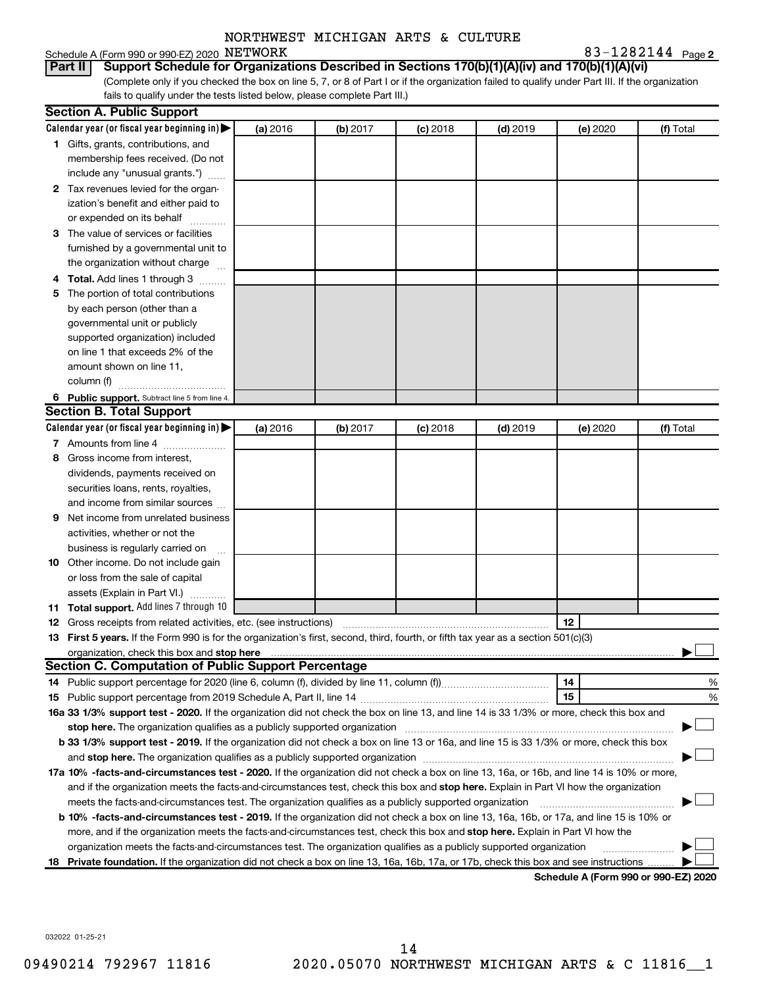#### Schedule A (Form 990 or 990-EZ) 2020 NETWORK

**2** NETWORK 83-1282144

(Complete only if you checked the box on line 5, 7, or 8 of Part I or if the organization failed to qualify under Part III. If the organization fails to qualify under the tests listed below, please complete Part III.) **Part II Support Schedule for Organizations Described in Sections 170(b)(1)(A)(iv) and 170(b)(1)(A)(vi)**

|   | <b>Section A. Public Support</b>                                                                                                                                                                                                    |          |          |            |            |          |                                      |
|---|-------------------------------------------------------------------------------------------------------------------------------------------------------------------------------------------------------------------------------------|----------|----------|------------|------------|----------|--------------------------------------|
|   | Calendar year (or fiscal year beginning in)                                                                                                                                                                                         | (a) 2016 | (b) 2017 | $(c)$ 2018 | $(d)$ 2019 | (e) 2020 | (f) Total                            |
|   | 1 Gifts, grants, contributions, and                                                                                                                                                                                                 |          |          |            |            |          |                                      |
|   | membership fees received. (Do not                                                                                                                                                                                                   |          |          |            |            |          |                                      |
|   | include any "unusual grants.")                                                                                                                                                                                                      |          |          |            |            |          |                                      |
|   | 2 Tax revenues levied for the organ-                                                                                                                                                                                                |          |          |            |            |          |                                      |
|   | ization's benefit and either paid to                                                                                                                                                                                                |          |          |            |            |          |                                      |
|   | or expended on its behalf                                                                                                                                                                                                           |          |          |            |            |          |                                      |
|   | 3 The value of services or facilities                                                                                                                                                                                               |          |          |            |            |          |                                      |
|   | furnished by a governmental unit to                                                                                                                                                                                                 |          |          |            |            |          |                                      |
|   | the organization without charge                                                                                                                                                                                                     |          |          |            |            |          |                                      |
|   | 4 Total. Add lines 1 through 3                                                                                                                                                                                                      |          |          |            |            |          |                                      |
|   | 5 The portion of total contributions                                                                                                                                                                                                |          |          |            |            |          |                                      |
|   | by each person (other than a                                                                                                                                                                                                        |          |          |            |            |          |                                      |
|   | governmental unit or publicly                                                                                                                                                                                                       |          |          |            |            |          |                                      |
|   | supported organization) included                                                                                                                                                                                                    |          |          |            |            |          |                                      |
|   | on line 1 that exceeds 2% of the                                                                                                                                                                                                    |          |          |            |            |          |                                      |
|   | amount shown on line 11,                                                                                                                                                                                                            |          |          |            |            |          |                                      |
|   | column (f)                                                                                                                                                                                                                          |          |          |            |            |          |                                      |
|   | 6 Public support. Subtract line 5 from line 4.                                                                                                                                                                                      |          |          |            |            |          |                                      |
|   | <b>Section B. Total Support</b>                                                                                                                                                                                                     |          |          |            |            |          |                                      |
|   | Calendar year (or fiscal year beginning in)                                                                                                                                                                                         | (a) 2016 | (b) 2017 | $(c)$ 2018 | $(d)$ 2019 | (e) 2020 | (f) Total                            |
|   | 7 Amounts from line 4                                                                                                                                                                                                               |          |          |            |            |          |                                      |
| 8 | Gross income from interest,                                                                                                                                                                                                         |          |          |            |            |          |                                      |
|   | dividends, payments received on                                                                                                                                                                                                     |          |          |            |            |          |                                      |
|   | securities loans, rents, royalties,                                                                                                                                                                                                 |          |          |            |            |          |                                      |
|   | and income from similar sources                                                                                                                                                                                                     |          |          |            |            |          |                                      |
| 9 | Net income from unrelated business                                                                                                                                                                                                  |          |          |            |            |          |                                      |
|   | activities, whether or not the                                                                                                                                                                                                      |          |          |            |            |          |                                      |
|   | business is regularly carried on                                                                                                                                                                                                    |          |          |            |            |          |                                      |
|   | 10 Other income. Do not include gain                                                                                                                                                                                                |          |          |            |            |          |                                      |
|   | or loss from the sale of capital                                                                                                                                                                                                    |          |          |            |            |          |                                      |
|   | assets (Explain in Part VI.)                                                                                                                                                                                                        |          |          |            |            |          |                                      |
|   | 11 Total support. Add lines 7 through 10                                                                                                                                                                                            |          |          |            |            |          |                                      |
|   | <b>12</b> Gross receipts from related activities, etc. (see instructions)                                                                                                                                                           |          |          |            |            | 12       |                                      |
|   | 13 First 5 years. If the Form 990 is for the organization's first, second, third, fourth, or fifth tax year as a section 501(c)(3)                                                                                                  |          |          |            |            |          |                                      |
|   | organization, check this box and stop here <b>construction and construction</b> control and construction of the construction of the construction of the construction of the construction of the construction of the construction of |          |          |            |            |          |                                      |
|   | <b>Section C. Computation of Public Support Percentage</b>                                                                                                                                                                          |          |          |            |            |          |                                      |
|   |                                                                                                                                                                                                                                     |          |          |            |            | 14       | %                                    |
|   |                                                                                                                                                                                                                                     |          |          |            |            | 15       | %                                    |
|   | 16a 33 1/3% support test - 2020. If the organization did not check the box on line 13, and line 14 is 33 1/3% or more, check this box and                                                                                           |          |          |            |            |          |                                      |
|   | stop here. The organization qualifies as a publicly supported organization manufaction manufacture or the organization manufacture or the organization manufacture or the organization manufacture or the state of the state o      |          |          |            |            |          |                                      |
|   | b 33 1/3% support test - 2019. If the organization did not check a box on line 13 or 16a, and line 15 is 33 1/3% or more, check this box                                                                                            |          |          |            |            |          |                                      |
|   |                                                                                                                                                                                                                                     |          |          |            |            |          |                                      |
|   | 17a 10% -facts-and-circumstances test - 2020. If the organization did not check a box on line 13, 16a, or 16b, and line 14 is 10% or more,                                                                                          |          |          |            |            |          |                                      |
|   | and if the organization meets the facts-and-circumstances test, check this box and stop here. Explain in Part VI how the organization                                                                                               |          |          |            |            |          |                                      |
|   | meets the facts-and-circumstances test. The organization qualifies as a publicly supported organization                                                                                                                             |          |          |            |            |          |                                      |
|   | <b>b 10% -facts-and-circumstances test - 2019.</b> If the organization did not check a box on line 13, 16a, 16b, or 17a, and line 15 is 10% or                                                                                      |          |          |            |            |          |                                      |
|   | more, and if the organization meets the facts-and-circumstances test, check this box and stop here. Explain in Part VI how the                                                                                                      |          |          |            |            |          |                                      |
|   | organization meets the facts-and-circumstances test. The organization qualifies as a publicly supported organization                                                                                                                |          |          |            |            |          |                                      |
|   | 18 Private foundation. If the organization did not check a box on line 13, 16a, 16b, 17a, or 17b, check this box and see instructions                                                                                               |          |          |            |            |          | Schodule A (Form 990 or 990-F7) 2020 |

**Schedule A (Form 990 or 990-EZ) 2020**

032022 01-25-21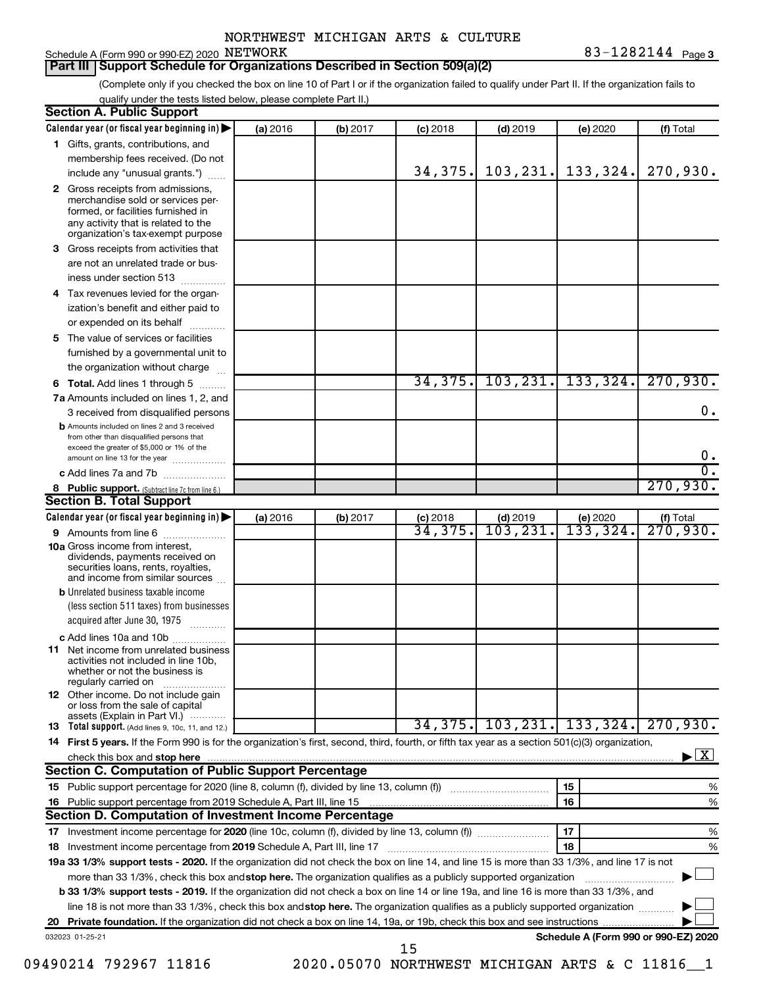**Part III Support Schedule for Organizations Described in Section 509(a)(2)** 

(Complete only if you checked the box on line 10 of Part I or if the organization failed to qualify under Part II. If the organization fails to qualify under the tests listed below, please complete Part II.)

|   | Calendar year (or fiscal year beginning in)                                                                                                                                                                                                                                    | (a) 2016 | (b) 2017 | $(c)$ 2018                                     | $(d)$ 2019                         | (e) 2020              | (f) Total                                 |
|---|--------------------------------------------------------------------------------------------------------------------------------------------------------------------------------------------------------------------------------------------------------------------------------|----------|----------|------------------------------------------------|------------------------------------|-----------------------|-------------------------------------------|
|   | 1 Gifts, grants, contributions, and                                                                                                                                                                                                                                            |          |          |                                                |                                    |                       |                                           |
|   | membership fees received. (Do not                                                                                                                                                                                                                                              |          |          |                                                |                                    |                       |                                           |
|   | include any "unusual grants.")                                                                                                                                                                                                                                                 |          |          | 34,375.                                        |                                    | $103, 231.$ 133, 324. | 270,930.                                  |
|   | 2 Gross receipts from admissions,<br>merchandise sold or services per-<br>formed, or facilities furnished in<br>any activity that is related to the<br>organization's tax-exempt purpose                                                                                       |          |          |                                                |                                    |                       |                                           |
|   | 3 Gross receipts from activities that                                                                                                                                                                                                                                          |          |          |                                                |                                    |                       |                                           |
|   | are not an unrelated trade or bus-                                                                                                                                                                                                                                             |          |          |                                                |                                    |                       |                                           |
|   | iness under section 513                                                                                                                                                                                                                                                        |          |          |                                                |                                    |                       |                                           |
| 4 | Tax revenues levied for the organ-                                                                                                                                                                                                                                             |          |          |                                                |                                    |                       |                                           |
|   | ization's benefit and either paid to                                                                                                                                                                                                                                           |          |          |                                                |                                    |                       |                                           |
|   | or expended on its behalf<br>.                                                                                                                                                                                                                                                 |          |          |                                                |                                    |                       |                                           |
| 5 | The value of services or facilities                                                                                                                                                                                                                                            |          |          |                                                |                                    |                       |                                           |
|   | furnished by a governmental unit to                                                                                                                                                                                                                                            |          |          |                                                |                                    |                       |                                           |
|   | the organization without charge                                                                                                                                                                                                                                                |          |          |                                                |                                    |                       |                                           |
|   | 6 Total. Add lines 1 through 5                                                                                                                                                                                                                                                 |          |          | 34,375.                                        |                                    | 103, 231, 133, 324.   | 270,930.                                  |
|   | 7a Amounts included on lines 1, 2, and                                                                                                                                                                                                                                         |          |          |                                                |                                    |                       |                                           |
|   | 3 received from disqualified persons                                                                                                                                                                                                                                           |          |          |                                                |                                    |                       | 0.                                        |
|   | <b>b</b> Amounts included on lines 2 and 3 received<br>from other than disqualified persons that<br>exceed the greater of \$5,000 or 1% of the                                                                                                                                 |          |          |                                                |                                    |                       | 0.                                        |
|   | amount on line 13 for the year<br>c Add lines 7a and 7b                                                                                                                                                                                                                        |          |          |                                                |                                    |                       | σ.                                        |
|   | 8 Public support. (Subtract line 7c from line 6.)                                                                                                                                                                                                                              |          |          |                                                |                                    |                       | 270,930.                                  |
|   | <b>Section B. Total Support</b>                                                                                                                                                                                                                                                |          |          |                                                |                                    |                       |                                           |
|   | Calendar year (or fiscal year beginning in)                                                                                                                                                                                                                                    | (a) 2016 | (b) 2017 | $(c)$ 2018                                     | $(d)$ 2019                         | (e) 2020              |                                           |
|   | <b>9</b> Amounts from line 6                                                                                                                                                                                                                                                   |          |          | 34,375.                                        | $\overline{103}, \overline{231}$ . | 133,324.              | $\frac{f(f) \text{ Total}}{270,930.}$     |
|   | <b>10a</b> Gross income from interest,<br>dividends, payments received on<br>securities loans, rents, royalties,<br>and income from similar sources                                                                                                                            |          |          |                                                |                                    |                       |                                           |
|   | <b>b</b> Unrelated business taxable income                                                                                                                                                                                                                                     |          |          |                                                |                                    |                       |                                           |
|   | (less section 511 taxes) from businesses<br>acquired after June 30, 1975                                                                                                                                                                                                       |          |          |                                                |                                    |                       |                                           |
|   | c Add lines 10a and 10b                                                                                                                                                                                                                                                        |          |          |                                                |                                    |                       |                                           |
|   | <b>11</b> Net income from unrelated business<br>activities not included in line 10b.<br>whether or not the business is<br>regularly carried on                                                                                                                                 |          |          |                                                |                                    |                       |                                           |
|   | <b>12</b> Other income. Do not include gain<br>or loss from the sale of capital<br>assets (Explain in Part VI.)                                                                                                                                                                |          |          |                                                |                                    |                       |                                           |
|   | <b>13</b> Total support. (Add lines 9, 10c, 11, and 12.)                                                                                                                                                                                                                       |          |          |                                                |                                    |                       | $34, 375$ , 103, 231, 133, 324, 270, 930. |
|   | 14 First 5 years. If the Form 990 is for the organization's first, second, third, fourth, or fifth tax year as a section 501(c)(3) organization,                                                                                                                               |          |          |                                                |                                    |                       |                                           |
|   | check this box and stop here measured and content to the state of the state of the state of the state of the state of the state of the state of the state of the state of the state of the state of the state of the state of                                                  |          |          |                                                |                                    |                       | $\blacktriangleright$ $\mathbf{X}$        |
|   | Section C. Computation of Public Support Percentage                                                                                                                                                                                                                            |          |          |                                                |                                    |                       |                                           |
|   |                                                                                                                                                                                                                                                                                |          |          |                                                |                                    | 15                    | %                                         |
|   |                                                                                                                                                                                                                                                                                |          |          |                                                |                                    | 16                    | %                                         |
|   | Section D. Computation of Investment Income Percentage                                                                                                                                                                                                                         |          |          |                                                |                                    |                       |                                           |
|   |                                                                                                                                                                                                                                                                                |          |          |                                                |                                    | 17                    | %                                         |
|   | 18 Investment income percentage from 2019 Schedule A, Part III, line 17                                                                                                                                                                                                        |          |          |                                                |                                    | 18                    | %                                         |
|   | 19a 33 1/3% support tests - 2020. If the organization did not check the box on line 14, and line 15 is more than 33 1/3%, and line 17 is not                                                                                                                                   |          |          |                                                |                                    |                       |                                           |
|   | more than 33 1/3%, check this box and stop here. The organization qualifies as a publicly supported organization                                                                                                                                                               |          |          |                                                |                                    |                       |                                           |
|   | <b>b 33 1/3% support tests - 2019.</b> If the organization did not check a box on line 14 or line 19a, and line 16 is more than 33 1/3%, and<br>line 18 is not more than 33 1/3%, check this box andstop here. The organization qualifies as a publicly supported organization |          |          |                                                |                                    |                       |                                           |
|   |                                                                                                                                                                                                                                                                                |          |          |                                                |                                    |                       |                                           |
|   | 032023 01-25-21                                                                                                                                                                                                                                                                |          |          |                                                |                                    |                       | Schedule A (Form 990 or 990-EZ) 2020      |
|   |                                                                                                                                                                                                                                                                                |          |          | 15                                             |                                    |                       |                                           |
|   | 09490214 792967 11816                                                                                                                                                                                                                                                          |          |          | 2020.05070 NORTHWEST MICHIGAN ARTS & C 11816 1 |                                    |                       |                                           |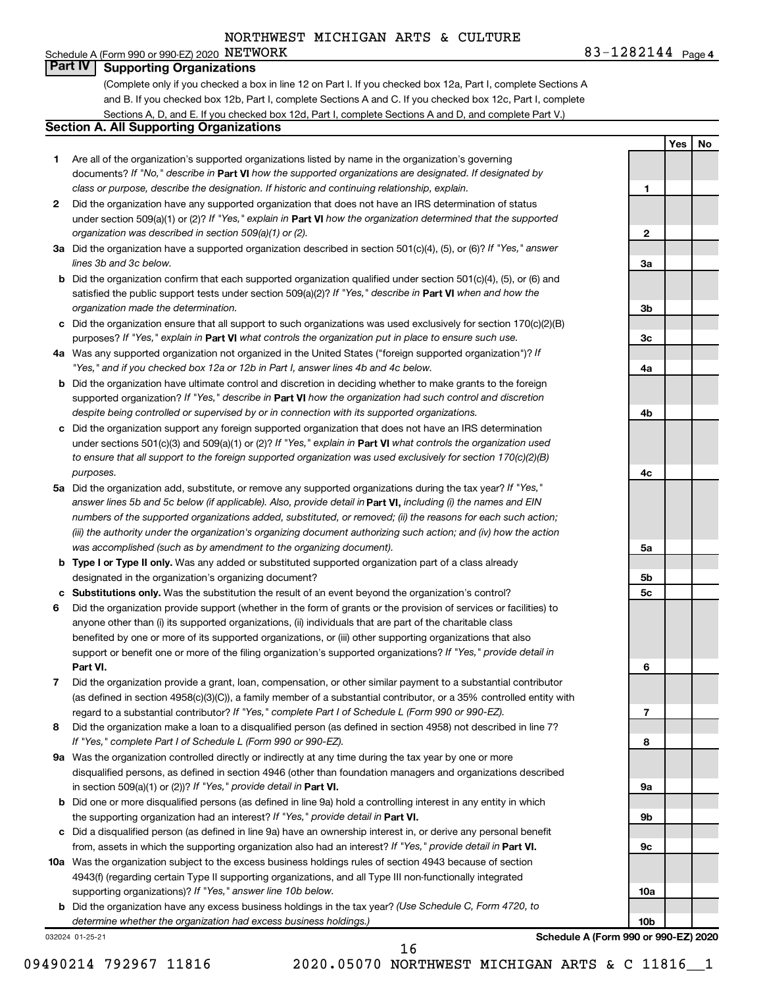# Schedule A (Form 990 or 990-EZ) 2020  $NETWORK$

**4** NETWORK 83-1282144

**1**

**2**

**3a**

**3b**

**3c**

**4a**

**4b**

**4c**

**5a**

**5b 5c**

**6**

**7**

**8**

**9a**

**9b**

**9c**

**10a**

**10b**

**Yes No**

#### **Part IV Supporting Organizations**

(Complete only if you checked a box in line 12 on Part I. If you checked box 12a, Part I, complete Sections A and B. If you checked box 12b, Part I, complete Sections A and C. If you checked box 12c, Part I, complete Sections A, D, and E. If you checked box 12d, Part I, complete Sections A and D, and complete Part V.)

#### **Section A. All Supporting Organizations**

- **1** Are all of the organization's supported organizations listed by name in the organization's governing documents? If "No," describe in Part VI how the supported organizations are designated. If designated by *class or purpose, describe the designation. If historic and continuing relationship, explain.*
- **2** Did the organization have any supported organization that does not have an IRS determination of status under section 509(a)(1) or (2)? If "Yes," explain in Part **VI** how the organization determined that the supported *organization was described in section 509(a)(1) or (2).*
- **3a** Did the organization have a supported organization described in section 501(c)(4), (5), or (6)? If "Yes," answer *lines 3b and 3c below.*
- **b** Did the organization confirm that each supported organization qualified under section 501(c)(4), (5), or (6) and satisfied the public support tests under section 509(a)(2)? If "Yes," describe in Part VI when and how the *organization made the determination.*
- **c** Did the organization ensure that all support to such organizations was used exclusively for section 170(c)(2)(B) purposes? If "Yes," explain in Part VI what controls the organization put in place to ensure such use.
- **4 a** *If* Was any supported organization not organized in the United States ("foreign supported organization")? *"Yes," and if you checked box 12a or 12b in Part I, answer lines 4b and 4c below.*
- **b** Did the organization have ultimate control and discretion in deciding whether to make grants to the foreign supported organization? If "Yes," describe in Part VI how the organization had such control and discretion *despite being controlled or supervised by or in connection with its supported organizations.*
- **c** Did the organization support any foreign supported organization that does not have an IRS determination under sections 501(c)(3) and 509(a)(1) or (2)? If "Yes," explain in Part VI what controls the organization used *to ensure that all support to the foreign supported organization was used exclusively for section 170(c)(2)(B) purposes.*
- **5a** Did the organization add, substitute, or remove any supported organizations during the tax year? If "Yes," answer lines 5b and 5c below (if applicable). Also, provide detail in **Part VI,** including (i) the names and EIN *numbers of the supported organizations added, substituted, or removed; (ii) the reasons for each such action; (iii) the authority under the organization's organizing document authorizing such action; and (iv) how the action was accomplished (such as by amendment to the organizing document).*
- **b** Type I or Type II only. Was any added or substituted supported organization part of a class already designated in the organization's organizing document?
- **c Substitutions only.**  Was the substitution the result of an event beyond the organization's control?
- **6** Did the organization provide support (whether in the form of grants or the provision of services or facilities) to **Part VI.** support or benefit one or more of the filing organization's supported organizations? If "Yes," provide detail in anyone other than (i) its supported organizations, (ii) individuals that are part of the charitable class benefited by one or more of its supported organizations, or (iii) other supporting organizations that also
- **7** Did the organization provide a grant, loan, compensation, or other similar payment to a substantial contributor regard to a substantial contributor? If "Yes," complete Part I of Schedule L (Form 990 or 990-EZ). (as defined in section 4958(c)(3)(C)), a family member of a substantial contributor, or a 35% controlled entity with
- **8** Did the organization make a loan to a disqualified person (as defined in section 4958) not described in line 7? *If "Yes," complete Part I of Schedule L (Form 990 or 990-EZ).*
- **9 a** Was the organization controlled directly or indirectly at any time during the tax year by one or more in section 509(a)(1) or (2))? If "Yes," provide detail in **Part VI.** disqualified persons, as defined in section 4946 (other than foundation managers and organizations described
- **b** Did one or more disqualified persons (as defined in line 9a) hold a controlling interest in any entity in which the supporting organization had an interest? If "Yes," provide detail in Part VI.
- **c** Did a disqualified person (as defined in line 9a) have an ownership interest in, or derive any personal benefit from, assets in which the supporting organization also had an interest? If "Yes," provide detail in Part VI.
- **10 a** Was the organization subject to the excess business holdings rules of section 4943 because of section supporting organizations)? If "Yes," answer line 10b below. 4943(f) (regarding certain Type II supporting organizations, and all Type III non-functionally integrated
	- **b** Did the organization have any excess business holdings in the tax year? (Use Schedule C, Form 4720, to *determine whether the organization had excess business holdings.)*

032024 01-25-21

**Schedule A (Form 990 or 990-EZ) 2020**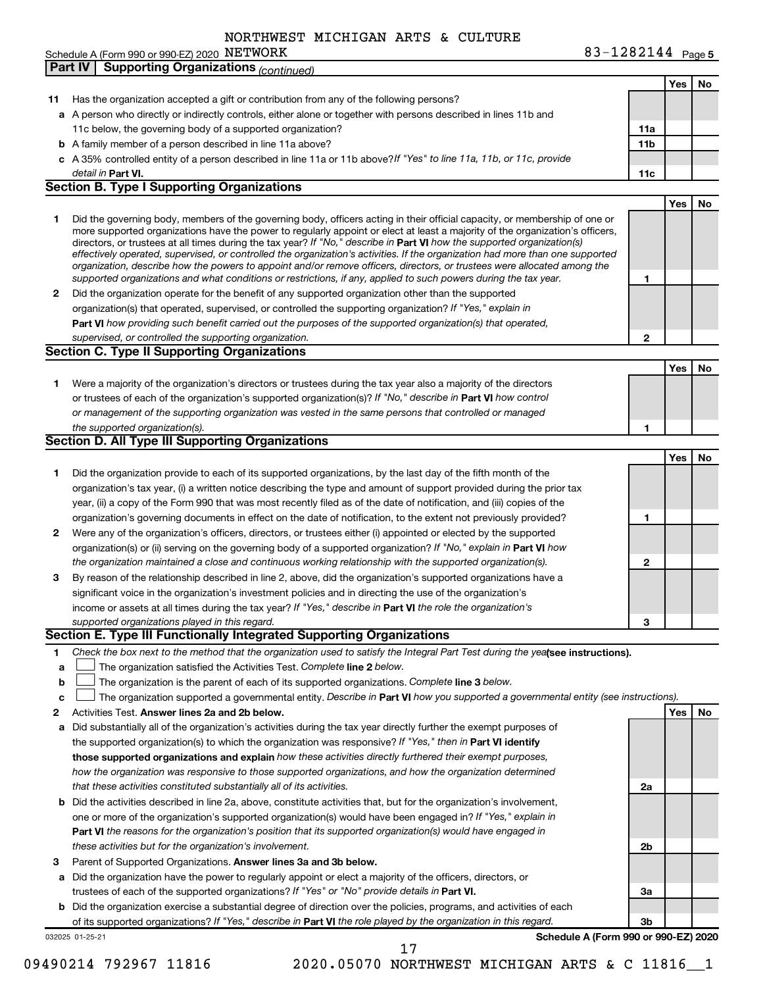|  |  | Schedule A (Form 990 or 990-EZ) 2020 $\,$ <code>NETWORK</code> | 83-1282144 | Page 5 |
|--|--|----------------------------------------------------------------|------------|--------|
|--|--|----------------------------------------------------------------|------------|--------|

|              | <b>Supporting Organizations (continued)</b><br><b>Part IV</b>                                                                                                                                                                                             |                 |     |    |
|--------------|-----------------------------------------------------------------------------------------------------------------------------------------------------------------------------------------------------------------------------------------------------------|-----------------|-----|----|
|              |                                                                                                                                                                                                                                                           |                 | Yes | No |
| 11           | Has the organization accepted a gift or contribution from any of the following persons?                                                                                                                                                                   |                 |     |    |
|              | a A person who directly or indirectly controls, either alone or together with persons described in lines 11b and                                                                                                                                          |                 |     |    |
|              | 11c below, the governing body of a supported organization?                                                                                                                                                                                                | 11a             |     |    |
|              | <b>b</b> A family member of a person described in line 11a above?                                                                                                                                                                                         | 11 <sub>b</sub> |     |    |
|              | c A 35% controlled entity of a person described in line 11a or 11b above?If "Yes" to line 11a, 11b, or 11c, provide                                                                                                                                       |                 |     |    |
|              | detail in Part VI.                                                                                                                                                                                                                                        | 11c             |     |    |
|              | <b>Section B. Type I Supporting Organizations</b>                                                                                                                                                                                                         |                 |     |    |
|              |                                                                                                                                                                                                                                                           |                 | Yes | No |
| 1            | Did the governing body, members of the governing body, officers acting in their official capacity, or membership of one or                                                                                                                                |                 |     |    |
|              | more supported organizations have the power to regularly appoint or elect at least a majority of the organization's officers,                                                                                                                             |                 |     |    |
|              | directors, or trustees at all times during the tax year? If "No," describe in Part VI how the supported organization(s)<br>effectively operated, supervised, or controlled the organization's activities. If the organization had more than one supported |                 |     |    |
|              | organization, describe how the powers to appoint and/or remove officers, directors, or trustees were allocated among the                                                                                                                                  |                 |     |    |
|              | supported organizations and what conditions or restrictions, if any, applied to such powers during the tax year.                                                                                                                                          | 1               |     |    |
| 2            | Did the organization operate for the benefit of any supported organization other than the supported                                                                                                                                                       |                 |     |    |
|              | organization(s) that operated, supervised, or controlled the supporting organization? If "Yes," explain in                                                                                                                                                |                 |     |    |
|              | Part VI how providing such benefit carried out the purposes of the supported organization(s) that operated,                                                                                                                                               |                 |     |    |
|              | supervised, or controlled the supporting organization.                                                                                                                                                                                                    | $\mathbf{2}$    |     |    |
|              | <b>Section C. Type II Supporting Organizations</b>                                                                                                                                                                                                        |                 |     |    |
|              |                                                                                                                                                                                                                                                           |                 | Yes | No |
| 1.           | Were a majority of the organization's directors or trustees during the tax year also a majority of the directors                                                                                                                                          |                 |     |    |
|              | or trustees of each of the organization's supported organization(s)? If "No," describe in Part VI how control                                                                                                                                             |                 |     |    |
|              | or management of the supporting organization was vested in the same persons that controlled or managed                                                                                                                                                    |                 |     |    |
|              | the supported organization(s).                                                                                                                                                                                                                            | 1               |     |    |
|              | Section D. All Type III Supporting Organizations                                                                                                                                                                                                          |                 |     |    |
|              |                                                                                                                                                                                                                                                           |                 | Yes | No |
| 1            | Did the organization provide to each of its supported organizations, by the last day of the fifth month of the                                                                                                                                            |                 |     |    |
|              | organization's tax year, (i) a written notice describing the type and amount of support provided during the prior tax                                                                                                                                     |                 |     |    |
|              | year, (ii) a copy of the Form 990 that was most recently filed as of the date of notification, and (iii) copies of the                                                                                                                                    |                 |     |    |
|              | organization's governing documents in effect on the date of notification, to the extent not previously provided?                                                                                                                                          | 1               |     |    |
| $\mathbf{2}$ | Were any of the organization's officers, directors, or trustees either (i) appointed or elected by the supported                                                                                                                                          |                 |     |    |
|              | organization(s) or (ii) serving on the governing body of a supported organization? If "No," explain in Part VI how                                                                                                                                        |                 |     |    |
|              | the organization maintained a close and continuous working relationship with the supported organization(s).                                                                                                                                               | $\mathbf{2}$    |     |    |
| 3            | By reason of the relationship described in line 2, above, did the organization's supported organizations have a                                                                                                                                           |                 |     |    |
|              | significant voice in the organization's investment policies and in directing the use of the organization's                                                                                                                                                |                 |     |    |
|              | income or assets at all times during the tax year? If "Yes," describe in Part VI the role the organization's                                                                                                                                              |                 |     |    |
|              | supported organizations played in this regard.                                                                                                                                                                                                            | 3               |     |    |
|              | Section E. Type III Functionally Integrated Supporting Organizations                                                                                                                                                                                      |                 |     |    |
| 1.           | Check the box next to the method that the organization used to satisfy the Integral Part Test during the yealsee instructions).                                                                                                                           |                 |     |    |
| a            | The organization satisfied the Activities Test. Complete line 2 below.                                                                                                                                                                                    |                 |     |    |
| b            | The organization is the parent of each of its supported organizations. Complete line 3 below.                                                                                                                                                             |                 |     |    |
| c            | The organization supported a governmental entity. Describe in Part VI how you supported a governmental entity (see instructions).                                                                                                                         |                 |     |    |
| 2            | Activities Test. Answer lines 2a and 2b below.                                                                                                                                                                                                            |                 | Yes | No |
| а            | Did substantially all of the organization's activities during the tax year directly further the exempt purposes of                                                                                                                                        |                 |     |    |
|              | the supported organization(s) to which the organization was responsive? If "Yes," then in Part VI identify<br>those supported organizations and explain how these activities directly furthered their exempt purposes,                                    |                 |     |    |
|              | how the organization was responsive to those supported organizations, and how the organization determined                                                                                                                                                 |                 |     |    |
|              | that these activities constituted substantially all of its activities.                                                                                                                                                                                    | 2a              |     |    |
| b            | Did the activities described in line 2a, above, constitute activities that, but for the organization's involvement,                                                                                                                                       |                 |     |    |
|              | one or more of the organization's supported organization(s) would have been engaged in? If "Yes," explain in                                                                                                                                              |                 |     |    |
|              | Part VI the reasons for the organization's position that its supported organization(s) would have engaged in                                                                                                                                              |                 |     |    |
|              | these activities but for the organization's involvement.                                                                                                                                                                                                  | 2b              |     |    |
| 3            | Parent of Supported Organizations. Answer lines 3a and 3b below.                                                                                                                                                                                          |                 |     |    |
| а            | Did the organization have the power to regularly appoint or elect a majority of the officers, directors, or                                                                                                                                               |                 |     |    |
|              | trustees of each of the supported organizations? If "Yes" or "No" provide details in Part VI.                                                                                                                                                             | За              |     |    |
| b            | Did the organization exercise a substantial degree of direction over the policies, programs, and activities of each                                                                                                                                       |                 |     |    |
|              | of its supported organizations? If "Yes," describe in Part VI the role played by the organization in this regard.                                                                                                                                         | Зb              |     |    |
|              | Schedule A (Form 990 or 990-EZ) 2020<br>032025 01-25-21                                                                                                                                                                                                   |                 |     |    |

09490214 792967 11816 2020.05070 NORTHWEST MICHIGAN ARTS & C 11816 1 17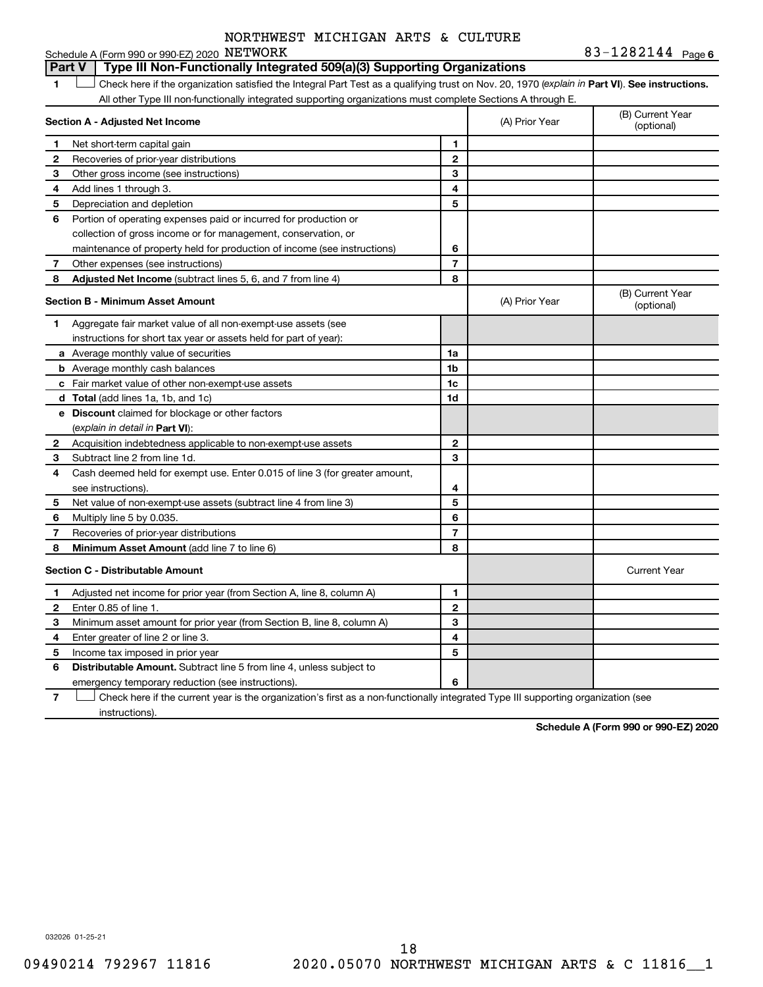#### 1 **Letter See instructions.** Check here if the organization satisfied the Integral Part Test as a qualifying trust on Nov. 20, 1970 (*explain in* Part **VI**). See instructions. **Section A - Adjusted Net Income 1 2 3 4 5 6 7 8 1 2 3 4 5 6 7 Adjusted Net Income** (subtract lines 5, 6, and 7 from line 4) **8 8 Section B - Minimum Asset Amount 1 2 3 4 5 6 7 8 a** Average monthly value of securities **b** Average monthly cash balances **c** Fair market value of other non-exempt-use assets **d Total**  (add lines 1a, 1b, and 1c) **e Discount** claimed for blockage or other factors **1a 1b 1c 1d 2 3 4 5 6 7 8** (explain in detail in Part VI): **Minimum Asset Amount**  (add line 7 to line 6) **Section C - Distributable Amount 1 2 3 4 5 6 1 2 3 4 5 6** Distributable Amount. Subtract line 5 from line 4, unless subject to Schedule A (Form 990 or 990-EZ) 2020 NETWORK All other Type III non-functionally integrated supporting organizations must complete Sections A through E. (B) Current Year (A) Prior Year Net short-term capital gain Recoveries of prior-year distributions Other gross income (see instructions) Add lines 1 through 3. Depreciation and depletion Portion of operating expenses paid or incurred for production or collection of gross income or for management, conservation, or maintenance of property held for production of income (see instructions) Other expenses (see instructions) (B) Current Year  $(A)$  Prior Year  $\left\{\n\begin{array}{ccc}\n\end{array}\n\right\}$  (optional) Aggregate fair market value of all non-exempt-use assets (see instructions for short tax year or assets held for part of year): Acquisition indebtedness applicable to non-exempt-use assets Subtract line 2 from line 1d. Cash deemed held for exempt use. Enter 0.015 of line 3 (for greater amount, see instructions). Net value of non-exempt-use assets (subtract line 4 from line 3) Multiply line 5 by 0.035. Recoveries of prior-year distributions Current Year Adjusted net income for prior year (from Section A, line 8, column A) Enter 0.85 of line 1. Minimum asset amount for prior year (from Section B, line 8, column A) Enter greater of line 2 or line 3. Income tax imposed in prior year emergency temporary reduction (see instructions). **Part V Type III Non-Functionally Integrated 509(a)(3) Supporting Organizations**

**7** Check here if the current year is the organization's first as a non-functionally integrated Type III supporting organization (see † instructions).

**Schedule A (Form 990 or 990-EZ) 2020**

032026 01-25-21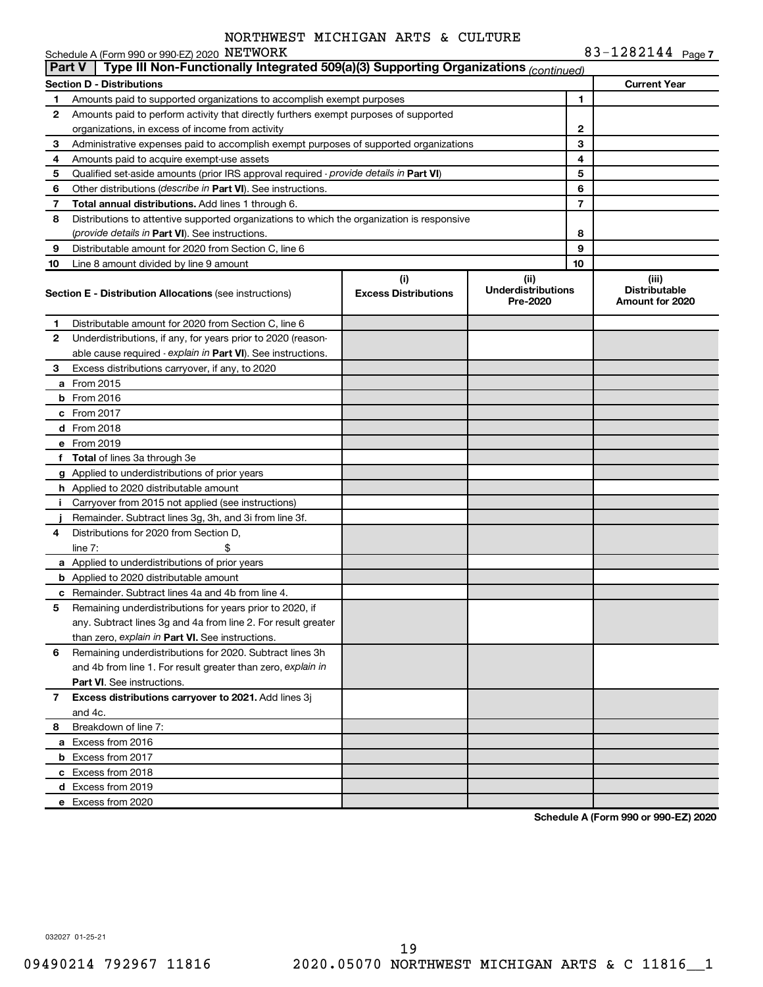|               | Schedule A (Form 990 or 990-EZ) 2020 NETWORK                                               |                                    |                                               |                | 83-1282144 Page 7                                |
|---------------|--------------------------------------------------------------------------------------------|------------------------------------|-----------------------------------------------|----------------|--------------------------------------------------|
| <b>Part V</b> | Type III Non-Functionally Integrated 509(a)(3) Supporting Organizations (continued)        |                                    |                                               |                |                                                  |
|               | Section D - Distributions                                                                  |                                    |                                               |                | <b>Current Year</b>                              |
| 1             | Amounts paid to supported organizations to accomplish exempt purposes                      |                                    |                                               | 1              |                                                  |
| 2             | Amounts paid to perform activity that directly furthers exempt purposes of supported       |                                    |                                               |                |                                                  |
|               | organizations, in excess of income from activity                                           |                                    |                                               | 2              |                                                  |
| З             | Administrative expenses paid to accomplish exempt purposes of supported organizations      |                                    |                                               | 3              |                                                  |
| 4             | Amounts paid to acquire exempt-use assets                                                  |                                    |                                               | 4              |                                                  |
| 5             | Qualified set-aside amounts (prior IRS approval required - provide details in Part VI)     |                                    |                                               | 5              |                                                  |
| 6             | Other distributions (describe in Part VI). See instructions.                               |                                    |                                               | 6              |                                                  |
| 7             | Total annual distributions. Add lines 1 through 6.                                         |                                    |                                               | $\overline{7}$ |                                                  |
| 8             | Distributions to attentive supported organizations to which the organization is responsive |                                    |                                               |                |                                                  |
|               | (provide details in Part VI). See instructions.                                            |                                    |                                               | 8              |                                                  |
| 9             | Distributable amount for 2020 from Section C, line 6                                       |                                    |                                               | 9              |                                                  |
| 10            | Line 8 amount divided by line 9 amount                                                     |                                    |                                               | 10             |                                                  |
|               | <b>Section E - Distribution Allocations (see instructions)</b>                             | (i)<br><b>Excess Distributions</b> | (ii)<br><b>Underdistributions</b><br>Pre-2020 |                | (iii)<br><b>Distributable</b><br>Amount for 2020 |
| 1             | Distributable amount for 2020 from Section C, line 6                                       |                                    |                                               |                |                                                  |
| 2             | Underdistributions, if any, for years prior to 2020 (reason-                               |                                    |                                               |                |                                                  |
|               | able cause required - explain in Part VI). See instructions.                               |                                    |                                               |                |                                                  |
| З             | Excess distributions carryover, if any, to 2020                                            |                                    |                                               |                |                                                  |
|               | a From 2015                                                                                |                                    |                                               |                |                                                  |
|               | $b$ From 2016                                                                              |                                    |                                               |                |                                                  |
|               | c From 2017                                                                                |                                    |                                               |                |                                                  |
|               | <b>d</b> From 2018                                                                         |                                    |                                               |                |                                                  |
|               | e From 2019                                                                                |                                    |                                               |                |                                                  |
|               | f Total of lines 3a through 3e                                                             |                                    |                                               |                |                                                  |
|               | g Applied to underdistributions of prior years                                             |                                    |                                               |                |                                                  |
|               | h Applied to 2020 distributable amount                                                     |                                    |                                               |                |                                                  |
| Ť.            | Carryover from 2015 not applied (see instructions)                                         |                                    |                                               |                |                                                  |
|               | Remainder. Subtract lines 3g, 3h, and 3i from line 3f.                                     |                                    |                                               |                |                                                  |
| 4             | Distributions for 2020 from Section D.                                                     |                                    |                                               |                |                                                  |
|               | line $7:$<br>\$.                                                                           |                                    |                                               |                |                                                  |
|               | a Applied to underdistributions of prior years                                             |                                    |                                               |                |                                                  |
|               | <b>b</b> Applied to 2020 distributable amount                                              |                                    |                                               |                |                                                  |
|               | c Remainder. Subtract lines 4a and 4b from line 4.                                         |                                    |                                               |                |                                                  |
|               | Remaining underdistributions for years prior to 2020, if                                   |                                    |                                               |                |                                                  |
|               | any. Subtract lines 3g and 4a from line 2. For result greater                              |                                    |                                               |                |                                                  |
|               | than zero, explain in Part VI. See instructions.                                           |                                    |                                               |                |                                                  |
| 6             | Remaining underdistributions for 2020. Subtract lines 3h                                   |                                    |                                               |                |                                                  |
|               | and 4b from line 1. For result greater than zero, explain in                               |                                    |                                               |                |                                                  |
|               | <b>Part VI.</b> See instructions.                                                          |                                    |                                               |                |                                                  |
| $\mathbf{7}$  | Excess distributions carryover to 2021. Add lines 3j                                       |                                    |                                               |                |                                                  |
|               | and 4c.                                                                                    |                                    |                                               |                |                                                  |
| 8             | Breakdown of line 7:                                                                       |                                    |                                               |                |                                                  |
|               | a Excess from 2016                                                                         |                                    |                                               |                |                                                  |
|               | <b>b</b> Excess from 2017                                                                  |                                    |                                               |                |                                                  |
|               | c Excess from 2018                                                                         |                                    |                                               |                |                                                  |
|               | d Excess from 2019                                                                         |                                    |                                               |                |                                                  |
|               | e Excess from 2020                                                                         |                                    |                                               |                |                                                  |

**Schedule A (Form 990 or 990-EZ) 2020**

032027 01-25-21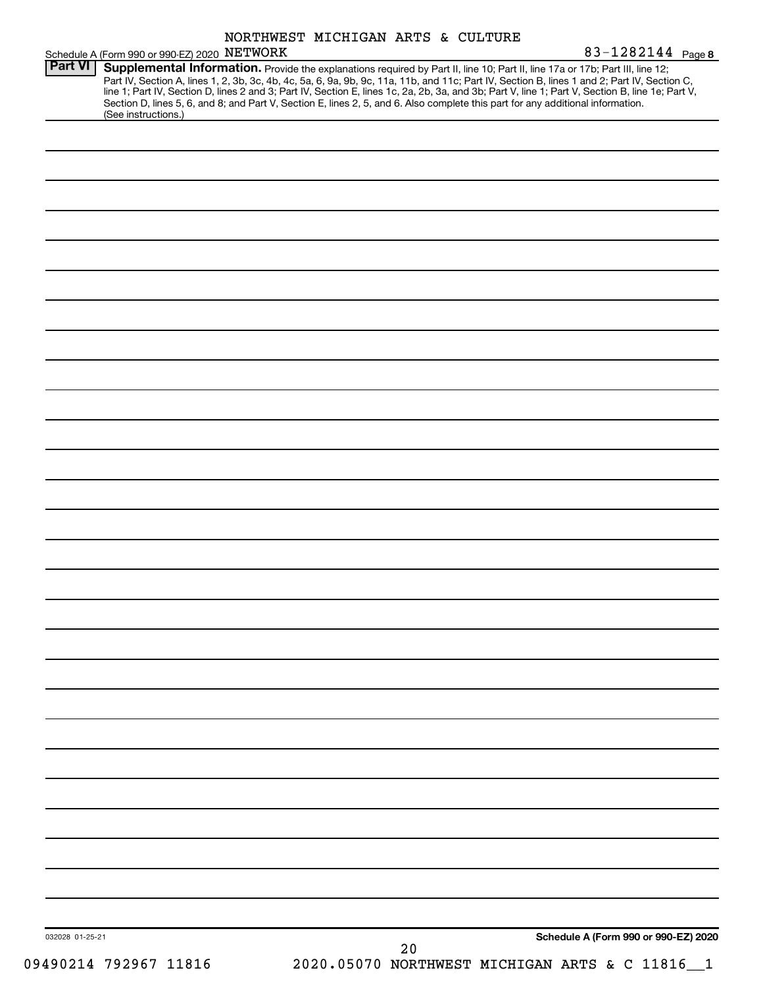|                 | Schedule A (Form 990 or 990-EZ) 2020 NETWORK |  | NORTHWEST MICHIGAN ARTS & CULTURE | 83-1282144 Page 8                                                                                                                                                                                                                                                                                                                                                                                                                                                                                                                                                    |
|-----------------|----------------------------------------------|--|-----------------------------------|----------------------------------------------------------------------------------------------------------------------------------------------------------------------------------------------------------------------------------------------------------------------------------------------------------------------------------------------------------------------------------------------------------------------------------------------------------------------------------------------------------------------------------------------------------------------|
| <b>Part VI</b>  | (See instructions.)                          |  |                                   | Supplemental Information. Provide the explanations required by Part II, line 10; Part II, line 17a or 17b; Part III, line 12;<br>Part IV, Section A, lines 1, 2, 3b, 3c, 4b, 4c, 5a, 6, 9a, 9b, 9c, 11a, 11b, and 11c; Part IV, Section B, lines 1 and 2; Part IV, Section C,<br>line 1; Part IV, Section D, lines 2 and 3; Part IV, Section E, lines 1c, 2a, 2b, 3a, and 3b; Part V, line 1; Part V, Section B, line 1e; Part V,<br>Section D, lines 5, 6, and 8; and Part V, Section E, lines 2, 5, and 6. Also complete this part for any additional information. |
|                 |                                              |  |                                   |                                                                                                                                                                                                                                                                                                                                                                                                                                                                                                                                                                      |
|                 |                                              |  |                                   |                                                                                                                                                                                                                                                                                                                                                                                                                                                                                                                                                                      |
|                 |                                              |  |                                   |                                                                                                                                                                                                                                                                                                                                                                                                                                                                                                                                                                      |
|                 |                                              |  |                                   |                                                                                                                                                                                                                                                                                                                                                                                                                                                                                                                                                                      |
|                 |                                              |  |                                   |                                                                                                                                                                                                                                                                                                                                                                                                                                                                                                                                                                      |
|                 |                                              |  |                                   |                                                                                                                                                                                                                                                                                                                                                                                                                                                                                                                                                                      |
|                 |                                              |  |                                   |                                                                                                                                                                                                                                                                                                                                                                                                                                                                                                                                                                      |
|                 |                                              |  |                                   |                                                                                                                                                                                                                                                                                                                                                                                                                                                                                                                                                                      |
|                 |                                              |  |                                   |                                                                                                                                                                                                                                                                                                                                                                                                                                                                                                                                                                      |
|                 |                                              |  |                                   |                                                                                                                                                                                                                                                                                                                                                                                                                                                                                                                                                                      |
|                 |                                              |  |                                   |                                                                                                                                                                                                                                                                                                                                                                                                                                                                                                                                                                      |
|                 |                                              |  |                                   |                                                                                                                                                                                                                                                                                                                                                                                                                                                                                                                                                                      |
|                 |                                              |  |                                   |                                                                                                                                                                                                                                                                                                                                                                                                                                                                                                                                                                      |
|                 |                                              |  |                                   |                                                                                                                                                                                                                                                                                                                                                                                                                                                                                                                                                                      |
|                 |                                              |  |                                   |                                                                                                                                                                                                                                                                                                                                                                                                                                                                                                                                                                      |
|                 |                                              |  |                                   |                                                                                                                                                                                                                                                                                                                                                                                                                                                                                                                                                                      |
|                 |                                              |  |                                   |                                                                                                                                                                                                                                                                                                                                                                                                                                                                                                                                                                      |
|                 |                                              |  |                                   |                                                                                                                                                                                                                                                                                                                                                                                                                                                                                                                                                                      |
|                 |                                              |  |                                   |                                                                                                                                                                                                                                                                                                                                                                                                                                                                                                                                                                      |
|                 |                                              |  |                                   |                                                                                                                                                                                                                                                                                                                                                                                                                                                                                                                                                                      |
|                 |                                              |  |                                   |                                                                                                                                                                                                                                                                                                                                                                                                                                                                                                                                                                      |
|                 |                                              |  |                                   |                                                                                                                                                                                                                                                                                                                                                                                                                                                                                                                                                                      |
|                 |                                              |  |                                   |                                                                                                                                                                                                                                                                                                                                                                                                                                                                                                                                                                      |
|                 |                                              |  |                                   |                                                                                                                                                                                                                                                                                                                                                                                                                                                                                                                                                                      |
|                 |                                              |  |                                   |                                                                                                                                                                                                                                                                                                                                                                                                                                                                                                                                                                      |
|                 |                                              |  |                                   |                                                                                                                                                                                                                                                                                                                                                                                                                                                                                                                                                                      |
| 032028 01-25-21 |                                              |  |                                   | Schedule A (Form 990 or 990-EZ) 2020                                                                                                                                                                                                                                                                                                                                                                                                                                                                                                                                 |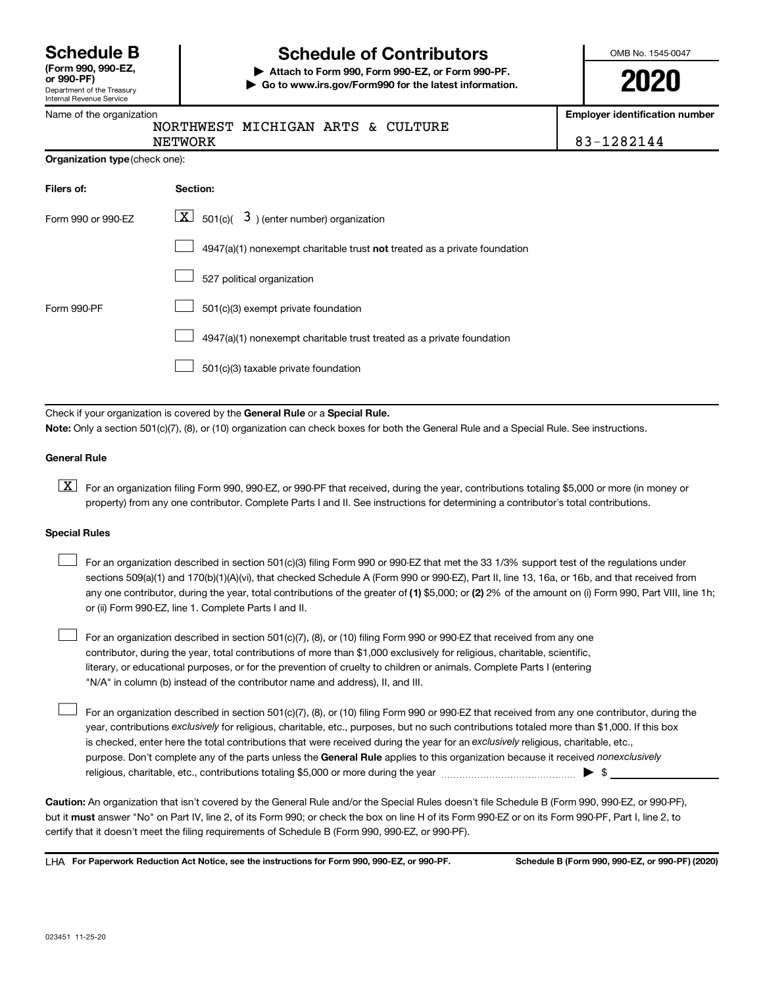| <b>Schedule B</b>                 |  |  |
|-----------------------------------|--|--|
| $T_{\text{max}}$ and and $\Gamma$ |  |  |

#### Department of the Treasury Internal Revenue Service **(Form 990, 990-EZ,**

### Name of the organization

# **Schedule of Contributors**

**or 990-PF) | Attach to Form 990, Form 990-EZ, or Form 990-PF. | Go to www.irs.gov/Form990 for the latest information.** OMB No. 1545-0047

**2020**

**Employer identification number**

| NORTHWEST MIG |  |
|---------------|--|

CHIGAN ARTS & CULTURE NETWORK 83-1282144

| <b>Organization type (check one):</b> |
|---------------------------------------|
|                                       |

| Filers of:         | Section:                                                                  |
|--------------------|---------------------------------------------------------------------------|
| Form 990 or 990-FZ | $\lfloor \underline{X} \rfloor$ 501(c)( 3) (enter number) organization    |
|                    | 4947(a)(1) nonexempt charitable trust not treated as a private foundation |
|                    | 527 political organization                                                |
| Form 990-PF        | 501(c)(3) exempt private foundation                                       |
|                    | 4947(a)(1) nonexempt charitable trust treated as a private foundation     |
|                    | 501(c)(3) taxable private foundation                                      |

Check if your organization is covered by the General Rule or a Special Rule.

**Note:**  Only a section 501(c)(7), (8), or (10) organization can check boxes for both the General Rule and a Special Rule. See instructions.

#### **General Rule**

**K** For an organization filing Form 990, 990-EZ, or 990-PF that received, during the year, contributions totaling \$5,000 or more (in money or property) from any one contributor. Complete Parts I and II. See instructions for determining a contributor's total contributions.

#### **Special Rules**

 $\Box$ 

any one contributor, during the year, total contributions of the greater of (1) \$5,000; or (2) 2% of the amount on (i) Form 990, Part VIII, line 1h; For an organization described in section 501(c)(3) filing Form 990 or 990-EZ that met the 33 1/3% support test of the regulations under sections 509(a)(1) and 170(b)(1)(A)(vi), that checked Schedule A (Form 990 or 990-EZ), Part II, line 13, 16a, or 16b, and that received from or (ii) Form 990-EZ, line 1. Complete Parts I and II.  $\Box$ 

For an organization described in section 501(c)(7), (8), or (10) filing Form 990 or 990-EZ that received from any one contributor, during the year, total contributions of more than \$1,000 exclusively for religious, charitable, scientific, literary, or educational purposes, or for the prevention of cruelty to children or animals. Complete Parts I (entering "N/A" in column (b) instead of the contributor name and address), II, and III.  $\Box$ 

purpose. Don't complete any of the parts unless the General Rule applies to this organization because it received nonexclusively year, contributions exclusively for religious, charitable, etc., purposes, but no such contributions totaled more than \$1,000. If this box is checked, enter here the total contributions that were received during the year for an exclusively religious, charitable, etc., For an organization described in section 501(c)(7), (8), or (10) filing Form 990 or 990-EZ that received from any one contributor, during the religious, charitable, etc., contributions totaling \$5,000 or more during the year  $~\ldots\ldots\ldots\ldots\ldots\ldots\ldots\ldots\blacktriangleright~$ \$

**Caution:**  An organization that isn't covered by the General Rule and/or the Special Rules doesn't file Schedule B (Form 990, 990-EZ, or 990-PF),  **must** but it answer "No" on Part IV, line 2, of its Form 990; or check the box on line H of its Form 990-EZ or on its Form 990-PF, Part I, line 2, to certify that it doesn't meet the filing requirements of Schedule B (Form 990, 990-EZ, or 990-PF).

**For Paperwork Reduction Act Notice, see the instructions for Form 990, 990-EZ, or 990-PF. Schedule B (Form 990, 990-EZ, or 990-PF) (2020)** LHA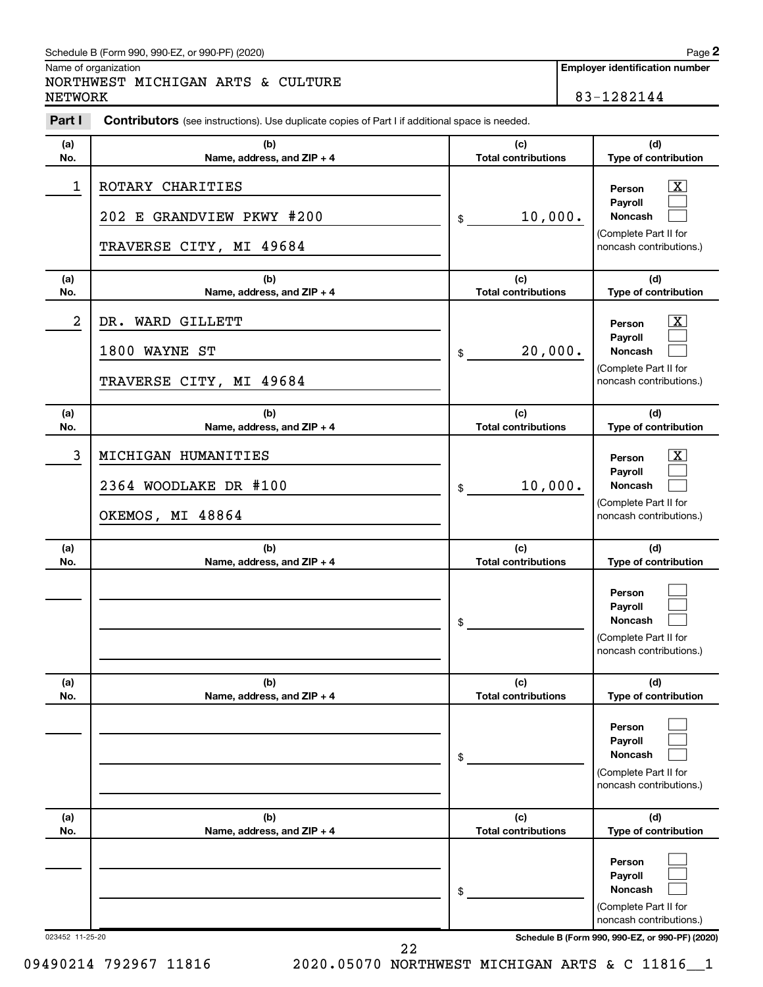#### Schedule B (Form 990, 990-EZ, or 990-PF) (2020)

Name of organization

### NORTHWEST MICHIGAN ARTS & CULTURE NETWORK 83-1282144

**Employer identification number**

**2**

| Part I          | <b>Contributors</b> (see instructions). Use duplicate copies of Part I if additional space is needed. |                                   |                                                                                                                 |
|-----------------|-------------------------------------------------------------------------------------------------------|-----------------------------------|-----------------------------------------------------------------------------------------------------------------|
| (a)<br>No.      | (b)<br>Name, address, and ZIP + 4                                                                     | (c)<br><b>Total contributions</b> | (d)<br>Type of contribution                                                                                     |
| 1               | ROTARY CHARITIES<br>202 E GRANDVIEW PKWY #200<br>TRAVERSE CITY, MI 49684                              | 10,000.<br>\$                     | $\boxed{\mathbf{X}}$<br>Person<br>Payroll<br><b>Noncash</b><br>(Complete Part II for<br>noncash contributions.) |
| (a)<br>No.      | (b)<br>Name, address, and ZIP + 4                                                                     | (c)<br><b>Total contributions</b> | (d)<br>Type of contribution                                                                                     |
| 2               | DR. WARD GILLETT<br>1800 WAYNE ST<br>TRAVERSE CITY, MI 49684                                          | 20,000.<br>\$                     | $\mathbf{X}$<br>Person<br>Payroll<br><b>Noncash</b><br>(Complete Part II for<br>noncash contributions.)         |
| (a)<br>No.      | (b)<br>Name, address, and ZIP + 4                                                                     | (c)<br><b>Total contributions</b> | (d)<br>Type of contribution                                                                                     |
| 3               | MICHIGAN HUMANITIES<br>2364 WOODLAKE DR #100<br>OKEMOS, MI 48864                                      | 10,000.<br>\$                     | $\mathbf{X}$<br>Person<br>Payroll<br><b>Noncash</b><br>(Complete Part II for<br>noncash contributions.)         |
| (a)<br>No.      | (b)<br>Name, address, and ZIP + 4                                                                     | (c)<br><b>Total contributions</b> | (d)<br>Type of contribution                                                                                     |
|                 |                                                                                                       | \$                                | Person<br>Payroll<br>Noncash<br>(Complete Part II for<br>noncash contributions.)                                |
| (a)<br>No.      | (b)<br>Name, address, and ZIP + 4                                                                     | (c)<br><b>Total contributions</b> | (d)<br>Type of contribution                                                                                     |
|                 |                                                                                                       | \$                                | Person<br>Payroll<br><b>Noncash</b><br>(Complete Part II for<br>noncash contributions.)                         |
| (a)<br>No.      | (b)<br>Name, address, and ZIP + 4                                                                     | (c)<br><b>Total contributions</b> | (d)<br>Type of contribution                                                                                     |
|                 |                                                                                                       | \$                                | Person<br>Payroll<br><b>Noncash</b><br>(Complete Part II for<br>noncash contributions.)                         |
| 023452 11-25-20 |                                                                                                       |                                   | Schedule B (Form 990, 990-EZ, or 990-PF) (2020)                                                                 |

09490214 792967 11816 2020.05070 NORTHWEST MICHIGAN ARTS & C 11816 1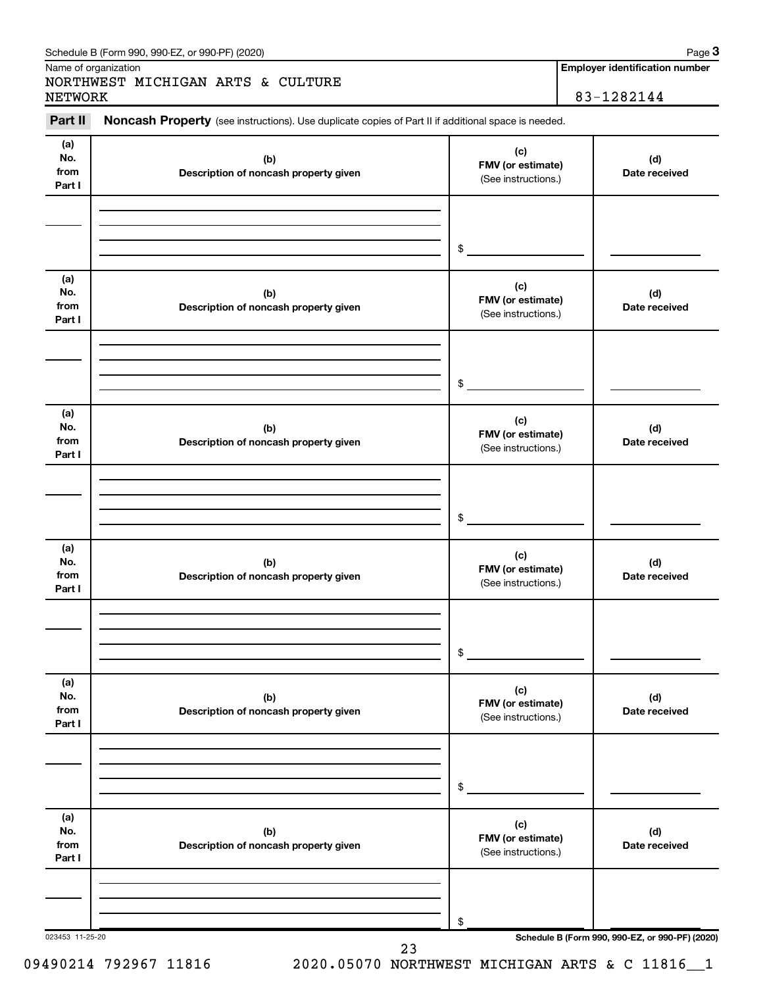|                              | Schedule B (Form 990, 990-EZ, or 990-PF) (2020)                                                            |                                                        | Page 3                                              |
|------------------------------|------------------------------------------------------------------------------------------------------------|--------------------------------------------------------|-----------------------------------------------------|
| NETWORK                      | Name of organization<br>NORTHWEST MICHIGAN ARTS & CULTURE                                                  |                                                        | <b>Employer identification number</b><br>83-1282144 |
| Part II                      | <b>Noncash Property</b> (see instructions). Use duplicate copies of Part II if additional space is needed. |                                                        |                                                     |
| (a)<br>No.<br>from<br>Part I | (b)<br>Description of noncash property given                                                               | (c)<br><b>FMV</b> (or estimate)<br>(See instructions.) | (d)<br>Date received                                |
|                              |                                                                                                            | \$                                                     |                                                     |
| (a)<br>No.<br>from           | (b)<br>Deparintion of nononab proporty given                                                               | (c)<br><b>FMV</b> (or estimate)                        | (d)<br>Dota roogived                                |

| No.<br>from<br>Part I        | (b)<br>Description of noncash property given | (∽)<br>FMV (or estimate)<br>(See instructions.) | (d)<br>Date received |
|------------------------------|----------------------------------------------|-------------------------------------------------|----------------------|
|                              |                                              | $$^{\circ}$                                     |                      |
| (a)<br>No.<br>from<br>Part I | (b)<br>Description of noncash property given | (c)<br>FMV (or estimate)<br>(See instructions.) | (d)<br>Date received |
|                              |                                              | \$                                              |                      |
| (a)<br>No.<br>from<br>Part I | (b)<br>Description of noncash property given | (c)<br>FMV (or estimate)<br>(See instructions.) | (d)<br>Date received |
|                              |                                              | \$                                              |                      |
| (a)<br>No.<br>from<br>Part I | (b)<br>Description of noncash property given | (c)<br>FMV (or estimate)<br>(See instructions.) | (d)<br>Date received |
|                              |                                              | $$\overbrace{\hspace{2.5cm}}$                   |                      |
| (a)<br>No.<br>from<br>Part I | (b)<br>Description of noncash property given | (c)<br>FMV (or estimate)<br>(See instructions.) | (d)<br>Date received |
|                              |                                              | \$                                              |                      |

023453 11-25-20 **Schedule B (Form 990, 990-EZ, or 990-PF) (2020)**

09490214 792967 11816 2020.05070 NORTHWEST MICHIGAN ARTS & C 11816 1

 <sup>23</sup>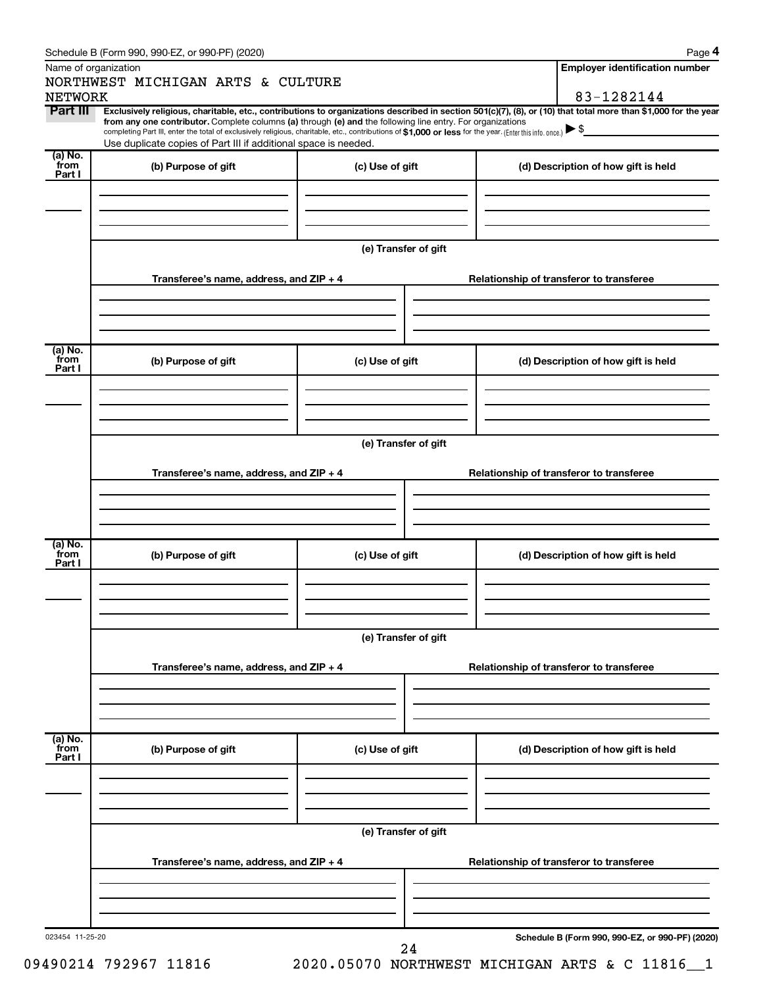|                           | Schedule B (Form 990, 990-EZ, or 990-PF) (2020)                                                                                                                                   |                      | Page 4                                                                                                                                                         |  |  |  |
|---------------------------|-----------------------------------------------------------------------------------------------------------------------------------------------------------------------------------|----------------------|----------------------------------------------------------------------------------------------------------------------------------------------------------------|--|--|--|
|                           | Name of organization<br>NORTHWEST MICHIGAN ARTS & CULTURE                                                                                                                         |                      | <b>Employer identification number</b>                                                                                                                          |  |  |  |
| <b>NETWORK</b>            |                                                                                                                                                                                   |                      | 83-1282144                                                                                                                                                     |  |  |  |
| Part III                  | from any one contributor. Complete columns (a) through (e) and the following line entry. For organizations                                                                        |                      | Exclusively religious, charitable, etc., contributions to organizations described in section 501(c)(7), (8), or (10) that total more than \$1,000 for the year |  |  |  |
|                           | completing Part III, enter the total of exclusively religious, charitable, etc., contributions of \$1,000 or less for the year. (Enter this info. once.) $\blacktriangleright$ \$ |                      |                                                                                                                                                                |  |  |  |
| $(a)$ No.                 | Use duplicate copies of Part III if additional space is needed.                                                                                                                   |                      |                                                                                                                                                                |  |  |  |
| from<br>Part I            | (b) Purpose of gift                                                                                                                                                               | (c) Use of gift      | (d) Description of how gift is held                                                                                                                            |  |  |  |
|                           |                                                                                                                                                                                   |                      |                                                                                                                                                                |  |  |  |
|                           |                                                                                                                                                                                   |                      |                                                                                                                                                                |  |  |  |
|                           |                                                                                                                                                                                   |                      |                                                                                                                                                                |  |  |  |
|                           |                                                                                                                                                                                   |                      |                                                                                                                                                                |  |  |  |
|                           |                                                                                                                                                                                   | (e) Transfer of gift |                                                                                                                                                                |  |  |  |
|                           |                                                                                                                                                                                   |                      |                                                                                                                                                                |  |  |  |
|                           | Transferee's name, address, and $ZIP + 4$                                                                                                                                         |                      | Relationship of transferor to transferee                                                                                                                       |  |  |  |
|                           |                                                                                                                                                                                   |                      |                                                                                                                                                                |  |  |  |
|                           |                                                                                                                                                                                   |                      |                                                                                                                                                                |  |  |  |
|                           |                                                                                                                                                                                   |                      |                                                                                                                                                                |  |  |  |
| (a) No.<br>from           |                                                                                                                                                                                   |                      |                                                                                                                                                                |  |  |  |
| Part I                    | (b) Purpose of gift                                                                                                                                                               | (c) Use of gift      | (d) Description of how gift is held                                                                                                                            |  |  |  |
|                           |                                                                                                                                                                                   |                      |                                                                                                                                                                |  |  |  |
|                           |                                                                                                                                                                                   |                      |                                                                                                                                                                |  |  |  |
|                           |                                                                                                                                                                                   |                      |                                                                                                                                                                |  |  |  |
|                           |                                                                                                                                                                                   | (e) Transfer of gift |                                                                                                                                                                |  |  |  |
|                           |                                                                                                                                                                                   |                      |                                                                                                                                                                |  |  |  |
|                           | Transferee's name, address, and $ZIP + 4$                                                                                                                                         |                      | Relationship of transferor to transferee                                                                                                                       |  |  |  |
|                           |                                                                                                                                                                                   |                      |                                                                                                                                                                |  |  |  |
|                           |                                                                                                                                                                                   |                      |                                                                                                                                                                |  |  |  |
|                           |                                                                                                                                                                                   |                      |                                                                                                                                                                |  |  |  |
| $(a)$ No.                 |                                                                                                                                                                                   |                      |                                                                                                                                                                |  |  |  |
| from<br>Part I            | (b) Purpose of gift                                                                                                                                                               | (c) Use of gift      | (d) Description of how gift is held                                                                                                                            |  |  |  |
|                           |                                                                                                                                                                                   |                      |                                                                                                                                                                |  |  |  |
|                           |                                                                                                                                                                                   |                      |                                                                                                                                                                |  |  |  |
|                           |                                                                                                                                                                                   |                      |                                                                                                                                                                |  |  |  |
|                           |                                                                                                                                                                                   |                      |                                                                                                                                                                |  |  |  |
|                           |                                                                                                                                                                                   | (e) Transfer of gift |                                                                                                                                                                |  |  |  |
|                           | Transferee's name, address, and ZIP + 4                                                                                                                                           |                      | Relationship of transferor to transferee                                                                                                                       |  |  |  |
|                           |                                                                                                                                                                                   |                      |                                                                                                                                                                |  |  |  |
|                           |                                                                                                                                                                                   |                      |                                                                                                                                                                |  |  |  |
|                           |                                                                                                                                                                                   |                      |                                                                                                                                                                |  |  |  |
|                           |                                                                                                                                                                                   |                      |                                                                                                                                                                |  |  |  |
| (a) No.<br>from<br>Part I | (b) Purpose of gift                                                                                                                                                               | (c) Use of gift      | (d) Description of how gift is held                                                                                                                            |  |  |  |
|                           |                                                                                                                                                                                   |                      |                                                                                                                                                                |  |  |  |
|                           |                                                                                                                                                                                   |                      |                                                                                                                                                                |  |  |  |
|                           |                                                                                                                                                                                   |                      |                                                                                                                                                                |  |  |  |
|                           |                                                                                                                                                                                   |                      |                                                                                                                                                                |  |  |  |
|                           |                                                                                                                                                                                   | (e) Transfer of gift |                                                                                                                                                                |  |  |  |
|                           |                                                                                                                                                                                   |                      |                                                                                                                                                                |  |  |  |
|                           | Transferee's name, address, and ZIP + 4                                                                                                                                           |                      | Relationship of transferor to transferee                                                                                                                       |  |  |  |
|                           |                                                                                                                                                                                   |                      |                                                                                                                                                                |  |  |  |
|                           |                                                                                                                                                                                   |                      |                                                                                                                                                                |  |  |  |
|                           |                                                                                                                                                                                   |                      |                                                                                                                                                                |  |  |  |
| 023454 11-25-20           |                                                                                                                                                                                   |                      | Schedule B (Form 990, 990-EZ, or 990-PF) (2020)                                                                                                                |  |  |  |
|                           |                                                                                                                                                                                   | 24                   |                                                                                                                                                                |  |  |  |

09490214 792967 11816 2020.05070 NORTHWEST MICHIGAN ARTS & C 11816 1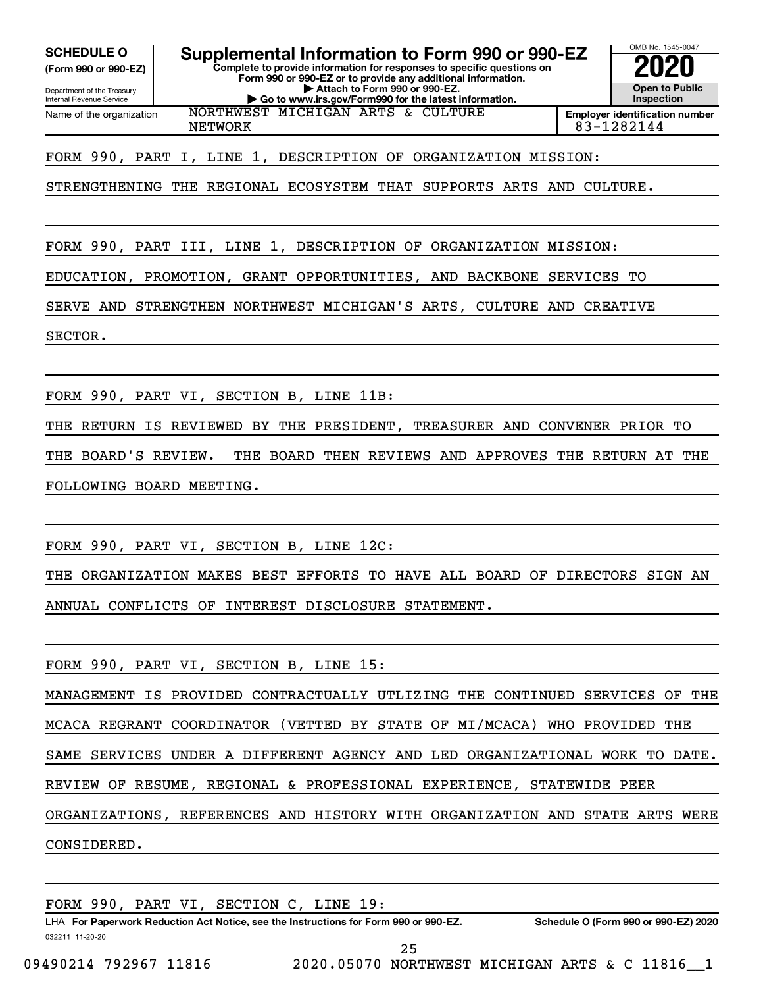**(Form 990 or 990-EZ)**

Department of the Treasury Internal Revenue Service Name of the organization

**SCHEDULE O Supplemental Information to Form 990 or 990-EZ 2020**<br>(Form 990 or 990-EZ) **2020** 

**Complete to provide information for responses to specific questions on Form 990 or 990-EZ or to provide any additional information. | Attach to Form 990 or 990-EZ.**

**| Go to www.irs.gov/Form990 for the latest information.**



OMB No. 1545-0047

NETWORK 83-1282144

FORM 990, PART I, LINE 1, DESCRIPTION OF ORGANIZATION MISSION:

NORTHWEST MICHIGAN ARTS & CULTURE

STRENGTHENING THE REGIONAL ECOSYSTEM THAT SUPPORTS ARTS AND CULTURE.

FORM 990, PART III, LINE 1, DESCRIPTION OF ORGANIZATION MISSION:

EDUCATION, PROMOTION, GRANT OPPORTUNITIES, AND BACKBONE SERVICES TO

SERVE AND STRENGTHEN NORTHWEST MICHIGAN'S ARTS, CULTURE AND CREATIVE

SECTOR.

FORM 990, PART VI, SECTION B, LINE 11B:

THE RETURN IS REVIEWED BY THE PRESIDENT, TREASURER AND CONVENER PRIOR TO THE BOARD'S REVIEW. THE BOARD THEN REVIEWS AND APPROVES THE RETURN AT THE FOLLOWING BOARD MEETING.

FORM 990, PART VI, SECTION B, LINE 12C:

THE ORGANIZATION MAKES BEST EFFORTS TO HAVE ALL BOARD OF DIRECTORS SIGN AN ANNUAL CONFLICTS OF INTEREST DISCLOSURE STATEMENT.

FORM 990, PART VI, SECTION B, LINE 15:

MANAGEMENT IS PROVIDED CONTRACTUALLY UTLIZING THE CONTINUED SERVICES OF THE MCACA REGRANT COORDINATOR (VETTED BY STATE OF MI/MCACA) WHO PROVIDED THE SAME SERVICES UNDER A DIFFERENT AGENCY AND LED ORGANIZATIONAL WORK TO DATE. REVIEW OF RESUME, REGIONAL & PROFESSIONAL EXPERIENCE, STATEWIDE PEER ORGANIZATIONS, REFERENCES AND HISTORY WITH ORGANIZATION AND STATE ARTS WERE CONSIDERED.

FORM 990, PART VI, SECTION C, LINE 19:

032211 11-20-20 **For Paperwork Reduction Act Notice, see the Instructions for Form 990 or 990-EZ. Schedule O (Form 990 or 990-EZ) 2020** LHA